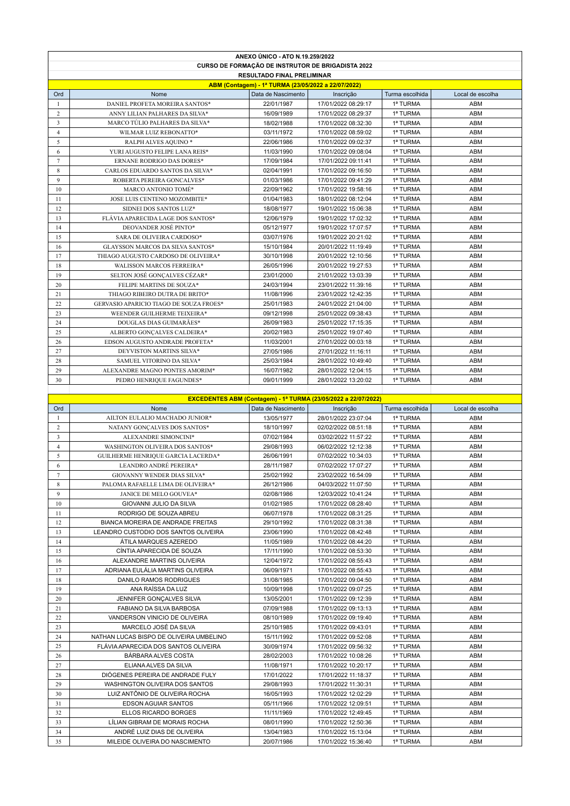|                                                     | ANEXO ÚNICO - ATO N.19.259/2022                          |                    |                     |                 |                  |  |  |  |  |
|-----------------------------------------------------|----------------------------------------------------------|--------------------|---------------------|-----------------|------------------|--|--|--|--|
|                                                     | <b>CURSO DE FORMAÇÃO DE INSTRUTOR DE BRIGADISTA 2022</b> |                    |                     |                 |                  |  |  |  |  |
| <b>RESULTADO FINAL PRELIMINAR</b>                   |                                                          |                    |                     |                 |                  |  |  |  |  |
| ABM (Contagem) - 1ª TURMA (23/05/2022 a 22/07/2022) |                                                          |                    |                     |                 |                  |  |  |  |  |
| Ord                                                 | Nome                                                     | Data de Nascimento | Inscrição           | Turma escolhida | Local de escolha |  |  |  |  |
| 1                                                   | DANIEL PROFETA MOREIRA SANTOS*                           | 22/01/1987         | 17/01/2022 08:29:17 | 1ª TURMA        | <b>ABM</b>       |  |  |  |  |
| 2                                                   | ANNY LILIAN PALHARES DA SILVA*                           | 16/09/1989         | 17/01/2022 08:29:37 | 1ª TURMA        | <b>ABM</b>       |  |  |  |  |
| 3                                                   | MARCO TÚLIO PALHARES DA SILVA*                           | 18/02/1988         | 17/01/2022 08:32:30 | 1ª TURMA        | <b>ABM</b>       |  |  |  |  |
| $\overline{4}$                                      | WILMAR LUIZ REBONATTO*                                   | 03/11/1972         | 17/01/2022 08:59:02 | 1ª TURMA        | <b>ABM</b>       |  |  |  |  |
| 5                                                   | RALPH ALVES AQUINO *                                     | 22/06/1986         | 17/01/2022 09:02:37 | 1ª TURMA        | <b>ABM</b>       |  |  |  |  |
| 6                                                   | YURI AUGUSTO FELIPE LANA REIS*                           | 11/03/1990         | 17/01/2022 09:08:04 | 1ª TURMA        | <b>ABM</b>       |  |  |  |  |
| 7                                                   | ERNANE RODRIGO DAS DORES*                                | 17/09/1984         | 17/01/2022 09:11:41 | 1ª TURMA        | <b>ABM</b>       |  |  |  |  |
| $\,$ 8 $\,$                                         | CARLOS EDUARDO SANTOS DA SILVA*                          | 02/04/1991         | 17/01/2022 09:16:50 | 1ª TURMA        | <b>ABM</b>       |  |  |  |  |
| 9                                                   | ROBERTA PEREIRA GONCALVES*                               | 01/03/1986         | 17/01/2022 09:41:29 | 1ª TURMA        | <b>ABM</b>       |  |  |  |  |
| 10                                                  | MARCO ANTONIO TOMÉ*                                      | 22/09/1962         | 17/01/2022 19:58:16 | 1ª TURMA        | <b>ABM</b>       |  |  |  |  |
| 11                                                  | JOSE LUIS CENTENO MOZOMBITE*                             | 01/04/1983         | 18/01/2022 08:12:04 | 1ª TURMA        | <b>ABM</b>       |  |  |  |  |
| 12                                                  | SIDNEI DOS SANTOS LUZ*                                   | 18/08/1977         | 19/01/2022 15:06:38 | 1ª TURMA        | <b>ABM</b>       |  |  |  |  |
| 13                                                  | FLÁVIA APARECIDA LAGE DOS SANTOS*                        | 12/06/1979         | 19/01/2022 17:02:32 | 1ª TURMA        | <b>ABM</b>       |  |  |  |  |
| 14                                                  | DEOVANDER JOSÉ PINTO*                                    | 05/12/1977         | 19/01/2022 17:07:57 | 1ª TURMA        | <b>ABM</b>       |  |  |  |  |
| 15                                                  | SARA DE OLIVEIRA CARDOSO*                                | 03/07/1976         | 19/01/2022 20:21:02 | 1ª TURMA        | <b>ABM</b>       |  |  |  |  |
| 16                                                  | GLAYSSON MARCOS DA SILVA SANTOS*                         | 15/10/1984         | 20/01/2022 11:19:49 | 1ª TURMA        | <b>ABM</b>       |  |  |  |  |
| 17                                                  | THIAGO AUGUSTO CARDOSO DE OLIVEIRA*                      | 30/10/1998         | 20/01/2022 12:10:56 | 1ª TURMA        | <b>ABM</b>       |  |  |  |  |
| 18                                                  | WALISSON MARCOS FERREIRA*                                | 26/05/1996         | 20/01/2022 19:27:53 | 1ª TURMA        | ABM              |  |  |  |  |
| 19                                                  | SELTON JOSÉ GONCALVES CÉZAR*                             | 23/01/2000         | 21/01/2022 13:03:39 | 1ª TURMA        | ABM              |  |  |  |  |
| 20                                                  | FELIPE MARTINS DE SOUZA*                                 | 24/03/1994         | 23/01/2022 11:39:16 | 1ª TURMA        | <b>ABM</b>       |  |  |  |  |
| 21                                                  | THIAGO RIBEIRO DUTRA DE BRITO*                           | 11/08/1996         | 23/01/2022 12:42:35 | 1ª TURMA        | <b>ABM</b>       |  |  |  |  |
| 22                                                  | <b>GERVASIO APARICIO TIAGO DE SOUZA FROES*</b>           | 25/01/1983         | 24/01/2022 21:04:00 | 1ª TURMA        | <b>ABM</b>       |  |  |  |  |
| 23                                                  | WEENDER GUILHERME TEIXEIRA*                              | 09/12/1998         | 25/01/2022 09:38:43 | 1ª TURMA        | <b>ABM</b>       |  |  |  |  |
| 24                                                  | DOUGLAS DIAS GUIMARÃES*                                  | 26/09/1983         | 25/01/2022 17:15:35 | 1ª TURMA        | <b>ABM</b>       |  |  |  |  |
| 25                                                  | ALBERTO GONCALVES CALDEIRA*                              | 20/02/1983         | 25/01/2022 19:07:40 | 1ª TURMA        | <b>ABM</b>       |  |  |  |  |
| 26                                                  | EDSON AUGUSTO ANDRADE PROFETA*                           | 11/03/2001         | 27/01/2022 00:03:18 | 1ª TURMA        | ABM              |  |  |  |  |
| 27                                                  | DEYVISTON MARTINS SILVA*                                 | 27/05/1986         | 27/01/2022 11:16:11 | 1ª TURMA        | <b>ABM</b>       |  |  |  |  |
| 28                                                  | SAMUEL VITORINO DA SILVA*                                | 25/03/1984         | 28/01/2022 10:49:40 | 1ª TURMA        | <b>ABM</b>       |  |  |  |  |
| 29                                                  | ALEXANDRE MAGNO PONTES AMORIM*                           | 16/07/1982         | 28/01/2022 12:04:15 | 1ª TURMA        | <b>ABM</b>       |  |  |  |  |
| 30                                                  | PEDRO HENRIQUE FAGUNDES*                                 | 09/01/1999         | 28/01/2022 13:20:02 | 1ª TURMA        | <b>ABM</b>       |  |  |  |  |
|                                                     |                                                          |                    |                     |                 |                  |  |  |  |  |

## **EXCEDENTES ABM (Contagem) - 1ª TURMA (23/05/2022 a 22/07/2022)**

|                | EXCEDENTES ABM (Contagem) - 1ª TURMA (23/05/2022 a 22/07/2022) |                    |                     |                 |                  |  |  |  |
|----------------|----------------------------------------------------------------|--------------------|---------------------|-----------------|------------------|--|--|--|
| Ord            | Nome                                                           | Data de Nascimento | Inscrição           | Turma escolhida | Local de escolha |  |  |  |
| 1              | AILTON EULALIO MACHADO JUNIOR*                                 | 13/05/1977         | 28/01/2022 23:07:04 | 1ª TURMA        | ABM              |  |  |  |
| 2              | NATANY GONÇALVES DOS SANTOS*                                   | 18/10/1997         | 02/02/2022 08:51:18 | 1ª TURMA        | <b>ABM</b>       |  |  |  |
| 3              | ALEXANDRE SIMONCINI*                                           | 07/02/1984         | 03/02/2022 11:57:22 | 1ª TURMA        | ABM              |  |  |  |
| $\overline{4}$ | WASHINGTON OLIVEIRA DOS SANTOS*                                | 29/08/1993         | 06/02/2022 12:12:38 | 1ª TURMA        | ABM              |  |  |  |
| 5              | GUILHERME HENRIQUE GARCIA LACERDA*                             | 26/06/1991         | 07/02/2022 10:34:03 | 1ª TURMA        | <b>ABM</b>       |  |  |  |
| 6              | LEANDRO ANDRÉ PEREIRA*                                         | 28/11/1987         | 07/02/2022 17:07:27 | 1ª TURMA        | <b>ABM</b>       |  |  |  |
| $\tau$         | GIOVANNY WENDER DIAS SILVA*                                    | 25/02/1992         | 23/02/2022 16:54:09 | 1ª TURMA        | ABM              |  |  |  |
| 8              | PALOMA RAFAELLE LIMA DE OLIVEIRA*                              | 26/12/1986         | 04/03/2022 11:07:50 | 1ª TURMA        | ABM              |  |  |  |
| 9              | JANICE DE MELO GOUVEA*                                         | 02/08/1986         | 12/03/2022 10:41:24 | 1ª TURMA        | <b>ABM</b>       |  |  |  |
| 10             | <b>GIOVANNI JULIO DA SILVA</b>                                 | 01/02/1985         | 17/01/2022 08:28:40 | 1ª TURMA        | ABM              |  |  |  |
| 11             | RODRIGO DE SOUZA ABREU                                         | 06/07/1978         | 17/01/2022 08:31:25 | 1ª TURMA        | ABM              |  |  |  |
| 12             | BIANCA MOREIRA DE ANDRADE FREITAS                              | 29/10/1992         | 17/01/2022 08:31:38 | 1ª TURMA        | ABM              |  |  |  |
| 13             | LEANDRO CUSTODIO DOS SANTOS OLIVEIRA                           | 23/06/1990         | 17/01/2022 08:42:48 | 1ª TURMA        | ABM              |  |  |  |
| 14             | ÁTILA MARQUES AZEREDO                                          | 11/05/1989         | 17/01/2022 08:44:20 | 1ª TURMA        | ABM              |  |  |  |
| 15             | CÍNTIA APARECIDA DE SOUZA                                      | 17/11/1990         | 17/01/2022 08:53:30 | 1ª TURMA        | <b>ABM</b>       |  |  |  |
| 16             | ALEXANDRE MARTINS OLIVEIRA                                     | 12/04/1972         | 17/01/2022 08:55:43 | 1ª TURMA        | ABM              |  |  |  |
| 17             | ADRIANA EULÁLIA MARTINS OLIVEIRA                               | 06/09/1971         | 17/01/2022 08:55:43 | 1ª TURMA        | ABM              |  |  |  |
| 18             | DANILO RAMOS RODRIGUES                                         | 31/08/1985         | 17/01/2022 09:04:50 | 1ª TURMA        | <b>ABM</b>       |  |  |  |
| 19             | ANA RAÍSSA DA LUZ                                              | 10/09/1998         | 17/01/2022 09:07:25 | 1ª TURMA        | <b>ABM</b>       |  |  |  |
| 20             | JENNIFER GONÇALVES SILVA                                       | 13/05/2001         | 17/01/2022 09:12:39 | 1ª TURMA        | <b>ABM</b>       |  |  |  |
| 21             | FABIANO DA SILVA BARBOSA                                       | 07/09/1988         | 17/01/2022 09:13:13 | 1ª TURMA        | ABM              |  |  |  |
| 22             | VANDERSON VINICIO DE OLIVEIRA                                  | 08/10/1989         | 17/01/2022 09:19:40 | 1ª TURMA        | ABM              |  |  |  |
| 23             | MARCELO JOSÉ DA SILVA                                          | 25/10/1985         | 17/01/2022 09:43:01 | 1ª TURMA        | <b>ABM</b>       |  |  |  |
| 24             | NATHAN LUCAS BISPO DE OLIVEIRA UMBELINO                        | 15/11/1992         | 17/01/2022 09:52:08 | 1ª TURMA        | <b>ABM</b>       |  |  |  |
| 25             | FLÁVIA APARECIDA DOS SANTOS OLIVEIRA                           | 30/09/1974         | 17/01/2022 09:56:32 | 1ª TURMA        | ABM              |  |  |  |
| 26             | BÁRBARA ALVES COSTA                                            | 28/02/2003         | 17/01/2022 10:08:26 | 1ª TURMA        | <b>ABM</b>       |  |  |  |
| 27             | ELIANA ALVES DA SILVA                                          | 11/08/1971         | 17/01/2022 10:20:17 | 1ª TURMA        | <b>ABM</b>       |  |  |  |
| 28             | DIÓGENES PEREIRA DE ANDRADE FULY                               | 17/01/2022         | 17/01/2022 11:18:37 | 1ª TURMA        | <b>ABM</b>       |  |  |  |
| 29             | WASHINGTON OLIVEIRA DOS SANTOS                                 | 29/08/1993         | 17/01/2022 11:30:31 | 1ª TURMA        | <b>ABM</b>       |  |  |  |
| 30             | LUIZ ANTÔNIO DE OLIVEIRA ROCHA                                 | 16/05/1993         | 17/01/2022 12:02:29 | 1ª TURMA        | <b>ABM</b>       |  |  |  |
| 31             | <b>EDSON AGUIAR SANTOS</b>                                     | 05/11/1966         | 17/01/2022 12:09:51 | 1ª TURMA        | <b>ABM</b>       |  |  |  |
| 32             | <b>ELLOS RICARDO BORGES</b>                                    | 11/11/1969         | 17/01/2022 12:49:45 | 1ª TURMA        | <b>ABM</b>       |  |  |  |
| 33             | LÍLIAN GIBRAM DE MORAIS ROCHA                                  | 08/01/1990         | 17/01/2022 12:50:36 | 1ª TURMA        | <b>ABM</b>       |  |  |  |
| 34             | ANDRÉ LUIZ DIAS DE OLIVEIRA                                    | 13/04/1983         | 17/01/2022 15:13:04 | 1ª TURMA        | ABM              |  |  |  |
| 35             | MILEIDE OLIVEIRA DO NASCIMENTO                                 | 20/07/1986         | 17/01/2022 15:36:40 | 1ª TURMA        | <b>ABM</b>       |  |  |  |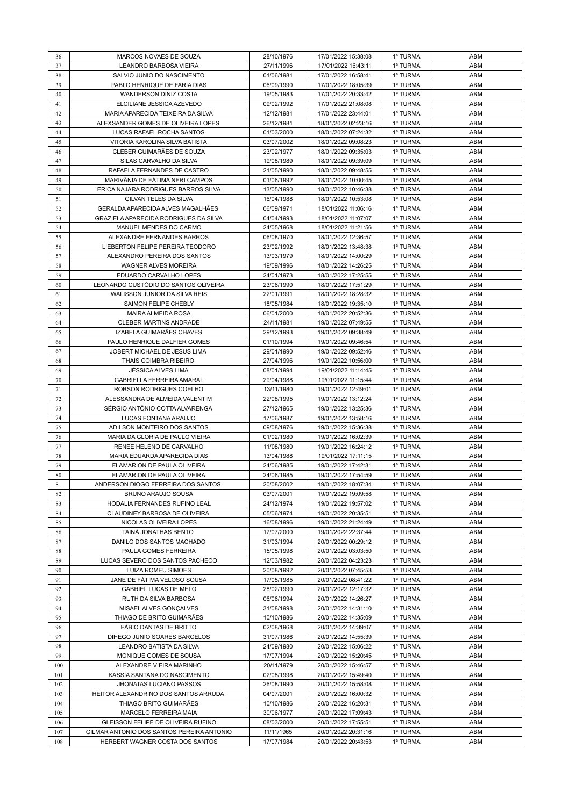| 36  | MARCOS NOVAES DE SOUZA                    | 28/10/1976 | 17/01/2022 15:38:08 | 1ª TURMA | ABM        |
|-----|-------------------------------------------|------------|---------------------|----------|------------|
| 37  | <b>LEANDRO BARBOSA VIEIRA</b>             | 27/11/1996 | 17/01/2022 16:43:11 | 1ª TURMA | ABM        |
| 38  | SALVIO JUNIO DO NASCIMENTO                | 01/06/1981 | 17/01/2022 16:58:41 | 1ª TURMA | ABM        |
|     |                                           |            |                     |          |            |
| 39  | PABLO HENRIQUE DE FARIA DIAS              | 06/09/1990 | 17/01/2022 18:05:39 | 1ª TURMA | ABM        |
| 40  | WANDERSON DINIZ COSTA                     | 19/05/1983 | 17/01/2022 20:33:42 | 1ª TURMA | ABM        |
| 41  | ELCILIANE JESSICA AZEVEDO                 | 09/02/1992 | 17/01/2022 21:08:08 | 1ª TURMA | ABM        |
| 42  | MARIA APARECIDA TEIXEIRA DA SILVA         | 12/12/1981 | 17/01/2022 23:44:01 | 1ª TURMA | ABM        |
| 43  | ALEXSANDER GOMES DE OLIVEIRA LOPES        | 26/12/1981 | 18/01/2022 02:23:16 | 1ª TURMA | ABM        |
| 44  | LUCAS RAFAEL ROCHA SANTOS                 | 01/03/2000 | 18/01/2022 07:24:32 | 1ª TURMA | ABM        |
|     | VITORIA KAROLINA SILVA BATISTA            |            |                     |          | ABM        |
| 45  |                                           | 03/07/2002 | 18/01/2022 09:08:23 | 1ª TURMA |            |
| 46  | CLEBER GUIMARÃES DE SOUZA                 | 23/02/1977 | 18/01/2022 09:35:03 | 1ª TURMA | ABM        |
| 47  | SILAS CARVALHO DA SILVA                   | 19/08/1989 | 18/01/2022 09:39:09 | 1ª TURMA | ABM        |
| 48  | RAFAELA FERNANDES DE CASTRO               | 21/05/1990 | 18/01/2022 09:48:55 | 1ª TURMA | ABM        |
| 49  | MARIVÂNIA DE FÁTIMA NERI CAMPOS           | 01/06/1992 | 18/01/2022 10:00:45 | 1ª TURMA | ABM        |
| 50  | ERICA NAJARA RODRIGUES BARROS SILVA       | 13/05/1990 | 18/01/2022 10:46:38 | 1ª TURMA | ABM        |
| 51  | GILVAN TELES DA SILVA                     | 16/04/1988 | 18/01/2022 10:53:08 | 1ª TURMA | ABM        |
| 52  | GERALDA APARECIDA ALVES MAGALHÃES         | 06/09/1971 | 18/01/2022 11:06:16 | 1ª TURMA | ABM        |
| 53  | GRAZIELA APARECIDA RODRIGUES DA SILVA     | 04/04/1993 | 18/01/2022 11:07:07 | 1ª TURMA | ABM        |
|     |                                           |            |                     |          |            |
| 54  | MANUEL MENDES DO CARMO                    | 24/05/1968 | 18/01/2022 11:21:56 | 1ª TURMA | ABM        |
| 55  | ALEXANDRE FERNANDES BARROS                | 06/08/1970 | 18/01/2022 12:36:57 | 1ª TURMA | ABM        |
| 56  | LIEBERTON FELIPE PEREIRA TEODORO          | 23/02/1992 | 18/01/2022 13:48:38 | 1ª TURMA | ABM        |
| 57  | ALEXANDRO PEREIRA DOS SANTOS              | 13/03/1979 | 18/01/2022 14:00:29 | 1ª TURMA | ABM        |
| 58  | WAGNER ALVES MOREIRA                      | 19/09/1996 | 18/01/2022 14:26:25 | 1ª TURMA | ABM        |
| 59  | EDUARDO CARVALHO LOPES                    | 24/01/1973 | 18/01/2022 17:25:55 | 1ª TURMA | ABM        |
| 60  | LEONARDO CUSTÓDIO DO SANTOS OLIVEIRA      | 23/06/1990 | 18/01/2022 17:51:29 | 1ª TURMA | ABM        |
|     | WALISSON JUNIOR DA SILVA REIS             | 22/01/1991 |                     |          |            |
| 61  |                                           |            | 18/01/2022 18:28:32 | 1ª TURMA | ABM        |
| 62  | SAIMON FELIPE CHEBLY                      | 18/05/1984 | 18/01/2022 19:35:10 | 1ª TURMA | ABM        |
| 63  | MAIRA ALMEIDA ROSA                        | 06/01/2000 | 18/01/2022 20:52:36 | 1ª TURMA | ABM        |
| 64  | CLEBER MARTINS ANDRADE                    | 24/11/1981 | 19/01/2022 07:49:55 | 1ª TURMA | ABM        |
| 65  | IZABELA GUIMARÃES CHAVES                  | 29/12/1993 | 19/01/2022 09:38:49 | 1ª TURMA | ABM        |
| 66  | PAULO HENRIQUE DALFIER GOMES              | 01/10/1994 | 19/01/2022 09:46:54 | 1ª TURMA | ABM        |
| 67  | JOBERT MICHAEL DE JESUS LIMA              | 29/01/1990 | 19/01/2022 09:52:46 | 1ª TURMA | ABM        |
| 68  | THAIS COIMBRA RIBEIRO                     | 27/04/1996 | 19/01/2022 10:56:00 | 1ª TURMA | ABM        |
|     |                                           |            |                     |          |            |
| 69  | <b>JÉSSICA ALVES LIMA</b>                 | 08/01/1994 | 19/01/2022 11:14:45 | 1ª TURMA | ABM        |
| 70  | <b>GABRIELLA FERREIRA AMARAL</b>          | 29/04/1988 | 19/01/2022 11:15:44 | 1ª TURMA | ABM        |
| 71  | ROBSON RODRIGUES COELHO                   | 13/11/1980 | 19/01/2022 12:49:01 | 1ª TURMA | ABM        |
| 72  | ALESSANDRA DE ALMEIDA VALENTIM            | 22/08/1995 | 19/01/2022 13:12:24 | 1ª TURMA | ABM        |
| 73  | SÉRGIO ANTÔNIO COTTA ALVARENGA            | 27/12/1965 | 19/01/2022 13:25:36 | 1ª TURMA | ABM        |
| 74  | LUCAS FONTANA ARAUJO                      | 17/06/1987 | 19/01/2022 13:58:16 | 1ª TURMA | ABM        |
| 75  | ADILSON MONTEIRO DOS SANTOS               | 09/08/1976 | 19/01/2022 15:36:38 | 1ª TURMA | ABM        |
| 76  | MARIA DA GLORIA DE PAULO VIEIRA           | 01/02/1980 | 19/01/2022 16:02:39 | 1ª TURMA | ABM        |
|     |                                           | 11/08/1980 | 19/01/2022 16:24:12 |          |            |
| 77  | RENEE HELENO DE CARVALHO                  |            |                     | 1ª TURMA | ABM        |
| 78  | MARIA EDUARDA APARECIDA DIAS              | 13/04/1988 | 19/01/2022 17:11:15 | 1ª TURMA | ABM        |
| 79  | <b>FLAMARION DE PAULA OLIVEIRA</b>        | 24/06/1985 | 19/01/2022 17:42:31 | 1ª TURMA | ABM        |
| 80  | FLAMARION DE PAULA OLIVEIRA               | 24/06/1985 | 19/01/2022 17:54:59 | 1ª TURMA | <b>ABM</b> |
| 81  | ANDERSON DIOGO FERREIRA DOS SANTOS        | 20/08/2002 | 19/01/2022 18:07:34 | 1ª TURMA | ABM        |
| 82  | BRUNO ARAUJO SOUSA                        | 03/07/2001 | 19/01/2022 19:09:58 | 1ª TURMA | ABM        |
| 83  | HODALIA FERNANDES RUFINO LEAL             | 24/12/1974 | 19/01/2022 19:57:02 | 1ª TURMA | ABM        |
| 84  | CLAUDINEY BARBOSA DE OLIVEIRA             | 05/06/1974 | 19/01/2022 20:35:51 | 1ª TURMA | ABM        |
|     |                                           |            |                     |          |            |
| 85  | NICOLAS OLIVEIRA LOPES                    | 16/08/1996 | 19/01/2022 21:24:49 | 1ª TURMA | ABM        |
| 86  | TAINÁ JONATHAS BENTO                      | 17/07/2000 | 19/01/2022 22:37:44 | 1ª TURMA | <b>ABM</b> |
| 87  | DANILO DOS SANTOS MACHADO                 | 31/03/1994 | 20/01/2022 00:29:12 | 1ª TURMA | ABM        |
| 88  | PAULA GOMES FERREIRA                      | 15/05/1998 | 20/01/2022 03:03:50 | 1ª TURMA | ABM        |
| 89  | LUCAS SEVERO DOS SANTOS PACHECO           | 12/03/1982 | 20/01/2022 04:23:23 | 1ª TURMA | ABM        |
| 90  | LUIZA ROMEU SIMOES                        | 20/08/1992 | 20/01/2022 07:45:53 | 1ª TURMA | ABM        |
| 91  | JANE DE FÁTIMA VELOSO SOUSA               | 17/05/1985 | 20/01/2022 08:41:22 | 1ª TURMA | ABM        |
| 92  | GABRIEL LUCAS DE MELO                     | 28/02/1990 | 20/01/2022 12:17:32 | 1ª TURMA | ABM        |
| 93  | RUTH DA SILVA BARBOSA                     | 06/06/1994 | 20/01/2022 14:26:27 |          | ABM        |
|     |                                           |            |                     | 1ª TURMA |            |
| 94  | MISAEL ALVES GONÇALVES                    | 31/08/1998 | 20/01/2022 14:31:10 | 1ª TURMA | ABM        |
| 95  | THIAGO DE BRITO GUIMARÃES                 | 10/10/1986 | 20/01/2022 14:35:09 | 1ª TURMA | ABM        |
| 96  | FÁBIO DANTAS DE BRITTO                    | 02/08/1968 | 20/01/2022 14:39:07 | 1ª TURMA | ABM        |
| 97  | DIHEGO JUNIO SOARES BARCELOS              | 31/07/1986 | 20/01/2022 14:55:39 | 1ª TURMA | ABM        |
| 98  | LEANDRO BATISTA DA SILVA                  | 24/09/1980 | 20/01/2022 15:06:22 | 1ª TURMA | ABM        |
| 99  | MONIQUE GOMES DE SOUSA                    | 17/07/1994 | 20/01/2022 15:20:45 | 1ª TURMA | ABM        |
| 100 | ALEXANDRE VIEIRA MARINHO                  | 20/11/1979 | 20/01/2022 15:46:57 | 1ª TURMA | ABM        |
| 101 | KASSIA SANTANA DO NASCIMENTO              | 02/08/1998 | 20/01/2022 15:49:40 | 1ª TURMA | ABM        |
|     |                                           |            |                     |          |            |
| 102 | JHONATAS LUCIANO PASSOS                   | 26/08/1990 | 20/01/2022 15:58:08 | 1ª TURMA | ABM        |
| 103 | HEITOR ALEXANDRINO DOS SANTOS ARRUDA      | 04/07/2001 | 20/01/2022 16:00:32 | 1ª TURMA | ABM        |
| 104 | THIAGO BRITO GUIMARÃES                    | 10/10/1986 | 20/01/2022 16:20:31 | 1ª TURMA | ABM        |
| 105 | MARCELO FERREIRA MAIA                     | 30/06/1977 | 20/01/2022 17:09:43 | 1ª TURMA | ABM        |
| 106 | GLEISSON FELIPE DE OLIVEIRA RUFINO        | 08/03/2000 | 20/01/2022 17:55:51 | 1ª TURMA | ABM        |
| 107 | GILMAR ANTONIO DOS SANTOS PEREIRA ANTONIO | 11/11/1965 | 20/01/2022 20:31:16 | 1ª TURMA | ABM        |
| 108 | HERBERT WAGNER COSTA DOS SANTOS           | 17/07/1984 | 20/01/2022 20:43:53 | 1ª TURMA | ABM        |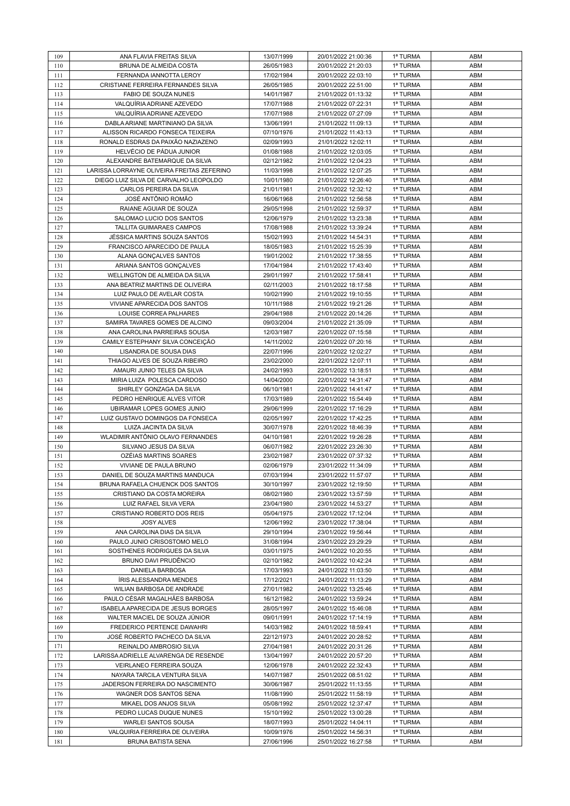| 109 | ANA FLAVIA FREITAS SILVA                   | 13/07/1999 | 20/01/2022 21:00:36 | 1ª TURMA | ABM |
|-----|--------------------------------------------|------------|---------------------|----------|-----|
| 110 | <b>BRUNA DE ALMEIDA COSTA</b>              | 26/05/1983 | 20/01/2022 21:20:03 | 1ª TURMA | ABM |
| 111 | FERNANDA IANNOTTA LEROY                    | 17/02/1984 | 20/01/2022 22:03:10 | 1ª TURMA | ABM |
| 112 | CRISTIANE FERREIRA FERNANDES SILVA         | 26/05/1985 | 20/01/2022 22:51:00 | 1ª TURMA | ABM |
| 113 | FABIO DE SOUZA NUNES                       | 14/01/1987 | 21/01/2022 01:13:32 | 1ª TURMA | ABM |
| 114 | VALQUÍRIA ADRIANE AZEVEDO                  | 17/07/1988 | 21/01/2022 07:22:31 | 1ª TURMA | ABM |
| 115 | VALQUÍRIA ADRIANE AZEVEDO                  | 17/07/1988 | 21/01/2022 07:27:09 | 1ª TURMA | ABM |
| 116 | DABLA ARIANE MARTINIANO DA SILVA           | 13/06/1991 | 21/01/2022 11:09:13 | 1ª TURMA | ABM |
| 117 | ALISSON RICARDO FONSECA TEIXEIRA           | 07/10/1976 | 21/01/2022 11:43:13 | 1ª TURMA | ABM |
| 118 | RONALD ESDRAS DA PAIXÃO NAZIAZENO          | 02/09/1993 | 21/01/2022 12:02:11 | 1ª TURMA | ABM |
| 119 | HELVÉCIO DE PÁDUA JUNIOR                   | 01/08/1988 | 21/01/2022 12:03:05 | 1ª TURMA | ABM |
| 120 | ALEXANDRE BATEMARQUE DA SILVA              | 02/12/1982 | 21/01/2022 12:04:23 | 1ª TURMA | ABM |
| 121 | LARISSA LORRAYNE OLIVEIRA FREITAS ZEFERINO | 11/03/1998 | 21/01/2022 12:07:25 | 1ª TURMA | ABM |
| 122 | DIEGO LUIZ SILVA DE CARVALHO LEOPOLDO      | 10/01/1980 | 21/01/2022 12:26:40 | 1ª TURMA | ABM |
| 123 | CARLOS PEREIRA DA SILVA                    | 21/01/1981 | 21/01/2022 12:32:12 | 1ª TURMA | ABM |
| 124 | JOSÉ ANTÔNIO ROMÃO                         | 16/06/1968 | 21/01/2022 12:56:58 | 1ª TURMA | ABM |
| 125 | RAIANE AGUIAR DE SOUZA                     | 29/05/1998 | 21/01/2022 12:59:37 | 1ª TURMA | ABM |
| 126 | SALOMAO LUCIO DOS SANTOS                   | 12/06/1979 | 21/01/2022 13:23:38 | 1ª TURMA | ABM |
| 127 | TALLITA GUIMARAES CAMPOS                   | 17/08/1988 | 21/01/2022 13:39:24 | 1ª TURMA | ABM |
| 128 | JÉSSICA MARTINS SOUZA SANTOS               | 15/02/1993 | 21/01/2022 14:54:31 | 1ª TURMA | ABM |
| 129 | FRANCISCO APARECIDO DE PAULA               | 18/05/1983 | 21/01/2022 15:25:39 | 1ª TURMA | ABM |
| 130 | ALANA GONCALVES SANTOS                     | 19/01/2002 | 21/01/2022 17:38:55 | 1ª TURMA | ABM |
| 131 | ARIANA SANTOS GONÇALVES                    | 17/04/1984 | 21/01/2022 17:43:40 | 1ª TURMA | ABM |
| 132 | WELLINGTON DE ALMEIDA DA SILVA             | 29/01/1997 | 21/01/2022 17:58:41 | 1ª TURMA | ABM |
| 133 | ANA BEATRIZ MARTINS DE OLIVEIRA            | 02/11/2003 | 21/01/2022 18:17:58 | 1ª TURMA | ABM |
| 134 | LUIZ PAULO DE AVELAR COSTA                 | 10/02/1990 | 21/01/2022 19:10:55 | 1ª TURMA | ABM |
| 135 | VIVIANE APARECIDA DOS SANTOS               | 10/11/1988 | 21/01/2022 19:21:26 | 1ª TURMA | ABM |
| 136 | LOUISE CORREA PALHARES                     | 29/04/1988 | 21/01/2022 20:14:26 | 1ª TURMA | ABM |
| 137 | SAMIRA TAVARES GOMES DE ALCINO             | 09/03/2004 | 21/01/2022 21:35:09 | 1ª TURMA | ABM |
| 138 | ANA CAROLINA PARREIRAS SOUSA               | 12/03/1987 | 22/01/2022 07:15:58 | 1ª TURMA | ABM |
| 139 | CAMILY ESTEPHANY SILVA CONCEIÇÃO           | 14/11/2002 | 22/01/2022 07:20:16 | 1ª TURMA | ABM |
| 140 | LISANDRA DE SOUSA DIAS                     | 22/07/1996 | 22/01/2022 12:02:27 | 1ª TURMA | ABM |
| 141 | THIAGO ALVES DE SOUZA RIBEIRO              | 23/02/2000 | 22/01/2022 12:07:11 | 1ª TURMA | ABM |
| 142 | AMAURI JUNIO TELES DA SILVA                | 24/02/1993 | 22/01/2022 13:18:51 | 1ª TURMA | ABM |
| 143 | MIRIA LUIZA POLESCA CARDOSO                | 14/04/2000 | 22/01/2022 14:31:47 | 1ª TURMA | ABM |
| 144 | SHIRLEY GONZAGA DA SILVA                   | 06/10/1981 | 22/01/2022 14:41:47 | 1ª TURMA | ABM |
| 145 | PEDRO HENRIQUE ALVES VITOR                 | 17/03/1989 | 22/01/2022 15:54:49 | 1ª TURMA | ABM |
| 146 | UBIRAMAR LOPES GOMES JUNIO                 | 29/06/1999 | 22/01/2022 17:16:29 | 1ª TURMA | ABM |
| 147 | LUIZ GUSTAVO DOMINGOS DA FONSECA           | 02/05/1997 | 22/01/2022 17:42:25 | 1ª TURMA | ABM |
| 148 | LUIZA JACINTA DA SILVA                     | 30/07/1978 | 22/01/2022 18:46:39 | 1ª TURMA | ABM |
| 149 | WLADIMIR ANTÔNIO OLAVO FERNANDES           | 04/10/1981 | 22/01/2022 19:26:28 | 1ª TURMA | ABM |
| 150 | SILVANO JESUS DA SILVA                     | 06/07/1982 | 22/01/2022 23:26:30 | 1ª TURMA | ABM |
| 151 | OZÉIAS MARTINS SOARES                      | 23/02/1987 | 23/01/2022 07:37:32 | 1ª TURMA | ABM |
| 152 | VIVIANE DE PAULA BRUNO                     | 02/06/1979 | 23/01/2022 11:34:09 | 1ª TURMA | ABM |
| 153 | DANIEL DE SOUZA MARTINS MANDUCA            | 07/03/1994 | 23/01/2022 11:57:07 | 1ª TURMA | ABM |
| 154 | BRUNA RAFAELA CHUENCK DOS SANTOS           | 30/10/1997 | 23/01/2022 12:19:50 | 1ª TURMA | ABM |
| 155 | CRISTIANO DA COSTA MOREIRA                 | 08/02/1980 | 23/01/2022 13:57:59 | 1ª TURMA | ABM |
| 156 | LUIZ RAFAEL SILVA VERA                     | 23/04/1980 | 23/01/2022 14:53:27 | 1ª TURMA | ABM |
| 157 | CRISTIANO ROBERTO DOS REIS                 | 05/04/1975 | 23/01/2022 17:12:04 | 1ª TURMA | ABM |
| 158 | <b>JOSY ALVES</b>                          | 12/06/1992 | 23/01/2022 17:38:04 | 1ª TURMA | ABM |
| 159 | ANA CAROLINA DIAS DA SILVA                 | 29/10/1994 | 23/01/2022 19:56:44 | 1ª TURMA | ABM |
| 160 | PAULO JUNIO CRISOSTOMO MELO                | 31/08/1994 | 23/01/2022 23:29:29 | 1ª TURMA | ABM |
| 161 | SOSTHENES RODRIGUES DA SILVA               | 03/01/1975 | 24/01/2022 10:20:55 | 1ª TURMA | ABM |
| 162 | BRUNO DAVI PRUDÊNCIO                       | 02/10/1982 | 24/01/2022 10:42:24 | 1ª TURMA | ABM |
| 163 | DANIELA BARBOSA                            | 17/03/1993 | 24/01/2022 11:03:50 | 1ª TURMA | ABM |
| 164 | IRIS ALESSANDRA MENDES                     | 17/12/2021 | 24/01/2022 11:13:29 | 1ª TURMA | ABM |
| 165 | WILIAN BARBOSA DE ANDRADE                  | 27/01/1982 | 24/01/2022 13:25:46 | 1ª TURMA | ABM |
| 166 | PAULO CÉSAR MAGALHÃES BARBOSA              | 16/12/1982 | 24/01/2022 13:59:24 | 1ª TURMA | ABM |
| 167 | ISABELA APARECIDA DE JESUS BORGES          | 28/05/1997 | 24/01/2022 15:46:08 | 1ª TURMA | ABM |
| 168 | WALTER MACIEL DE SOUZA JUNIOR              | 09/01/1991 | 24/01/2022 17:14:19 | 1ª TURMA | ABM |
| 169 | FREDERICO PERTENCE DAWAHRI                 | 14/03/1982 | 24/01/2022 18:59:41 | 1ª TURMA | ABM |
| 170 | JOSÉ ROBERTO PACHECO DA SILVA              | 22/12/1973 | 24/01/2022 20:28:52 | 1ª TURMA | ABM |
| 171 | REINALDO AMBROSIO SILVA                    | 27/04/1981 | 24/01/2022 20:31:26 | 1ª TURMA | ABM |
| 172 | LARISSA ADRIELLE ALVARENGA DE RESENDE      | 13/04/1997 | 24/01/2022 20:57:20 | 1ª TURMA | ABM |
| 173 | VEIRLANEO FERREIRA SOUZA                   | 12/06/1978 | 24/01/2022 22:32:43 | 1ª TURMA | ABM |
| 174 | NAYARA TARCILA VENTURA SILVA               | 14/07/1987 | 25/01/2022 08:51:02 | 1ª TURMA | ABM |
| 175 | JADERSON FERREIRA DO NASCIMENTO            | 30/06/1987 | 25/01/2022 11:13:55 | 1ª TURMA | ABM |
| 176 | WAGNER DOS SANTOS SENA                     | 11/08/1990 | 25/01/2022 11:58:19 | 1ª TURMA | ABM |
| 177 | MIKAEL DOS ANJOS SILVA                     | 05/08/1992 | 25/01/2022 12:37:47 | 1ª TURMA | ABM |
| 178 | PEDRO LUCAS DUQUE NUNES                    | 15/10/1992 | 25/01/2022 13:00:28 | 1ª TURMA | ABM |
| 179 | WARLEI SANTOS SOUSA                        | 18/07/1993 | 25/01/2022 14:04:11 | 1ª TURMA | ABM |
| 180 | VALQUIRIA FERREIRA DE OLIVEIRA             | 10/09/1976 | 25/01/2022 14:56:31 | 1ª TURMA | ABM |
| 181 | BRUNA BATISTA SENA                         | 27/06/1996 | 25/01/2022 16:27:58 | 1ª TURMA | ABM |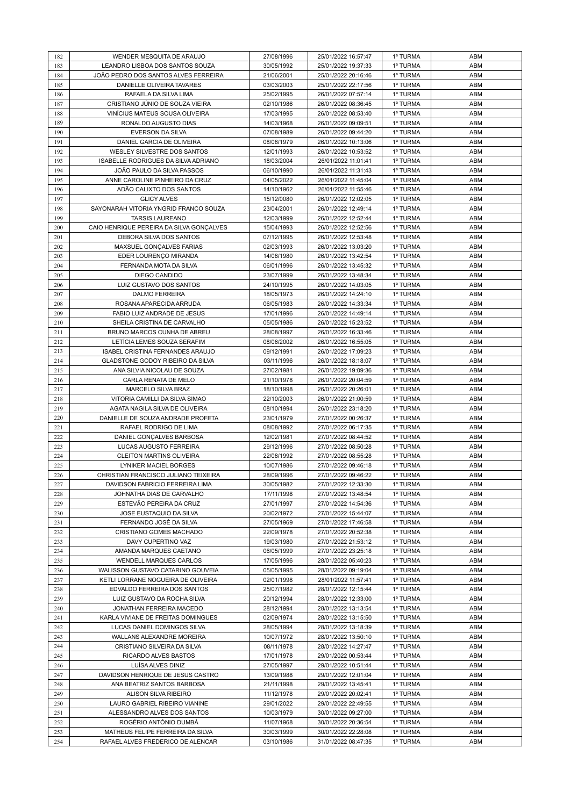| 182 | WENDER MESQUITA DE ARAUJO                | 27/08/1996 | 25/01/2022 16:57:47 | 1ª TURMA | ABM        |
|-----|------------------------------------------|------------|---------------------|----------|------------|
| 183 | LEANDRO LISBOA DOS SANTOS SOUZA          | 30/05/1992 | 25/01/2022 19:37:33 | 1ª TURMA | ABM        |
| 184 | JOÃO PEDRO DOS SANTOS ALVES FERREIRA     | 21/06/2001 | 25/01/2022 20:16:46 | 1ª TURMA | ABM        |
| 185 | DANIELLE OLIVEIRA TAVARES                | 03/03/2003 | 25/01/2022 22:17:56 | 1ª TURMA | ABM        |
| 186 | RAFAELA DA SILVA LIMA                    | 25/02/1995 | 26/01/2022 07:57:14 | 1ª TURMA | ABM        |
| 187 | CRISTIANO JÚNIO DE SOUZA VIEIRA          | 02/10/1986 | 26/01/2022 08:36:45 | 1ª TURMA | ABM        |
| 188 | VINÍCIUS MATEUS SOUSA OLIVEIRA           | 17/03/1995 | 26/01/2022 08:53:40 | 1ª TURMA | ABM        |
| 189 | RONALDO AUGUSTO DIAS                     | 14/03/1968 | 26/01/2022 09:09:51 | 1ª TURMA | ABM        |
| 190 | <b>EVERSON DA SILVA</b>                  | 07/08/1989 | 26/01/2022 09:44:20 | 1ª TURMA | ABM        |
| 191 | DANIEL GARCIA DE OLIVEIRA                | 08/08/1979 | 26/01/2022 10:13:06 | 1ª TURMA | ABM        |
| 192 | WESLEY SILVESTRE DOS SANTOS              | 12/01/1993 | 26/01/2022 10:53:52 | 1ª TURMA | ABM        |
| 193 | ISABELLE RODRIGUES DA SILVA ADRIANO      | 18/03/2004 | 26/01/2022 11:01:41 | 1ª TURMA | ABM        |
| 194 | JOÃO PAULO DA SILVA PASSOS               | 06/10/1990 | 26/01/2022 11:31:43 | 1ª TURMA | ABM        |
| 195 | ANNE CAROLINE PINHEIRO DA CRUZ           | 04/05/2022 | 26/01/2022 11:45:04 | 1ª TURMA | ABM        |
| 196 | ADÃO CALIXTO DOS SANTOS                  | 14/10/1962 | 26/01/2022 11:55:46 | 1ª TURMA | ABM        |
| 197 | <b>GLICY ALVES</b>                       | 15/12/0080 | 26/01/2022 12:02:05 | 1ª TURMA | ABM        |
| 198 | SAYONARAH VITORIA YNGRID FRANCO SOUZA    | 23/04/2001 | 26/01/2022 12:49:14 | 1ª TURMA | ABM        |
| 199 | <b>TARSIS LAUREANO</b>                   | 12/03/1999 | 26/01/2022 12:52:44 | 1ª TURMA | ABM        |
| 200 | CAIO HENRIQUE PEREIRA DA SILVA GONÇALVES | 15/04/1993 | 26/01/2022 12:52:56 | 1ª TURMA | ABM        |
| 201 | DEBORA SILVA DOS SANTOS                  | 07/12/1995 | 26/01/2022 12:53:48 | 1ª TURMA | ABM        |
| 202 | MAXSUEL GONCALVES FARIAS                 | 02/03/1993 | 26/01/2022 13:03:20 | 1ª TURMA | ABM        |
| 203 | EDER LOURENÇO MIRANDA                    | 14/08/1980 | 26/01/2022 13:42:54 | 1ª TURMA | ABM        |
| 204 | FERNANDA MOTA DA SILVA                   | 06/01/1996 | 26/01/2022 13:45:32 | 1ª TURMA | ABM        |
| 205 | <b>DIEGO CANDIDO</b>                     | 23/07/1999 | 26/01/2022 13:48:34 | 1ª TURMA | ABM        |
| 206 | LUIZ GUSTAVO DOS SANTOS                  | 24/10/1995 | 26/01/2022 14:03:05 | 1ª TURMA | ABM        |
| 207 | <b>DALMO FERREIRA</b>                    | 18/05/1973 | 26/01/2022 14:24:10 | 1ª TURMA | ABM        |
| 208 | ROSANA APARECIDA ARRUDA                  | 06/05/1983 | 26/01/2022 14:33:34 | 1ª TURMA | ABM        |
| 209 | FABIO LUIZ ANDRADE DE JESUS              | 17/01/1996 | 26/01/2022 14:49:14 | 1ª TURMA | ABM        |
| 210 | SHEILA CRISTINA DE CARVALHO              | 05/05/1986 | 26/01/2022 15:23:52 | 1ª TURMA | ABM        |
| 211 | BRUNO MARCOS CUNHA DE ABREU              | 28/08/1997 | 26/01/2022 16:33:46 | 1ª TURMA | ABM        |
| 212 | LETÍCIA LEMES SOUZA SERAFIM              | 08/06/2002 | 26/01/2022 16:55:05 | 1ª TURMA | ABM        |
| 213 | <b>ISABEL CRISTINA FERNANDES ARAUJO</b>  | 09/12/1991 | 26/01/2022 17:09:23 | 1ª TURMA | ABM        |
| 214 | GLADSTONE GODOY RIBEIRO DA SILVA         | 03/11/1996 | 26/01/2022 18:18:07 | 1ª TURMA | ABM        |
| 215 | ANA SILVIA NICOLAU DE SOUZA              | 27/02/1981 | 26/01/2022 19:09:36 | 1ª TURMA | ABM        |
| 216 | CARLA RENATA DE MELO                     | 21/10/1978 | 26/01/2022 20:04:59 | 1ª TURMA | ABM        |
| 217 | MARCELO SILVA BRAZ                       | 18/10/1998 | 26/01/2022 20:26:01 | 1ª TURMA | ABM        |
| 218 | VITORIA CAMILLI DA SILVA SIMAO           | 22/10/2003 | 26/01/2022 21:00:59 | 1ª TURMA | ABM        |
| 219 | AGATA NAGILA SILVA DE OLIVEIRA           | 08/10/1994 | 26/01/2022 23:18:20 | 1ª TURMA | ABM        |
| 220 | DANIELLE DE SOUZA ANDRADE PROFETA        | 23/01/1979 | 27/01/2022 00:26:37 | 1ª TURMA | ABM        |
| 221 | RAFAEL RODRIGO DE LIMA                   | 08/08/1992 | 27/01/2022 06:17:35 | 1ª TURMA | ABM        |
| 222 | DANIEL GONÇALVES BARBOSA                 | 12/02/1981 | 27/01/2022 08:44:52 | 1ª TURMA | ABM        |
| 223 | <b>LUCAS AUGUSTO FERREIRA</b>            | 29/12/1996 | 27/01/2022 08:50:28 | 1ª TURMA | ABM        |
| 224 | <b>CLEITON MARTINS OLIVEIRA</b>          | 22/08/1992 | 27/01/2022 08:55:28 | 1ª TURMA | ABM        |
| 225 | LYNIKER MACIEL BORGES                    | 10/07/1986 | 27/01/2022 09:46:18 | 1ª TURMA | ABM        |
| 226 | CHRISTIAN FRANCISCO JULIANO TEIXEIRA     | 28/09/1996 | 27/01/2022 09:46:22 | 1ª TURMA | <b>ABM</b> |
| 227 | DAVIDSON FABRICIO FERREIRA LIMA          | 30/05/1982 | 27/01/2022 12:33:30 | 1ª TURMA | ABM        |
| 228 | JOHNATHA DIAS DE CARVALHO                | 17/11/1998 | 27/01/2022 13:48:54 | 1ª TURMA | ABM        |
| 229 | ESTEVÃO PEREIRA DA CRUZ                  | 27/01/1997 | 27/01/2022 14:54:36 | 1ª TURMA | ABM        |
| 230 | JOSE EUSTAQUIO DA SILVA                  | 20/02/1972 | 27/01/2022 15:44:07 | 1ª TURMA | ABM        |
| 231 | FERNANDO JOSÉ DA SILVA                   | 27/05/1969 | 27/01/2022 17:46:58 | 1ª TURMA | ABM        |
| 232 | CRISTIANO GOMES MACHADO                  | 22/09/1978 | 27/01/2022 20:52:38 | 1ª TURMA | ABM        |
| 233 | DAVY CUPERTINO VAZ                       | 19/03/1980 | 27/01/2022 21:53:12 | 1ª TURMA | ABM        |
| 234 | AMANDA MARQUES CAETANO                   | 06/05/1999 | 27/01/2022 23:25:18 | 1ª TURMA | ABM        |
| 235 | WENDELL MARQUES CARLOS                   | 17/05/1996 | 28/01/2022 05:40:23 | 1ª TURMA | ABM        |
| 236 | WALISSON GUSTAVO CATARINO GOUVEIA        | 05/05/1995 | 28/01/2022 09:19:04 | 1ª TURMA | ABM        |
| 237 | KETLI LORRANE NOGUEIRA DE OLIVEIRA       | 02/01/1998 | 28/01/2022 11:57:41 | 1ª TURMA | ABM        |
| 238 | EDVALDO FERREIRA DOS SANTOS              | 25/07/1982 | 28/01/2022 12:15:44 | 1ª TURMA | ABM        |
| 239 | LUIZ GUSTAVO DA ROCHA SILVA              | 20/12/1994 | 28/01/2022 12:33:00 | 1ª TURMA | ABM        |
| 240 | JONATHAN FERREIRA MACEDO                 | 28/12/1994 | 28/01/2022 13:13:54 | 1ª TURMA | ABM        |
| 241 | KARLA VIVIANE DE FREITAS DOMINGUES       | 02/09/1974 | 28/01/2022 13:15:50 | 1ª TURMA | ABM        |
| 242 | LUCAS DANIEL DOMINGOS SILVA              | 28/05/1994 | 28/01/2022 13:18:39 | 1ª TURMA | ABM        |
| 243 | WALLANS ALEXANDRE MOREIRA                | 10/07/1972 | 28/01/2022 13:50:10 | 1ª TURMA | ABM        |
| 244 | CRISTIANO SILVEIRA DA SILVA              | 08/11/1978 | 28/01/2022 14:27:47 | 1ª TURMA | ABM        |
| 245 | RICARDO ALVES BASTOS                     | 17/01/1978 | 29/01/2022 00:53:44 | 1ª TURMA | ABM        |
| 246 | LUÍSA ALVES DINIZ                        | 27/05/1997 | 29/01/2022 10:51:44 | 1ª TURMA | ABM        |
| 247 | DAVIDSON HENRIQUE DE JESUS CASTRO        | 13/09/1988 | 29/01/2022 12:01:04 | 1ª TURMA | ABM        |
| 248 | ANA BEATRIZ SANTOS BARBOSA               | 21/11/1998 | 29/01/2022 13:45:41 | 1ª TURMA | ABM        |
| 249 | ALISON SILVA RIBEIRO                     | 11/12/1978 | 29/01/2022 20:02:41 | 1ª TURMA | ABM        |
| 250 | LAURO GABRIEL RIBEIRO VIANINE            | 29/01/2022 | 29/01/2022 22:49:55 | 1ª TURMA | ABM        |
| 251 | ALESSANDRO ALVES DOS SANTOS              | 10/03/1979 | 30/01/2022 09:27:00 | 1ª TURMA | ABM        |
| 252 | ROGÉRIO ANTÔNIO DUMBÁ                    | 11/07/1968 | 30/01/2022 20:36:54 | 1ª TURMA | ABM        |
| 253 | MATHEUS FELIPE FERREIRA DA SILVA         | 30/03/1999 | 30/01/2022 22:28:08 | 1ª TURMA | ABM        |
| 254 | RAFAEL ALVES FREDERICO DE ALENCAR        | 03/10/1986 | 31/01/2022 08:47:35 | 1ª TURMA | ABM        |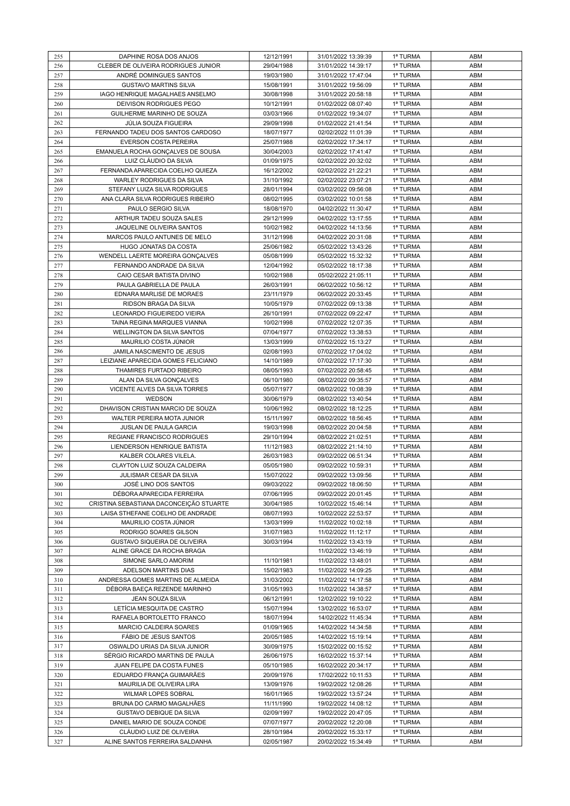| 255 | DAPHINE ROSA DOS ANJOS                  | 12/12/1991 | 31/01/2022 13:39:39 | 1ª TURMA | ABM |
|-----|-----------------------------------------|------------|---------------------|----------|-----|
| 256 | CLEBER DE OLIVEIRA RODRIGUES JUNIOR     | 29/04/1988 | 31/01/2022 14:39:17 | 1ª TURMA | ABM |
| 257 | ANDRÉ DOMINGUES SANTOS                  | 19/03/1980 | 31/01/2022 17:47:04 | 1ª TURMA | ABM |
| 258 | <b>GUSTAVO MARTINS SILVA</b>            | 15/08/1991 | 31/01/2022 19:56:09 | 1ª TURMA | ABM |
| 259 | IAGO HENRIQUE MAGALHAES ANSELMO         | 30/08/1998 | 31/01/2022 20:58:18 | 1ª TURMA | ABM |
| 260 | DEIVISON RODRIGUES PEGO                 | 10/12/1991 | 01/02/2022 08:07:40 | 1ª TURMA | ABM |
| 261 | GUILHERME MARINHO DE SOUZA              | 03/03/1966 | 01/02/2022 19:34:07 | 1ª TURMA | ABM |
| 262 | JÚLIA SOUZA FIGUEIRA                    | 29/09/1998 | 01/02/2022 21:41:54 | 1ª TURMA | ABM |
| 263 | FERNANDO TADEU DOS SANTOS CARDOSO       | 18/07/1977 | 02/02/2022 11:01:39 | 1ª TURMA | ABM |
| 264 | <b>EVERSON COSTA PEREIRA</b>            | 25/07/1988 | 02/02/2022 17:34:17 | 1ª TURMA | ABM |
| 265 | EMANUELA ROCHA GONÇALVES DE SOUSA       | 30/04/2003 | 02/02/2022 17:41:47 | 1ª TURMA | ABM |
| 266 | LUIZ CLÁUDIO DA SILVA                   | 01/09/1975 | 02/02/2022 20:32:02 | 1ª TURMA | ABM |
| 267 | FERNANDA APARECIDA COELHO QUIEZA        | 16/12/2002 | 02/02/2022 21:22:21 | 1ª TURMA | ABM |
| 268 | <b>WARLEY RODRIGUES DA SILVA</b>        | 31/10/1992 | 02/02/2022 23:07:21 | 1ª TURMA | ABM |
| 269 | STEFANY LUIZA SILVA RODRIGUES           | 28/01/1994 | 03/02/2022 09:56:08 | 1ª TURMA | ABM |
| 270 | ANA CLARA SILVA RODRIGUES RIBEIRO       | 08/02/1995 | 03/02/2022 10:01:58 | 1ª TURMA | ABM |
| 271 | PAULO SERGIO SILVA                      | 18/08/1970 | 04/02/2022 11:30:47 | 1ª TURMA | ABM |
| 272 | ARTHUR TADEU SOUZA SALES                | 29/12/1999 | 04/02/2022 13:17:55 | 1ª TURMA | ABM |
| 273 | JAQUELINE OLIVEIRA SANTOS               | 10/02/1982 | 04/02/2022 14:13:56 | 1ª TURMA | ABM |
| 274 | MARCOS PAULO ANTUNES DE MELO            | 31/12/1998 | 04/02/2022 20:31:08 | 1ª TURMA | ABM |
| 275 | <b>HUGO JONATAS DA COSTA</b>            | 25/06/1982 | 05/02/2022 13:43:26 | 1ª TURMA | ABM |
| 276 | WENDELL LAERTE MOREIRA GONÇALVES        | 05/08/1999 | 05/02/2022 15:32:32 | 1ª TURMA | ABM |
| 277 | FERNANDO ANDRADE DA SILVA               | 12/04/1992 | 05/02/2022 18:17:38 | 1ª TURMA | ABM |
| 278 | CAIO CESAR BATISTA DIVINO               | 10/02/1988 | 05/02/2022 21:05:11 | 1ª TURMA | ABM |
| 279 | PAULA GABRIELLA DE PAULA                | 26/03/1991 | 06/02/2022 10:56:12 | 1ª TURMA | ABM |
| 280 | EDNARA MARLISE DE MORAES                | 23/11/1979 | 06/02/2022 20:33:45 | 1ª TURMA | ABM |
| 281 | RIDSON BRAGA DA SILVA                   | 10/05/1979 | 07/02/2022 09:13:38 | 1ª TURMA | ABM |
| 282 | LEONARDO FIGUEIREDO VIEIRA              | 26/10/1991 | 07/02/2022 09:22:47 | 1ª TURMA | ABM |
| 283 | TAINA REGINA MARQUES VIANNA             | 10/02/1998 | 07/02/2022 12:07:35 | 1ª TURMA | ABM |
| 284 | <b>WELLINGTON DA SILVA SANTOS</b>       | 07/04/1977 | 07/02/2022 13:38:53 | 1ª TURMA | ABM |
| 285 | MAURILIO COSTA JÚNIOR                   | 13/03/1999 | 07/02/2022 15:13:27 | 1ª TURMA | ABM |
| 286 | JAMILA NASCIMENTO DE JESUS              | 02/08/1993 | 07/02/2022 17:04:02 | 1ª TURMA | ABM |
| 287 | LEIZIANE APARECIDA GOMES FELICIANO      | 14/10/1989 | 07/02/2022 17:17:30 | 1ª TURMA | ABM |
| 288 | THAMIRES FURTADO RIBEIRO                | 08/05/1993 | 07/02/2022 20:58:45 | 1ª TURMA | ABM |
| 289 | ALAN DA SILVA GONÇALVES                 | 06/10/1980 | 08/02/2022 09:35:57 | 1ª TURMA | ABM |
| 290 | VICENTE ALVES DA SILVA TORRES           | 05/07/1977 | 08/02/2022 10:08:39 | 1ª TURMA | ABM |
| 291 | WEDSON                                  | 30/06/1979 | 08/02/2022 13:40:54 | 1ª TURMA | ABM |
| 292 | DHAVISON CRISTIAN MARCIO DE SOUZA       | 10/06/1992 | 08/02/2022 18:12:25 | 1ª TURMA | ABM |
| 293 | WALTER PEREIRA MOTA JUNIOR              | 15/11/1997 | 08/02/2022 18:56:45 | 1ª TURMA | ABM |
| 294 | JUSLAN DE PAULA GARCIA                  | 19/03/1998 | 08/02/2022 20:04:58 | 1ª TURMA | ABM |
| 295 | REGIANE FRANCISCO RODRIGUES             | 29/10/1994 | 08/02/2022 21:02:51 | 1ª TURMA | ABM |
| 296 | LIENDERSON HENRIQUE BATISTA             | 11/12/1983 | 08/02/2022 21:14:10 | 1ª TURMA | ABM |
| 297 | KALBER COLARES VILELA.                  | 26/03/1983 | 09/02/2022 06:51:34 | 1ª TURMA | ABM |
| 298 | CLAYTON LUIZ SOUZA CALDEIRA             | 05/05/1980 | 09/02/2022 10:59:31 | 1ª TURMA | ABM |
| 299 | JULISMAR CESAR DA SILVA                 | 15/07/2022 | 09/02/2022 13:09:56 | 1ª TURMA | ABM |
| 300 | JOSÉ LINO DOS SANTOS                    | 09/03/2022 | 09/02/2022 18:06:50 | 1ª TURMA | ABM |
| 301 | DÉBORA APARECIDA FERREIRA               | 07/06/1995 | 09/02/2022 20:01:45 | 1ª TURMA | ABM |
| 302 | CRISTINA SEBASTIANA DACONCEIÇÃO STUARTE | 30/04/1985 | 10/02/2022 15:46:14 | 1ª TURMA | ABM |
| 303 | LAISA STHEFANE COELHO DE ANDRADE        | 08/07/1993 | 10/02/2022 22:53:57 | 1ª TURMA | ABM |
| 304 | MAURILIO COSTA JUNIOR                   | 13/03/1999 | 11/02/2022 10:02:18 | 1ª TURMA | ABM |
| 305 | RODRIGO SOARES GILSON                   | 31/07/1983 | 11/02/2022 11:12:17 | 1ª TURMA | ABM |
| 306 | GUSTAVO SIQUEIRA DE OLIVEIRA            | 30/03/1994 | 11/02/2022 13:43:19 | 1ª TURMA | ABM |
| 307 | ALINE GRACE DA ROCHA BRAGA              |            | 11/02/2022 13:46:19 | 1ª TURMA | ABM |
| 308 | SIMONE SARLO AMORIM                     | 11/10/1981 | 11/02/2022 13:48:01 | 1ª TURMA | ABM |
| 309 | ADELSON MARTINS DIAS                    | 15/02/1983 | 11/02/2022 14:09:25 | 1ª TURMA | ABM |
| 310 | ANDRESSA GOMES MARTINS DE ALMEIDA       | 31/03/2002 | 11/02/2022 14:17:58 | 1ª TURMA | ABM |
| 311 | DÉBORA BAEÇA REZENDE MARINHO            | 31/05/1993 | 11/02/2022 14:38:57 | 1ª TURMA | ABM |
| 312 | JEAN SOUZA SILVA                        | 06/12/1991 | 12/02/2022 19:10:22 | 1ª TURMA | ABM |
| 313 | LETÍCIA MESQUITA DE CASTRO              | 15/07/1994 | 13/02/2022 16:53:07 | 1ª TURMA | ABM |
| 314 | RAFAELA BORTOLETTO FRANCO               | 18/07/1994 | 14/02/2022 11:45:34 | 1ª TURMA | ABM |
| 315 | MARCIO CALDEIRA SOARES                  | 01/09/1965 | 14/02/2022 14:34:58 | 1ª TURMA | ABM |
| 316 | FÁBIO DE JESUS SANTOS                   | 20/05/1985 | 14/02/2022 15:19:14 | 1ª TURMA | ABM |
| 317 | OSWALDO URIAS DA SILVA JUNIOR           | 30/09/1975 | 15/02/2022 00:15:52 | 1ª TURMA | ABM |
| 318 | SÉRGIO RICARDO MARTINS DE PAULA         | 26/06/1975 | 16/02/2022 15:37:14 | 1ª TURMA | ABM |
| 319 | JUAN FELIPE DA COSTA FUNES              | 05/10/1985 | 16/02/2022 20:34:17 | 1ª TURMA | ABM |
| 320 | EDUARDO FRANÇA GUIMARÃES                | 20/09/1976 | 17/02/2022 10:11:53 | 1ª TURMA | ABM |
| 321 | MAURILIA DE OLIVEIRA LIRA               | 13/09/1976 | 19/02/2022 12:08:26 | 1ª TURMA | ABM |
| 322 | WILMAR LOPES SOBRAL                     | 16/01/1965 | 19/02/2022 13:57:24 | 1ª TURMA | ABM |
| 323 | BRUNA DO CARMO MAGALHÃES                | 11/11/1990 | 19/02/2022 14:08:12 | 1ª TURMA | ABM |
| 324 | GUSTAVO DEBIQUE DA SILVA                | 02/09/1997 | 19/02/2022 20:47:05 | 1ª TURMA | ABM |
| 325 | DANIEL MARIO DE SOUZA CONDE             | 07/07/1977 | 20/02/2022 12:20:08 | 1ª TURMA | ABM |
| 326 | CLÁUDIO LUIZ DE OLIVEIRA                | 28/10/1984 | 20/02/2022 15:33:17 | 1ª TURMA | ABM |
| 327 | ALINE SANTOS FERREIRA SALDANHA          | 02/05/1987 | 20/02/2022 15:34:49 | 1ª TURMA | ABM |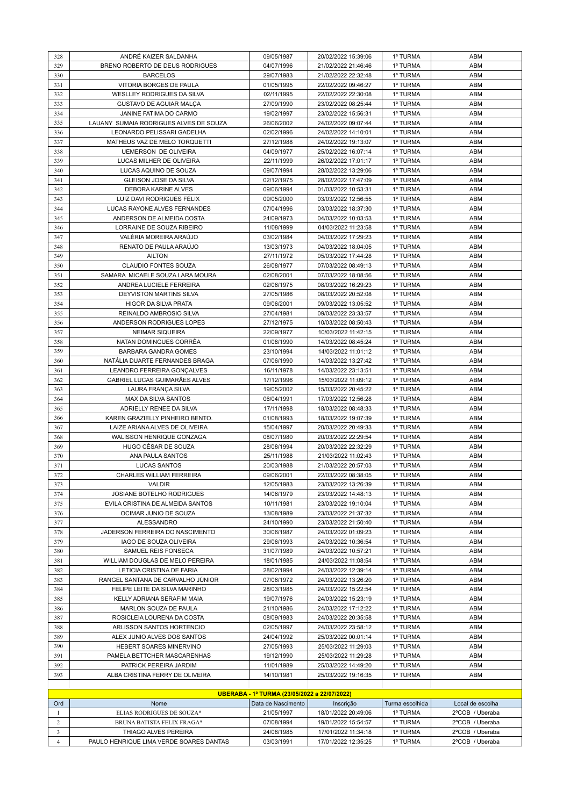| 328            | ANDRÉ KAIZER SALDANHA                                     | 09/05/1987                                   | 20/02/2022 15:39:06                        | 1ª TURMA             | ABM              |
|----------------|-----------------------------------------------------------|----------------------------------------------|--------------------------------------------|----------------------|------------------|
| 329            | BRENO ROBERTO DE DEUS RODRIGUES                           | 04/07/1996                                   | 21/02/2022 21:46:46                        | 1ª TURMA             | ABM              |
| 330            | <b>BARCELOS</b>                                           | 29/07/1983                                   | 21/02/2022 22:32:48                        | 1ª TURMA             | ABM              |
| 331            | VITORIA BORGES DE PAULA                                   | 01/05/1995                                   | 22/02/2022 09:46:27                        | 1ª TURMA             | ABM              |
| 332            | WESLLEY RODRIGUES DA SILVA                                | 02/11/1995                                   | 22/02/2022 22:30:08                        | 1ª TURMA             | ABM              |
| 333            | GUSTAVO DE AGUIAR MALCA                                   | 27/09/1990                                   | 23/02/2022 08:25:44                        | 1ª TURMA             | ABM              |
| 334            | JANINE FATIMA DO CARMO                                    | 19/02/1997                                   | 23/02/2022 15:56:31                        | 1ª TURMA             | ABM              |
| 335            | LAUANY SUMAIA RODRIGUES ALVES DE SOUZA                    | 26/06/2002                                   | 24/02/2022 09:07:44                        | 1ª TURMA             | ABM              |
| 336            | LEONARDO PELISSARI GADELHA                                | 02/02/1996                                   | 24/02/2022 14:10:01                        | 1ª TURMA             | ABM              |
| 337            | MATHEUS VAZ DE MELO TORQUETTI                             | 27/12/1988                                   | 24/02/2022 19:13:07                        | 1ª TURMA             | ABM              |
| 338            | <b>UEMERSON DE OLIVEIRA</b>                               | 04/09/1977                                   | 25/02/2022 16:07:14                        | 1ª TURMA             | ABM              |
| 339            | LUCAS MILHER DE OLIVEIRA                                  | 22/11/1999                                   | 26/02/2022 17:01:17                        | 1ª TURMA             | ABM              |
| 340            | LUCAS AQUINO DE SOUZA                                     | 09/07/1994                                   | 28/02/2022 13:29:06                        | 1ª TURMA             | ABM              |
| 341            | GLEISON JOSE DA SILVA                                     | 02/12/1975                                   | 28/02/2022 17:47:09                        | 1ª TURMA             | ABM              |
| 342            | DEBORA KARINE ALVES                                       | 09/06/1994                                   | 01/03/2022 10:53:31                        | 1ª TURMA             | ABM              |
| 343            | LUIZ DAVI RODRIGUES FÉLIX                                 | 09/05/2000                                   | 03/03/2022 12:56:55                        | 1ª TURMA             | ABM              |
| 344            | LUCAS RAYONE ALVES FERNANDES                              | 07/04/1996                                   | 03/03/2022 18:37:30                        | 1ª TURMA             | ABM              |
| 345            | ANDERSON DE ALMEIDA COSTA                                 | 24/09/1973                                   | 04/03/2022 10:03:53                        | 1ª TURMA             | ABM              |
| 346<br>347     | LORRAINE DE SOUZA RIBEIRO<br>VALÉRIA MOREIRA ARAÚJO       | 11/08/1999<br>03/02/1984                     | 04/03/2022 11:23:58<br>04/03/2022 17:29:23 | 1ª TURMA<br>1ª TURMA | ABM<br>ABM       |
|                | RENATO DE PAULA ARAÚJO                                    |                                              | 04/03/2022 18:04:05                        |                      | ABM              |
| 348<br>349     | <b>AILTON</b>                                             | 13/03/1973<br>27/11/1972                     | 05/03/2022 17:44:28                        | 1ª TURMA<br>1ª TURMA | ABM              |
| 350            | CLAUDIO FONTES SOUZA                                      | 26/08/1977                                   | 07/03/2022 08:49:13                        | 1ª TURMA             | ABM              |
| 351            | SAMARA MICAELE SOUZA LARA MOURA                           | 02/08/2001                                   | 07/03/2022 18:08:56                        | 1ª TURMA             | ABM              |
| 352            | ANDREA LUCIELE FERREIRA                                   | 02/06/1975                                   | 08/03/2022 16:29:23                        | 1ª TURMA             | ABM              |
| 353            | <b>DEYVISTON MARTINS SILVA</b>                            | 27/05/1986                                   | 08/03/2022 20:52:08                        | 1ª TURMA             | ABM              |
| 354            | HIGOR DA SILVA PRATA                                      | 09/06/2001                                   | 09/03/2022 13:05:52                        | 1ª TURMA             | ABM              |
| 355            | REINALDO AMBROSIO SILVA                                   | 27/04/1981                                   | 09/03/2022 23:33:57                        | 1ª TURMA             | ABM              |
| 356            | ANDERSON RODRIGUES LOPES                                  | 27/12/1975                                   | 10/03/2022 08:50:43                        | 1ª TURMA             | ABM              |
| 357            | <b>NEIMAR SIQUEIRA</b>                                    | 22/09/1977                                   | 10/03/2022 11:42:15                        | 1ª TURMA             | ABM              |
| 358            | NATAN DOMINGUES CORRÊA                                    | 01/08/1990                                   | 14/03/2022 08:45:24                        | 1ª TURMA             | ABM              |
| 359            | BARBARA GANDRA GOMES                                      | 23/10/1994                                   | 14/03/2022 11:01:12                        | 1ª TURMA             | ABM              |
| 360            | NATÁLIA DUARTE FERNANDES BRAGA                            | 07/06/1990                                   | 14/03/2022 13:27:42                        | 1ª TURMA             | ABM              |
| 361            | LEANDRO FERREIRA GONÇALVES                                | 16/11/1978                                   | 14/03/2022 23:13:51                        | 1ª TURMA             | ABM              |
| 362            | GABRIEL LUCAS GUIMARÃES ALVES                             | 17/12/1996                                   | 15/03/2022 11:09:12                        | 1ª TURMA             | ABM              |
| 363            | LAURA FRANÇA SILVA                                        | 19/05/2002                                   | 15/03/2022 20:45:22                        | 1ª TURMA             | ABM              |
| 364            | MAX DA SILVA SANTOS                                       | 06/04/1991                                   | 17/03/2022 12:56:28                        | 1ª TURMA             | ABM              |
| 365            | ADRIELLY RENEE DA SILVA                                   | 17/11/1998                                   | 18/03/2022 08:48:33                        | 1ª TURMA             | ABM              |
| 366            | KAREN GRAZIELLY PINHEIRO BENTO.                           | 01/08/1993                                   | 18/03/2022 19:07:39                        | 1ª TURMA             | ABM              |
| 367            | LAIZE ARIANA ALVES DE OLIVEIRA                            | 15/04/1997                                   | 20/03/2022 20:49:33                        | 1ª TURMA             | ABM              |
| 368            | WALISSON HENRIQUE GONZAGA                                 | 08/07/1980                                   | 20/03/2022 22:29:54                        | 1ª TURMA             | ABM              |
| 369            | HUGO CÉSAR DE SOUZA                                       | 28/08/1994                                   | 20/03/2022 22:32:29                        | 1ª TURMA             | ABM              |
| 370            | ANA PAULA SANTOS                                          | 25/11/1988                                   | 21/03/2022 11:02:43                        | 1ª TURMA             | ABM              |
| 371            | LUCAS SANTOS                                              | 20/03/1988                                   | 21/03/2022 20:57:03                        | 1ª TURMA             | ABM              |
| 372            | CHARLES WILLIAM FERREIRA                                  | 09/06/2001                                   | 22/03/2022 08:38:05                        | 1ª TURMA             | <b>ABM</b>       |
| 373            | <b>VALDIR</b>                                             | 12/05/1983                                   | 23/03/2022 13:26:39                        | 1ª TURMA             | ABM              |
| 374            | JOSIANE BOTELHO RODRIGUES                                 | 14/06/1979                                   | 23/03/2022 14:48:13                        | 1ª TURMA             | ABM              |
| 375            | EVILA CRISTINA DE ALMEIDA SANTOS                          | 10/11/1981                                   | 23/03/2022 19:10:04                        | 1ª TURMA             | ABM              |
| 376            | OCIMAR JUNIO DE SOUZA                                     | 13/08/1989                                   | 23/03/2022 21:37:32                        | 1ª TURMA             | ABM              |
| 377            | ALESSANDRO                                                | 24/10/1990                                   | 23/03/2022 21:50:40                        | 1ª TURMA             | ABM              |
| 378<br>379     | JADERSON FERREIRA DO NASCIMENTO<br>IAGO DE SOUZA OLIVEIRA | 30/06/1987<br>29/06/1993                     | 24/03/2022 01:09:23<br>24/03/2022 10:36:54 | 1ª TURMA<br>1ª TURMA | ABM<br>ABM       |
|                | SAMUEL REIS FONSECA                                       |                                              |                                            |                      | ABM              |
| 380<br>381     | WILLIAM DOUGLAS DE MELO PEREIRA                           | 31/07/1989<br>18/01/1985                     | 24/03/2022 10:57:21<br>24/03/2022 11:08:54 | 1ª TURMA<br>1ª TURMA | ABM              |
| 382            | LETICIA CRISTINA DE FARIA                                 | 28/02/1994                                   | 24/03/2022 12:39:14                        | 1ª TURMA             | ABM              |
| 383            | RANGEL SANTANA DE CARVALHO JÚNIOR                         | 07/06/1972                                   | 24/03/2022 13:26:20                        | 1ª TURMA             | ABM              |
| 384            | FELIPE LEITE DA SILVA MARINHO                             | 28/03/1985                                   | 24/03/2022 15:22:54                        | 1ª TURMA             | ABM              |
| 385            | KELLY ADRIANA SERAFIM MAIA                                | 19/07/1976                                   | 24/03/2022 15:23:19                        | 1ª TURMA             | ABM              |
| 386            | MARLON SOUZA DE PAULA                                     | 21/10/1986                                   | 24/03/2022 17:12:22                        | 1ª TURMA             | ABM              |
| 387            | ROSICLEIA LOURENA DA COSTA                                | 08/09/1983                                   | 24/03/2022 20:35:58                        | 1ª TURMA             | ABM              |
| 388            | ARLISSON SANTOS HORTENCIO                                 | 02/05/1997                                   | 24/03/2022 23:58:12                        | 1ª TURMA             | ABM              |
| 389            | ALEX JUNIO ALVES DOS SANTOS                               | 24/04/1992                                   | 25/03/2022 00:01:14                        | 1ª TURMA             | ABM              |
| 390            | HEBERT SOARES MINERVINO                                   | 27/05/1993                                   | 25/03/2022 11:29:03                        | 1ª TURMA             | ABM              |
| 391            | PAMELA BETTCHER MASCARENHAS                               | 19/12/1990                                   | 25/03/2022 11:29:28                        | 1ª TURMA             | ABM              |
| 392            | PATRICK PEREIRA JARDIM                                    | 11/01/1989                                   | 25/03/2022 14:49:20                        | 1ª TURMA             | ABM              |
| 393            | ALBA CRISTINA FERRY DE OLIVEIRA                           | 14/10/1981                                   | 25/03/2022 19:16:35                        | 1ª TURMA             | ABM              |
|                |                                                           |                                              |                                            |                      |                  |
|                |                                                           | UBERABA - 1ª TURMA (23/05/2022 a 22/07/2022) |                                            |                      |                  |
| Ord            | Nome                                                      | Data de Nascimento                           | Inscrição                                  | Turma escolhida      | Local de escolha |
| 1              | ELIAS RODRIGUES DE SOUZA*                                 | 21/05/1997                                   | 18/01/2022 20:49:06                        | 1ª TURMA             | 2°COB / Uberaba  |
| $\overline{c}$ | BRUNA BATISTA FELIX FRAGA*                                | 07/08/1994                                   | 19/01/2022 15:54:57                        | 1ª TURMA             | 2°COB / Uberaba  |
| 3              | THIAGO ALVES PEREIRA                                      | 24/08/1985                                   | 17/01/2022 11:34:18                        | 1ª TURMA             | 2°COB / Uberaba  |
| $\overline{4}$ | PAULO HENRIQUE LIMA VERDE SOARES DANTAS                   | 03/03/1991                                   | 17/01/2022 12:35:25                        | 1ª TURMA             | 2°COB / Uberaba  |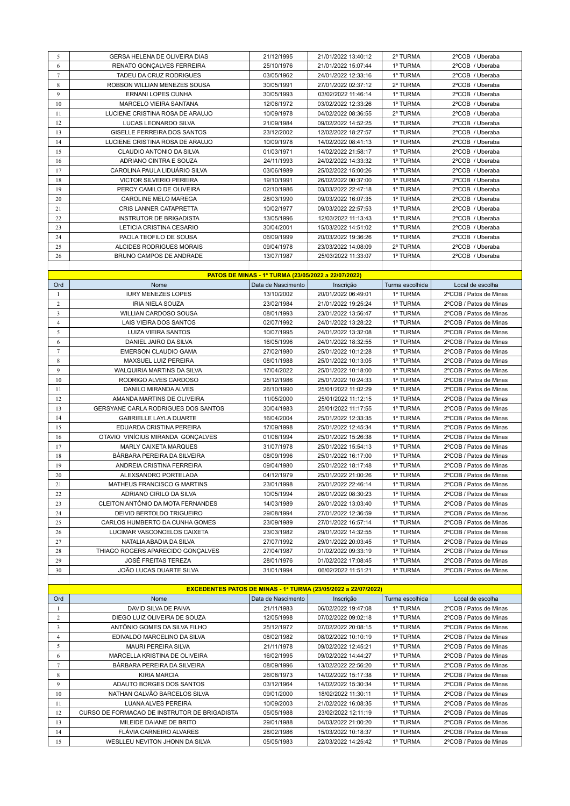| 5  | <b>GERSA HELENA DE OLIVEIRA DIAS</b> | 21/12/1995 | 21/01/2022 13:40:12 | 2ª TURMA | 2°COB / Uberaba |
|----|--------------------------------------|------------|---------------------|----------|-----------------|
| 6  | RENATO GONÇALVES FERREIRA            | 25/10/1976 | 21/01/2022 15:07:44 | 1ª TURMA | 2°COB / Uberaba |
| 7  | <b>TADEU DA CRUZ RODRIGUES</b>       | 03/05/1962 | 24/01/2022 12:33:16 | 1ª TURMA | 2°COB / Uberaba |
| 8  | ROBSON WILLIAN MENEZES SOUSA         | 30/05/1991 | 27/01/2022 02:37:12 | 2ª TURMA | 2°COB / Uberaba |
| 9  | <b>ERNANI LOPES CUNHA</b>            | 30/05/1993 | 03/02/2022 11:46:14 | 1ª TURMA | 2°COB / Uberaba |
| 10 | MARCELO VIEIRA SANTANA               | 12/06/1972 | 03/02/2022 12:33:26 | 1ª TURMA | 2°COB / Uberaba |
| 11 | LUCIENE CRISTINA ROSA DE ARAUJO      | 10/09/1978 | 04/02/2022 08:36:55 | 2ª TURMA | 2°COB / Uberaba |
| 12 | LUCAS LEONARDO SILVA                 | 21/09/1984 | 09/02/2022 14:52:25 | 1ª TURMA | 2°COB / Uberaba |
| 13 | GISELLE FERREIRA DOS SANTOS          | 23/12/2002 | 12/02/2022 18:27:57 | 1ª TURMA | 2°COB / Uberaba |
| 14 | LUCIENE CRISTINA ROSA DE ARAUJO      | 10/09/1978 | 14/02/2022 08:41:13 | 1ª TURMA | 2°COB / Uberaba |
| 15 | CLAUDIO ANTONIO DA SILVA             | 01/03/1971 | 14/02/2022 21:58:17 | 1ª TURMA | 2°COB / Uberaba |
| 16 | ADRIANO CINTRA E SOUZA               | 24/11/1993 | 24/02/2022 14:33:32 | 1ª TURMA | 2°COB / Uberaba |
| 17 | CAROLINA PAULA LIDUÁRIO SILVA        | 03/06/1989 | 25/02/2022 15:00:26 | 1ª TURMA | 2°COB / Uberaba |
| 18 | <b>VICTOR SILVERIO PEREIRA</b>       | 19/10/1991 | 26/02/2022 00:37:00 | 1ª TURMA | 2°COB / Uberaba |
| 19 | PERCY CAMILO DE OLIVEIRA             | 02/10/1986 | 03/03/2022 22:47:18 | 1ª TURMA | 2°COB / Uberaba |
| 20 | CAROLINE MELO MAREGA                 | 28/03/1990 | 09/03/2022 16:07:35 | 1ª TURMA | 2°COB / Uberaba |
| 21 | <b>CRIS LANNER CATAPRETTA</b>        | 10/02/1977 | 09/03/2022 22:57:53 | 1ª TURMA | 2°COB / Uberaba |
| 22 | INSTRUTOR DE BRIGADISTA              | 13/05/1996 | 12/03/2022 11:13:43 | 1ª TURMA | 2°COB / Uberaba |
| 23 | LETICIA CRISTINA CESARIO             | 30/04/2001 | 15/03/2022 14:51:02 | 1ª TURMA | 2°COB / Uberaba |
| 24 | PAOLA TEOFILO DE SOUSA               | 06/09/1999 | 20/03/2022 19:36:26 | 1ª TURMA | 2°COB / Uberaba |
| 25 | ALCIDES RODRIGUES MORAIS             | 09/04/1978 | 23/03/2022 14:08:09 | 2ª TURMA | 2°COB / Uberaba |
| 26 | <b>BRUNO CAMPOS DE ANDRADE</b>       | 13/07/1987 | 25/03/2022 11:33:07 | 1ª TURMA | 2°COB / Uberaba |

|                | PATOS DE MINAS - 1ª TURMA (23/05/2022 a 22/07/2022) |                    |                     |                 |                        |  |  |
|----------------|-----------------------------------------------------|--------------------|---------------------|-----------------|------------------------|--|--|
| Ord            | Nome                                                | Data de Nascimento | Inscrição           | Turma escolhida | Local de escolha       |  |  |
| 1              | <b>IURY MENEZES LOPES</b>                           | 13/10/2002         | 20/01/2022 06:49:01 | 1ª TURMA        | 2°COB / Patos de Minas |  |  |
| 2              | <b>IRIA NIELA SOUZA</b>                             | 23/02/1984         | 21/01/2022 19:25:24 | 1ª TURMA        | 2°COB / Patos de Minas |  |  |
| $\overline{3}$ | <b>WILLIAN CARDOSO SOUSA</b>                        | 08/01/1993         | 23/01/2022 13:56:47 | 1ª TURMA        | 2°COB / Patos de Minas |  |  |
| $\overline{4}$ | LAIS VIEIRA DOS SANTOS                              | 02/07/1992         | 24/01/2022 13:28:22 | 1ª TURMA        | 2°COB / Patos de Minas |  |  |
| 5              | LUIZA VIEIRA SANTOS                                 | 10/07/1995         | 24/01/2022 13:32:08 | 1ª TURMA        | 2°COB / Patos de Minas |  |  |
| 6              | DANIEL JAIRO DA SILVA                               | 16/05/1996         | 24/01/2022 18:32:55 | 1ª TURMA        | 2°COB / Patos de Minas |  |  |
| $\tau$         | EMERSON CLAUDIO GAMA                                | 27/02/1980         | 25/01/2022 10:12:28 | 1ª TURMA        | 2°COB / Patos de Minas |  |  |
| 8              | <b>MAXSUEL LUIZ PEREIRA</b>                         | 08/01/1988         | 25/01/2022 10:13:05 | 1ª TURMA        | 2°COB / Patos de Minas |  |  |
| $\mathbf{Q}$   | <b>WALQUIRIA MARTINS DA SILVA</b>                   | 17/04/2022         | 25/01/2022 10:18:00 | 1ª TURMA        | 2°COB / Patos de Minas |  |  |
| 10             | RODRIGO ALVES CARDOSO                               | 25/12/1986         | 25/01/2022 10:24:33 | 1ª TURMA        | 2°COB / Patos de Minas |  |  |
| 11             | DANILO MIRANDA ALVES                                | 26/10/1990         | 25/01/2022 11:02:29 | 1ª TURMA        | 2°COB / Patos de Minas |  |  |
| 12             | AMANDA MARTINS DE OLIVEIRA                          | 11/05/2000         | 25/01/2022 11:12:15 | 1ª TURMA        | 2°COB / Patos de Minas |  |  |
| 13             | <b>GERSYANE CARLA RODRIGUES DOS SANTOS</b>          | 30/04/1983         | 25/01/2022 11:17:55 | 1ª TURMA        | 2°COB / Patos de Minas |  |  |
| 14             | <b>GABRIELLE LAYLA DUARTE</b>                       | 16/04/2004         | 25/01/2022 12:33:35 | 1ª TURMA        | 2°COB / Patos de Minas |  |  |
| 15             | <b>EDUARDA CRISTINA PEREIRA</b>                     | 17/09/1998         | 25/01/2022 12:45:34 | 1ª TURMA        | 2°COB / Patos de Minas |  |  |
| 16             | OTAVIO VINÍCIUS MIRANDA GONCALVES                   | 01/08/1994         | 25/01/2022 15:26:38 | 1ª TURMA        | 2°COB / Patos de Minas |  |  |
| 17             | <b>MARLY CAIXETA MARQUES</b>                        | 31/07/1978         | 25/01/2022 15:54:13 | 1ª TURMA        | 2°COB / Patos de Minas |  |  |
| 18             | BÁRBARA PEREIRA DA SILVEIRA                         | 08/09/1996         | 25/01/2022 16:17:00 | 1ª TURMA        | 2°COB / Patos de Minas |  |  |
| 19             | ANDREIA CRISTINA FERREIRA                           | 09/04/1980         | 25/01/2022 18:17:48 | 1ª TURMA        | 2°COB / Patos de Minas |  |  |
| 20             | ALEXSANDRO PORTELADA                                | 04/12/1979         | 25/01/2022 21:00:26 | 1ª TURMA        | 2°COB / Patos de Minas |  |  |
| 21             | MATHEUS FRANCISCO G MARTINS                         | 23/01/1998         | 25/01/2022 22:46:14 | 1ª TURMA        | 2°COB / Patos de Minas |  |  |
| 22             | ADRIANO CIRILO DA SILVA                             | 10/05/1994         | 26/01/2022 08:30:23 | 1ª TURMA        | 2°COB / Patos de Minas |  |  |
| 23             | CLEITON ANTÔNIO DA MOTA FERNANDES                   | 14/03/1989         | 26/01/2022 13:03:40 | 1ª TURMA        | 2°COB / Patos de Minas |  |  |
| 24             | DEIVID BERTOLDO TRIGUEIRO                           | 29/08/1994         | 27/01/2022 12:36:59 | 1ª TURMA        | 2°COB / Patos de Minas |  |  |
| 25             | CARLOS HUMBERTO DA CUNHA GOMES                      | 23/09/1989         | 27/01/2022 16:57:14 | 1ª TURMA        | 2°COB / Patos de Minas |  |  |
| 26             | LUCIMAR VASCONCELOS CAIXETA                         | 23/03/1982         | 29/01/2022 14:32:55 | 1ª TURMA        | 2°COB / Patos de Minas |  |  |
| 27             | NATALIA ABADIA DA SILVA                             | 27/07/1992         | 29/01/2022 20:03:45 | 1ª TURMA        | 2°COB / Patos de Minas |  |  |
| 28             | THIAGO ROGERS APARECIDO GONCALVES                   | 27/04/1987         | 01/02/2022 09:33:19 | 1ª TURMA        | 2°COB / Patos de Minas |  |  |
| 29             | <b>JOSÉ FREITAS TEREZA</b>                          | 28/01/1976         | 01/02/2022 17:08:45 | 1ª TURMA        | 2°COB / Patos de Minas |  |  |
| 30             | JOÃO LUCAS DUARTE SILVA                             | 31/01/1994         | 06/02/2022 11:51:21 | 1ª TURMA        | 2°COB / Patos de Minas |  |  |
|                |                                                     |                    |                     |                 |                        |  |  |

|     | <b>EXCEDENTES PATOS DE MINAS - 1ª TURMA (23/05/2022 a 22/07/2022)</b> |                    |                     |                 |                        |  |  |  |  |
|-----|-----------------------------------------------------------------------|--------------------|---------------------|-----------------|------------------------|--|--|--|--|
| Ord | Nome                                                                  | Data de Nascimento | Inscrição           | Turma escolhida | Local de escolha       |  |  |  |  |
|     | DAVID SILVA DE PAIVA                                                  | 21/11/1983         | 06/02/2022 19:47:08 | 1ª TURMA        | 2°COB / Patos de Minas |  |  |  |  |
| 2   | DIEGO LUIZ OLIVEIRA DE SOUZA                                          | 12/05/1998         | 07/02/2022 09:02:18 | 1ª TURMA        | 2°COB / Patos de Minas |  |  |  |  |
| 3   | ANTÔNIO GOMES DA SILVA FILHO                                          | 25/12/1972         | 07/02/2022 20:08:15 | 1ª TURMA        | 2°COB / Patos de Minas |  |  |  |  |
| 4   | EDIVALDO MARCELINO DA SILVA                                           | 08/02/1982         | 08/02/2022 10:10:19 | 1ª TURMA        | 2°COB / Patos de Minas |  |  |  |  |
| 5   | <b>MAURI PEREIRA SILVA</b>                                            | 21/11/1978         | 09/02/2022 12:45:21 | 1ª TURMA        | 2°COB / Patos de Minas |  |  |  |  |
| 6   | MARCELLA KRISTINA DE OLIVEIRA                                         | 16/02/1995         | 09/02/2022 14:44:27 | 1ª TURMA        | 2°COB / Patos de Minas |  |  |  |  |
| 7   | BÁRBARA PEREIRA DA SILVEIRA                                           | 08/09/1996         | 13/02/2022 22:56:20 | 1ª TURMA        | 2°COB / Patos de Minas |  |  |  |  |
| 8   | <b>KIRIA MARCIA</b>                                                   | 26/08/1973         | 14/02/2022 15:17:38 | 1ª TURMA        | 2°COB / Patos de Minas |  |  |  |  |
| 9   | ADAUTO BORGES DOS SANTOS                                              | 03/12/1964         | 14/02/2022 15:30:34 | 1ª TURMA        | 2°COB / Patos de Minas |  |  |  |  |
| 10  | NATHAN GALVÃO BARCELOS SILVA                                          | 09/01/2000         | 18/02/2022 11:30:11 | 1ª TURMA        | 2°COB / Patos de Minas |  |  |  |  |
| 11  | LUANA ALVES PEREIRA                                                   | 10/09/2003         | 21/02/2022 16:08:35 | 1ª TURMA        | 2°COB / Patos de Minas |  |  |  |  |
| 12  | CURSO DE FORMACAO DE INSTRUTOR DE BRIGADISTA                          | 05/05/1988         | 23/02/2022 12:11:19 | 1ª TURMA        | 2°COB / Patos de Minas |  |  |  |  |
| 13  | MILEIDE DAIANE DE BRITO                                               | 29/01/1988         | 04/03/2022 21:00:20 | 1ª TURMA        | 2°COB / Patos de Minas |  |  |  |  |
| 14  | <b>FLÁVIA CARNEIRO ALVARES</b>                                        | 28/02/1986         | 15/03/2022 10:18:37 | 1ª TURMA        | 2°COB / Patos de Minas |  |  |  |  |
| 15  | WESLLEU NEVITON JHONN DA SILVA                                        | 05/05/1983         | 22/03/2022 14:25:42 | 1ª TURMA        | 2°COB / Patos de Minas |  |  |  |  |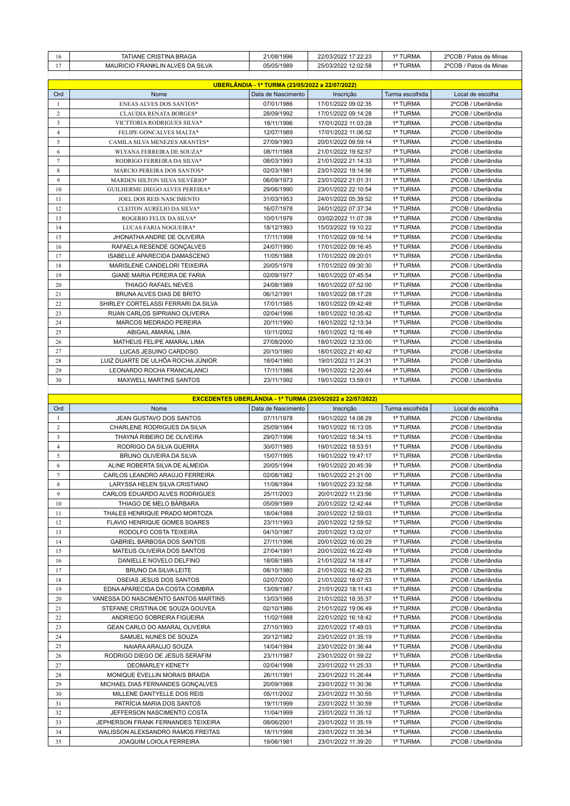| 16                                              | <b>TATIANE CRISTINA BRAGA</b>        | 21/08/1996         | 22/03/2022 17:22:23 | 1ª TURMA        | 2°COB / Patos de Minas |  |  |  |
|-------------------------------------------------|--------------------------------------|--------------------|---------------------|-----------------|------------------------|--|--|--|
| 17                                              | MAURICIO FRANKLIN ALVES DA SILVA     | 05/05/1989         | 25/03/2022 12:02:58 | 1ª TURMA        | 2°COB / Patos de Minas |  |  |  |
|                                                 |                                      |                    |                     |                 |                        |  |  |  |
| UBERLÂNDIA - 1ª TURMA (23/05/2022 a 22/07/2022) |                                      |                    |                     |                 |                        |  |  |  |
| <b>Ord</b>                                      | Nome                                 | Data de Nascimento | Inscrição           | Turma escolhida | Local de escolha       |  |  |  |
| 1                                               | <b>ENEAS ALVES DOS SANTOS*</b>       | 07/01/1986         | 17/01/2022 09:02:35 | 1ª TURMA        | 2°COB / Uberlândia     |  |  |  |
| $\overline{c}$                                  | <b>CLAUDIA RENATA BORGES*</b>        | 28/09/1992         | 17/01/2022 09:14:28 | 1ª TURMA        | 2°COB / Uberlândia     |  |  |  |
| $\overline{\mathbf{3}}$                         | VICTTORIA RODRIGUES SILVA*           | 18/11/1996         | 17/01/2022 11:03:28 | 1ª TURMA        | 2°COB / Uberlândia     |  |  |  |
| $\overline{4}$                                  | FELIPE GONCALVES MALTA*              | 12/07/1989         | 17/01/2022 11:06:52 | 1ª TURMA        | 2°COB / Uberlândia     |  |  |  |
| 5                                               | <b>CAMILA SILVA MENEZES ARANTES*</b> | 27/09/1993         | 20/01/2022 09:59:14 | 1ª TURMA        | 2°COB / Uberlândia     |  |  |  |
| 6                                               | WLYANA FERREIRA DE SOUZA*            | 08/11/1988         | 21/01/2022 19:52:57 | 1ª TURMA        | 2°COB / Uberlândia     |  |  |  |
| 7                                               | RODRIGO FERREIRA DA SILVA*           | 08/03/1993         | 21/01/2022 21:14:33 | 1ª TURMA        | 2°COB / Uberlândia     |  |  |  |
| 8                                               | MÁRCIO PEREIRA DOS SANTOS*           | 02/03/1981         | 23/01/2022 19:14:56 | 1ª TURMA        | 2°COB / Uberlândia     |  |  |  |
| 9                                               | <b>MARDEN HILTON SILVA SILVÉRIO*</b> | 06/09/1973         | 23/01/2022 21:01:31 | 1ª TURMA        | 2°COB / Uberlândia     |  |  |  |
| 10                                              | GUILHERME DIEGO ALVES PEREIRA*       | 29/06/1990         | 23/01/2022 22:10:54 | 1ª TURMA        | 2°COB / Uberlândia     |  |  |  |
| 11                                              | <b>JOEL DOS REIS NASCIMENTO</b>      | 31/03/1953         | 24/01/2022 05:39:52 | 1ª TURMA        | 2°COB / Uberlândia     |  |  |  |
| 12                                              | CLEITON AURÉLIO DA SILVA*            | 16/07/1978         | 24/01/2022 07:37:34 | 1ª TURMA        | 2°COB / Uberlândia     |  |  |  |
| 13                                              | ROGERIO FELIX DA SILVA*              | 10/01/1976         | 03/02/2022 11:07:39 | 1ª TURMA        | 2°COB / Uberlândia     |  |  |  |
| 14                                              | LUCAS FARIA NOGUEIRA*                | 18/12/1993         | 15/03/2022 19:10:22 | 1ª TURMA        | 2°COB / Uberlândia     |  |  |  |
| 15                                              | JHONATHA ANDRE DE OLIVEIRA           | 17/11/1998         | 17/01/2022 09:16:14 | 1ª TURMA        | 2°COB / Uberlândia     |  |  |  |
| 16                                              | RAFAELA RESENDE GONCALVES            | 24/07/1990         | 17/01/2022 09:16:45 | 1ª TURMA        | 2°COB / Uberlândia     |  |  |  |
| 17                                              | <b>ISABELLE APARECIDA DAMASCENO</b>  | 11/05/1988         | 17/01/2022 09:20:01 | 1ª TURMA        | 2°COB / Uberlândia     |  |  |  |
| 18                                              | MARISLENE CANDELORI TEIXEIRA         | 20/05/1978         | 17/01/2022 09:30:30 | 1ª TURMA        | 2°COB / Uberlândia     |  |  |  |
| 19                                              | GIANE MARIA PEREIRA DE FARIA         | 02/09/1977         | 18/01/2022 07:45:54 | 1ª TURMA        | 2°COB / Uberlândia     |  |  |  |
| 20                                              | THIAGO RAFAEL NEVES                  | 24/08/1989         | 18/01/2022 07:52:00 | 1ª TURMA        | 2°COB / Uberlândia     |  |  |  |
| 21                                              | BRUNA ALVES DIAS DE BRITO            | 06/12/1991         | 18/01/2022 08:17:29 | 1ª TURMA        | 2°COB / Uberlândia     |  |  |  |
| 22                                              | SHIRLEY CORTELASSI FERRARI DA SILVA  | 17/01/1985         | 18/01/2022 09:42:49 | 1ª TURMA        | 2°COB / Uberlândia     |  |  |  |
| 23                                              | RUAN CARLOS SIPRIANO OLIVEIRA        | 02/04/1996         | 18/01/2022 10:35:42 | 1ª TURMA        | 2°COB / Uberlândia     |  |  |  |
| 24                                              | <b>MARCOS MEDRADO PEREIRA</b>        | 20/11/1990         | 18/01/2022 12:13:34 | 1ª TURMA        | 2°COB / Uberlândia     |  |  |  |
| 25                                              | ABIGAIL AMARAL LIMA                  | 10/11/2002         | 18/01/2022 12:16:49 | 1ª TURMA        | 2°COB / Uberlândia     |  |  |  |
| 26                                              | MATHEUS FELIPE AMARAL LIMA           | 27/08/2000         | 18/01/2022 12:33:00 | 1ª TURMA        | 2°COB / Uberlândia     |  |  |  |
| 27                                              | LUCAS JESUINO CARDOSO                | 20/10/1980         | 18/01/2022 21:40:42 | 1ª TURMA        | 2°COB / Uberlândia     |  |  |  |
| 28                                              | LUIZ DUARTE DE ULHÔA ROCHA JÚNIOR    | 18/04/1980         | 19/01/2022 11:24:31 | 1ª TURMA        | 2°COB / Uberlândia     |  |  |  |
| 29                                              | LEONARDO ROCHA FRANCALANCI           | 17/11/1986         | 19/01/2022 12:20:44 | 1ª TURMA        | 2°COB / Uberlândia     |  |  |  |
| 30                                              | <b>MAXWELL MARTINS SANTOS</b>        | 23/11/1992         | 19/01/2022 13:59:01 | 1ª TURMA        | 2°COB / Uberlândia     |  |  |  |
|                                                 |                                      |                    |                     |                 |                        |  |  |  |

## **EXCEDENTES UBERLÂNDIA - 1ª TURMA (23/05/2022 a 22/07/2022)**

 $\mathbf \Gamma$ 

| Ord            | Nome                                  | Data de Nascimento | Inscrição           | Turma escolhida | Local de escolha   |
|----------------|---------------------------------------|--------------------|---------------------|-----------------|--------------------|
| $\mathbf{1}$   | JEAN GUSTAVO DOS SANTOS               | 07/11/1978         | 19/01/2022 14:08:29 | 1ª TURMA        | 2°COB / Uberlândia |
| $\overline{c}$ | CHARLENE RODRIGUES DA SILVA           | 25/09/1984         | 19/01/2022 16:13:05 | 1ª TURMA        | 2°COB / Uberlândia |
| 3              | THAYNA RIBEIRO DE OLIVEIRA            | 29/07/1996         | 19/01/2022 18:34:15 | 1ª TURMA        | 2°COB / Uberlândia |
| 4              | RODRIGO DA SILVA GUERRA               | 30/07/1985         | 19/01/2022 18:53:51 | 1ª TURMA        | 2°COB / Uberlândia |
| 5              | <b>BRUNO OLIVEIRA DA SILVA</b>        | 15/07/1995         | 19/01/2022 19:47:17 | 1ª TURMA        | 2°COB / Uberlândia |
| 6              | ALINE ROBERTA SILVA DE ALMEIDA        | 20/05/1994         | 19/01/2022 20:45:39 | 1ª TURMA        | 2°COB / Uberlândia |
| 7              | CARLOS LEANDRO ARAÚJO FERREIRA        | 02/08/1982         | 19/01/2022 21:21:00 | 1ª TURMA        | 2°COB / Uberlândia |
| 8              | LARYSSA HELEN SILVA CRISTIANO         | 11/08/1994         | 19/01/2022 23:32:58 | 1ª TURMA        | 2°COB / Uberlândia |
| $\mathbf{Q}$   | <b>CARLOS EDUARDO ALVES RODRIGUES</b> | 25/11/2003         | 20/01/2022 11:23:56 | 1ª TURMA        | 2°COB / Uberlândia |
| 10             | THIAGO DE MELO BÁRBARA                | 05/09/1989         | 20/01/2022 12:42:44 | 1ª TURMA        | 2°COB / Uberlândia |
| 11             | THALES HENRIQUE PRADO MORTOZA         | 18/04/1988         | 20/01/2022 12:59:03 | 1ª TURMA        | 2°COB / Uberlândia |
| 12             | <b>FLAVIO HENRIQUE GOMES SOARES</b>   | 23/11/1993         | 20/01/2022 12:59:52 | 1ª TURMA        | 2°COB / Uberlândia |
| 13             | RODOLFO COSTA TEIXEIRA                | 04/10/1987         | 20/01/2022 13:02:07 | 1ª TURMA        | 2°COB / Uberlândia |
| 14             | <b>GABRIEL BARBOSA DOS SANTOS</b>     | 27/11/1996         | 20/01/2022 16:00:29 | 1ª TURMA        | 2°COB / Uberlândia |
| 15             | MATEUS OLIVEIRA DOS SANTOS            | 27/04/1991         | 20/01/2022 16:22:49 | 1ª TURMA        | 2°COB / Uberlândia |
| 16             | DANIELLE NOVELO DELFINO               | 18/08/1985         | 21/01/2022 14:18:47 | 1ª TURMA        | 2°COB / Uberlândia |
| 17             | <b>BRUNO DA SILVA LEITE</b>           | 08/10/1980         | 21/01/2022 16:42:25 | 1ª TURMA        | 2°COB / Uberlândia |
| 18             | OSEIAS JESUS DOS SANTOS               | 02/07/2000         | 21/01/2022 18:07:53 | 1ª TURMA        | 2°COB / Uberlândia |
| 19             | EDNA APARECIDA DA COSTA COIMBRA       | 13/09/1987         | 21/01/2022 18:11:43 | 1ª TURMA        | 2°COB / Uberlândia |
| 20             | VANESSA DO NASCIMENTO SANTOS MARTINS  | 13/03/1988         | 21/01/2022 18:35:37 | 1ª TURMA        | 2°COB / Uberlândia |
| 21             | STEFANE CRISTINA DE SOUZA GOUVEA      | 02/10/1986         | 21/01/2022 19:06:49 | 1ª TURMA        | 2°COB / Uberlândia |
| 22             | ANDRIEGO SOBREIRA FIGUEIRA            | 11/02/1988         | 22/01/2022 16:18:42 | 1ª TURMA        | 2°COB / Uberlândia |
| 23             | <b>GEAN CARLO DO AMARAL OLIVEIRA</b>  | 27/10/1993         | 22/01/2022 17:48:03 | 1ª TURMA        | 2°COB / Uberlândia |
| 24             | SAMUEL NUNES DE SOUZA                 | 20/12/1982         | 23/01/2022 01:35:19 | 1ª TURMA        | 2°COB / Uberlândia |
| 25             | NAIARA ARAUJO SOUZA                   | 14/04/1994         | 23/01/2022 01:36:44 | 1ª TURMA        | 2°COB / Uberlândia |
| 26             | RODRIGO DIEGO DE JESUS SERAFIM        | 23/11/1987         | 23/01/2022 01:59:22 | 1ª TURMA        | 2°COB / Uberlândia |
| 27             | <b>DEOMARLEY KENETY</b>               | 02/04/1998         | 23/01/2022 11:25:33 | 1ª TURMA        | 2°COB / Uberlândia |
| 28             | MONIQUE EVELLIN MORAIS BRAIDA         | 26/11/1991         | 23/01/2022 11:26:44 | 1ª TURMA        | 2°COB / Uberlândia |
| 29             | MICHAEL DIAS FERNANDES GONCALVES      | 20/09/1988         | 23/01/2022 11:30:36 | 1ª TURMA        | 2°COB / Uberlândia |
| 30             | MILLENE DANTYELLE DOS REIS            | 05/11/2002         | 23/01/2022 11:30:55 | 1ª TURMA        | 2°COB / Uberlândia |
| 31             | PATRÍCIA MARIA DOS SANTOS             | 19/11/1999         | 23/01/2022 11:30:59 | 1ª TURMA        | 2°COB / Uberlândia |
| 32             | JEFFERSON NASCIMENTO COSTA            | 11/04/1999         | 23/01/2022 11:35:12 | 1ª TURMA        | 2°COB / Uberlândia |
| 33             | JEPHERSON FRANK FERNANDES TEIXEIRA    | 08/06/2001         | 23/01/2022 11:35:19 | 1ª TURMA        | 2°COB / Uberlândia |
| 34             | WALISSON ALEXSANDRO RAMOS FREITAS     | 18/11/1998         | 23/01/2022 11:35:34 | 1ª TURMA        | 2°COB / Uberlândia |
| 35             | <b>JOAQUIM LOIOLA FERREIRA</b>        | 19/06/1981         | 23/01/2022 11:39:20 | 1ª TURMA        | 2°COB / Uberlândia |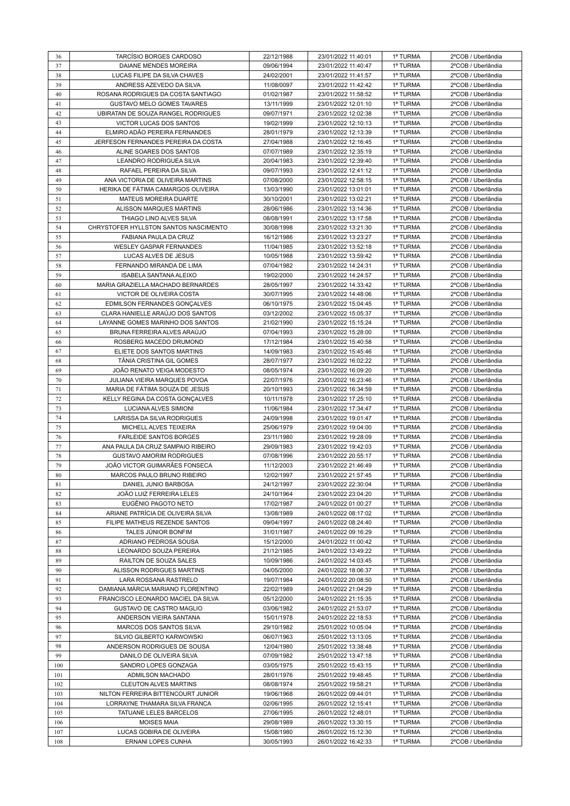| 36       | TARCÍSIO BORGES CARDOSO                                                 | 22/12/1988               | 23/01/2022 11:40:01                        | 1ª TURMA             | 2°COB / Uberlândia                       |
|----------|-------------------------------------------------------------------------|--------------------------|--------------------------------------------|----------------------|------------------------------------------|
| 37       | <b>DAIANE MENDES MOREIRA</b>                                            | 09/06/1994               | 23/01/2022 11:40:47                        | 1ª TURMA             | 2°COB / Uberlândia                       |
| 38       | LUCAS FILIPE DA SILVA CHAVES                                            | 24/02/2001               | 23/01/2022 11:41:57                        | 1ª TURMA             | 2°COB / Uberlândia                       |
| 39       | ANDRESS AZEVEDO DA SILVA                                                | 11/08/0097               | 23/01/2022 11:42:42                        | 1ª TURMA             | 2°COB / Uberlândia                       |
| 40       | ROSANA RODRIGUES DA COSTA SANTIAGO                                      | 01/02/1987               | 23/01/2022 11:58:52                        | 1ª TURMA             | 2°COB / Uberlândia                       |
| 41       | GUSTAVO MELO GOMES TAVARES                                              | 13/11/1999               | 23/01/2022 12:01:10                        | 1ª TURMA             | 2°COB / Uberlândia                       |
| 42       | UBIRATAN DE SOUZA RANGEL RODRIGUES                                      | 09/07/1971               | 23/01/2022 12:02:38                        | 1ª TURMA             | 2°COB / Uberlândia                       |
| 43       | VICTOR LUCAS DOS SANTOS                                                 | 19/02/1999               | 23/01/2022 12:10:13                        | 1ª TURMA             | 2°COB / Uberlândia                       |
| 44       | ELMIRO ADÃO PEREIRA FERNANDES                                           | 28/01/1979               | 23/01/2022 12:13:39                        | 1ª TURMA             | 2°COB / Uberlândia                       |
| 45       | JERFESON FERNANDES PEREIRA DA COSTA                                     | 27/04/1988               | 23/01/2022 12:16:45                        | 1ª TURMA             | 2°COB / Uberlândia                       |
| 46       | ALINE SOARES DOS SANTOS                                                 | 07/07/1989               | 23/01/2022 12:35:19                        | 1ª TURMA             | 2°COB / Uberlândia                       |
| 47       | LEANDRO RODRIGUEA SILVA                                                 | 20/04/1983               | 23/01/2022 12:39:40                        | 1ª TURMA             | 2°COB / Uberlândia                       |
| 48       | RAFAEL PEREIRA DA SILVA                                                 | 09/07/1993               | 23/01/2022 12:41:12                        | 1ª TURMA             | 2°COB / Uberlândia                       |
| 49       | ANA VICTORIA DE OLIVEIRA MARTINS                                        | 07/08/2000               | 23/01/2022 12:58:15                        | 1ª TURMA             | 2°COB / Uberlândia                       |
| 50       | HERIKA DE FÁTIMA CAMARGOS OLIVEIRA                                      | 13/03/1990               | 23/01/2022 13:01:01                        | 1ª TURMA             | 2°COB / Uberlândia                       |
| 51       | <b>MATEUS MOREIRA DUARTE</b>                                            | 30/10/2001               | 23/01/2022 13:02:21                        | 1ª TURMA             | 2°COB / Uberlândia                       |
| 52       | ALISSON MARQUES MARTINS                                                 | 28/06/1986               | 23/01/2022 13:14:36                        | 1ª TURMA             | 2°COB / Uberlândia                       |
| 53       | THIAGO LINO ALVES SILVA                                                 | 08/08/1991               | 23/01/2022 13:17:58                        | 1ª TURMA             | 2°COB / Uberlândia                       |
| 54       | CHRYSTOFER HYLLSTON SANTOS NASCIMENTO                                   | 30/08/1998               | 23/01/2022 13:21:30                        | 1ª TURMA             | 2°COB / Uberlândia                       |
| 55       | FABIANA PAULA DA CRUZ                                                   | 16/12/1986               | 23/01/2022 13:23:27                        | 1ª TURMA             | 2°COB / Uberlândia                       |
| 56       | <b>WESLEY GASPAR FERNANDES</b>                                          | 11/04/1985               | 23/01/2022 13:52:18                        | 1ª TURMA             | 2°COB / Uberlândia                       |
| 57       | LUCAS ALVES DE JESUS                                                    | 10/05/1988               | 23/01/2022 13:59:42                        | 1ª TURMA             | 2°COB / Uberlândia                       |
| 58       | FERNANDO MIRANDA DE LIMA                                                | 07/04/1982               | 23/01/2022 14:24:31                        | 1ª TURMA             | 2°COB / Uberlândia                       |
| 59       | ISABELA SANTANA ALEIXO                                                  | 19/02/2000               | 23/01/2022 14:24:57                        | 1ª TURMA             | 2°COB / Uberlândia                       |
|          |                                                                         |                          |                                            | 1ª TURMA             |                                          |
| 60       | MARIA GRAZIELLA MACHADO BERNARDES<br>VICTOR DE OLIVEIRA COSTA           | 28/05/1997               | 23/01/2022 14:33:42<br>23/01/2022 14:48:06 | 1ª TURMA             | 2°COB / Uberlândia<br>2°COB / Uberlândia |
| 61       |                                                                         | 30/07/1995               |                                            |                      |                                          |
| 62       | <b>EDMILSON FERNANDES GONÇALVES</b><br>CLARA HANIELLE ARAÚJO DOS SANTOS | 06/10/1975<br>03/12/2002 | 23/01/2022 15:04:45<br>23/01/2022 15:05:37 | 1ª TURMA             | 2°COB / Uberlândia<br>2°COB / Uberlândia |
| 63       | LAYANNE GOMES MARINHO DOS SANTOS                                        |                          |                                            | 1ª TURMA<br>1ª TURMA |                                          |
| 64<br>65 | BRUNA FERREIRA ALVES ARAÚJO                                             | 21/02/1990<br>07/04/1993 | 23/01/2022 15:15:24<br>23/01/2022 15:28:00 | 1ª TURMA             | 2°COB / Uberlândia<br>2°COB / Uberlândia |
|          |                                                                         |                          |                                            |                      |                                          |
| 66       | ROSBERG MACEDO DRUMOND<br>ELIETE DOS SANTOS MARTINS                     | 17/12/1984               | 23/01/2022 15:40:58<br>23/01/2022 15:45:46 | 1ª TURMA<br>1ª TURMA | 2°COB / Uberlândia<br>2°COB / Uberlândia |
| 67       | TÂNIA CRISTINA GIL GOMES                                                | 14/09/1983               |                                            |                      |                                          |
| 68<br>69 | JOÃO RENATO VEIGA MODESTO                                               | 28/07/1977<br>08/05/1974 | 23/01/2022 16:02:22<br>23/01/2022 16:09:20 | 1ª TURMA<br>1ª TURMA | 2°COB / Uberlândia<br>2°COB / Uberlândia |
|          | JULIANA VIEIRA MARQUES POVOA                                            |                          |                                            |                      |                                          |
| 70<br>71 | MARIA DE FÁTIMA SOUZA DE JESUS                                          | 22/07/1976<br>20/10/1993 | 23/01/2022 16:23:46<br>23/01/2022 16:34:59 | 1ª TURMA<br>1ª TURMA | 2°COB / Uberlândia<br>2°COB / Uberlândia |
| 72       | KELLY REGINA DA COSTA GONÇALVES                                         | 10/11/1978               | 23/01/2022 17:25:10                        | 1ª TURMA             | 2°COB / Uberlândia                       |
| 73       | LUCIANA ALVES SIMIONI                                                   | 11/06/1984               | 23/01/2022 17:34:47                        | 1ª TURMA             | 2°COB / Uberlândia                       |
| 74       | LARISSA DA SILVA RODRIGUES                                              | 24/09/1998               | 23/01/2022 19:01:47                        | 1ª TURMA             | 2°COB / Uberlândia                       |
| 75       | MICHELL ALVES TEIXEIRA                                                  | 25/06/1979               | 23/01/2022 19:04:00                        | 1ª TURMA             | 2°COB / Uberlândia                       |
| 76       | <b>FARLEIDE SANTOS BORGES</b>                                           | 23/11/1980               | 23/01/2022 19:28:09                        | 1ª TURMA             | 2°COB / Uberlândia                       |
| 77       | ANA PAULA DA CRUZ SAMPAIO RIBEIRO                                       | 29/09/1983               | 23/01/2022 19:42:03                        | 1ª TURMA             | 2°COB / Uberlândia                       |
| 78       | <b>GUSTAVO AMORIM RODRIGUES</b>                                         | 07/08/1996               | 23/01/2022 20:55:17                        | 1ª TURMA             | 2°COB / Uberlândia                       |
| 79       | JOÃO VICTOR GUIMARÃES FONSECA                                           | 11/12/2003               | 23/01/2022 21:46:49                        | 1ª TURMA             | 2°COB / Uberlândia                       |
| 80       | <b>MARCOS PAULO BRUNO RIBEIRO</b>                                       | 12/02/1997               | 23/01/2022 21:57:45                        | 1ª TURMA             | 2°COB / Uberlândia                       |
| 81       | DANIEL JUNIO BARBOSA                                                    | 24/12/1997               | 23/01/2022 22:30:04                        | 1ª TURMA             | 2°COB / Uberlândia                       |
| 82       | JOÃO LUIZ FERREIRA LELES                                                | 24/10/1964               | 23/01/2022 23:04:20                        | 1ª TURMA             | 2°COB / Uberlândia                       |
| 83       | EUGÊNIO PAGOTO NETO                                                     | 17/02/1987               | 24/01/2022 01:00:27                        | 1ª TURMA             | 2°COB / Uberlândia                       |
| 84       | ARIANE PATRÍCIA DE OLIVEIRA SILVA                                       | 13/08/1989               | 24/01/2022 08:17:02                        | 1ª TURMA             | 2°COB / Uberlândia                       |
| 85       | FILIPE MATHEUS REZENDE SANTOS                                           | 09/04/1997               | 24/01/2022 08:24:40                        | 1ª TURMA             | 2°COB / Uberlândia                       |
| 86       | TALES JÚNIOR BONFIM                                                     | 31/01/1987               | 24/01/2022 09:16:29                        | 1ª TURMA             | 2°COB / Uberlândia                       |
| 87       | ADRIANO PEDROSA SOUSA                                                   | 15/12/2000               | 24/01/2022 11:00:42                        | 1ª TURMA             | 2°COB / Uberlândia                       |
| 88       | LEONARDO SOUZA PEREIRA                                                  | 21/12/1985               | 24/01/2022 13:49:22                        | 1ª TURMA             | 2°COB / Uberlândia                       |
| 89       | RAILTON DE SOUZA SALES                                                  | 10/09/1986               | 24/01/2022 14:03:45                        | 1ª TURMA             | 2°COB / Uberlândia                       |
| 90       | ALISSON RODRIGUES MARTINS                                               | 04/05/2000               | 24/01/2022 18:06:37                        | 1ª TURMA             | 2°COB / Uberlândia                       |
| 91       | LARA ROSSANA RASTRELO                                                   | 19/07/1984               | 24/01/2022 20:08:50                        | 1ª TURMA             | 2°COB / Uberlândia                       |
| 92       | DAMIANA MÁRCIA MARIANO FLORENTINO                                       | 22/02/1989               | 24/01/2022 21:04:29                        | 1ª TURMA             | 2°COB / Uberlândia                       |
| 93       | FRANCISCO LEONARDO MACIEL DA SILVA                                      | 05/12/2000               | 24/01/2022 21:15:35                        | 1ª TURMA             | 2°COB / Uberlândia                       |
| 94       | GUSTAVO DE CASTRO MAGLIO                                                | 03/06/1982               | 24/01/2022 21:53:07                        | 1ª TURMA             | 2°COB / Uberlândia                       |
| 95       | ANDERSON VIEIRA SANTANA                                                 | 15/01/1978               | 24/01/2022 22:18:53                        | 1ª TURMA             | 2°COB / Uberlândia                       |
| 96       | MARCOS DOS SANTOS SILVA                                                 | 29/10/1982               | 25/01/2022 10:05:04                        | 1ª TURMA             | 2°COB / Uberlândia                       |
| 97       | SILVIO GILBERTO KARWOWSKI                                               | 06/07/1963               | 25/01/2022 13:13:05                        | 1ª TURMA             | 2°COB / Uberlândia                       |
| 98       | ANDERSON RODRIGUES DE SOUSA                                             | 12/04/1980               | 25/01/2022 13:38:48                        | 1ª TURMA             | 2°COB / Uberlândia                       |
| 99       | DANILO DE OLIVEIRA SILVA                                                | 07/09/1982               |                                            | 1ª TURMA             | 2°COB / Uberlândia                       |
| 100      | SANDRO LOPES GONZAGA                                                    | 03/05/1975               | 25/01/2022 13:47:18<br>25/01/2022 15:43:15 | 1ª TURMA             | 2°COB / Uberlândia                       |
| 101      | ADMILSON MACHADO                                                        | 28/01/1976               | 25/01/2022 19:48:45                        | 1ª TURMA             | 2°COB / Uberlândia                       |
| 102      | <b>CLEUTON ALVES MARTINS</b>                                            | 08/08/1974               | 25/01/2022 19:58:21                        | 1ª TURMA             | 2°COB / Uberlândia                       |
| 103      | NILTON FERREIRA BITTENCOURT JUNIOR                                      | 19/06/1968               | 26/01/2022 09:44:01                        | 1ª TURMA             | 2°COB / Uberlândia                       |
| 104      | LORRAYNE THAMARA SILVA FRANCA                                           | 02/06/1995               | 26/01/2022 12:15:41                        | 1ª TURMA             | 2°COB / Uberlândia                       |
| 105      | TATUANE LELES BARCELOS                                                  | 27/06/1995               | 26/01/2022 12:48:01                        | 1ª TURMA             | 2°COB / Uberlândia                       |
| 106      | <b>MOISES MAIA</b>                                                      | 29/08/1989               | 26/01/2022 13:30:15                        | 1ª TURMA             | 2°COB / Uberlândia                       |
| 107      | LUCAS GOBIRA DE OLIVEIRA                                                | 15/08/1980               | 26/01/2022 15:12:30                        | 1ª TURMA             | 2°COB / Uberlândia                       |
| 108      | ERNANI LOPES CUNHA                                                      | 30/05/1993               | 26/01/2022 16:42:33                        | 1ª TURMA             | 2°COB / Uberlândia                       |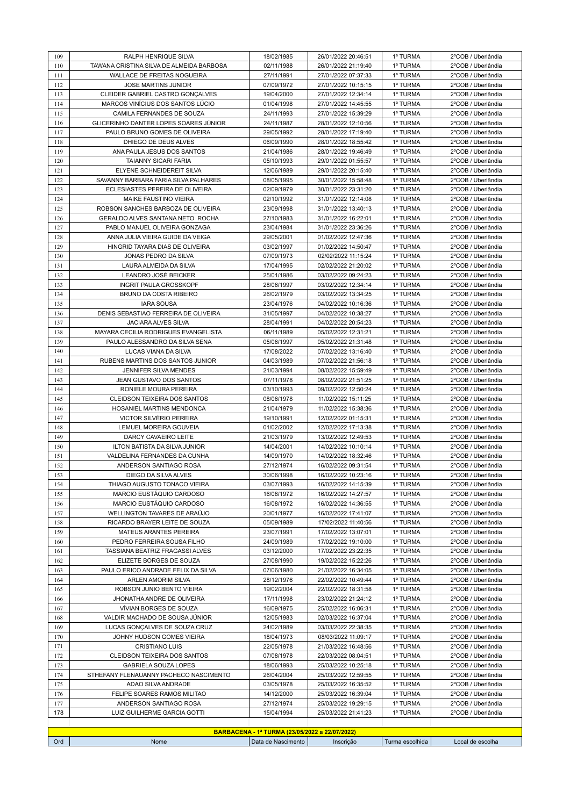| 109 | RALPH HENRIQUE SILVA                     | 18/02/1985                                     | 26/01/2022 20:46:51 | 1ª TURMA        | 2°COB / Uberlândia |
|-----|------------------------------------------|------------------------------------------------|---------------------|-----------------|--------------------|
| 110 | TAWANA CRISTINA SILVA DE ALMEIDA BARBOSA | 02/11/1988                                     | 26/01/2022 21:19:40 | 1ª TURMA        | 2°COB / Uberlândia |
| 111 | WALLACE DE FREITAS NOGUEIRA              | 27/11/1991                                     | 27/01/2022 07:37:33 | 1ª TURMA        | 2°COB / Uberlândia |
| 112 | <b>JOSE MARTINS JUNIOR</b>               | 07/09/1972                                     | 27/01/2022 10:15:15 | 1ª TURMA        | 2°COB / Uberlândia |
| 113 | CLEIDER GABRIEL CASTRO GONÇALVES         | 19/04/2000                                     | 27/01/2022 12:34:14 | 1ª TURMA        | 2°COB / Uberlândia |
| 114 | MARCOS VINICIUS DOS SANTOS LUCIO         | 01/04/1998                                     | 27/01/2022 14:45:55 | 1ª TURMA        | 2°COB / Uberlândia |
| 115 | CAMILA FERNANDES DE SOUZA                | 24/11/1993                                     | 27/01/2022 15:39:29 | 1ª TURMA        | 2°COB / Uberlândia |
| 116 | GLICERINHO DANTER LOPES SOARES JÚNIOR    | 24/11/1987                                     | 28/01/2022 12:10:56 | 1ª TURMA        | 2°COB / Uberlândia |
| 117 | PAULO BRUNO GOMES DE OLIVEIRA            | 29/05/1992                                     | 28/01/2022 17:19:40 | 1ª TURMA        | 2°COB / Uberlândia |
| 118 | DHIEGO DE DEUS ALVES                     | 06/09/1990                                     | 28/01/2022 18:55:42 | 1ª TURMA        | 2°COB / Uberlândia |
| 119 | ANA PAULA JESUS DOS SANTOS               | 21/04/1986                                     | 28/01/2022 19:46:49 | 1ª TURMA        | 2°COB / Uberlândia |
| 120 | TAIANNY SICARI FARIA                     | 05/10/1993                                     | 29/01/2022 01:55:57 | 1ª TURMA        | 2°COB / Uberlândia |
| 121 | ELYENE SCHNEIDEREIT SILVA                | 12/06/1989                                     | 29/01/2022 20:15:40 | 1ª TURMA        | 2°COB / Uberlândia |
| 122 | SAVANNY BÁRBARA FARIA SILVA PALHARES     | 08/05/1995                                     | 30/01/2022 15:58:48 | 1ª TURMA        | 2°COB / Uberlândia |
| 123 | ECLESIASTES PEREIRA DE OLIVEIRA          | 02/09/1979                                     | 30/01/2022 23:31:20 | 1ª TURMA        | 2°COB / Uberlândia |
| 124 | MAIKE FAUSTINO VIEIRA                    | 02/10/1992                                     | 31/01/2022 12:14:08 | 1ª TURMA        | 2°COB / Uberlândia |
| 125 | ROBSON SANCHES BARBOZA DE OLIVEIRA       | 23/09/1998                                     | 31/01/2022 13:40:13 | 1ª TURMA        | 2°COB / Uberlândia |
| 126 | GERALDO ALVES SANTANA NETO ROCHA         | 27/10/1983                                     | 31/01/2022 16:22:01 | 1ª TURMA        | 2°COB / Uberlândia |
| 127 | PABLO MANUEL OLIVEIRA GONZAGA            | 23/04/1984                                     | 31/01/2022 23:36:26 | 1ª TURMA        | 2°COB / Uberlândia |
| 128 | ANNA JULIA VIEIRA GUIDE DA VEIGA         | 29/05/2001                                     | 01/02/2022 12:47:36 | 1ª TURMA        | 2°COB / Uberlândia |
|     |                                          |                                                |                     |                 |                    |
| 129 | HINGRID TAYARA DIAS DE OLIVEIRA          | 03/02/1997                                     | 01/02/2022 14:50:47 | 1ª TURMA        | 2°COB / Uberlândia |
| 130 | JONAS PEDRO DA SILVA                     | 07/09/1973                                     | 02/02/2022 11:15:24 | 1ª TURMA        | 2°COB / Uberlândia |
| 131 | LAURA ALMEIDA DA SILVA                   | 17/04/1995                                     | 02/02/2022 21:20:02 | 1ª TURMA        | 2°COB / Uberlândia |
| 132 | LEANDRO JOSÉ BEICKER                     | 25/01/1986                                     | 03/02/2022 09:24:23 | 1ª TURMA        | 2°COB / Uberlândia |
| 133 | INGRIT PAULA GROSSKOPF                   | 28/06/1997                                     | 03/02/2022 12:34:14 | 1ª TURMA        | 2°COB / Uberlândia |
| 134 | <b>BRUNO DA COSTA RIBEIRO</b>            | 26/02/1979                                     | 03/02/2022 13:34:25 | 1ª TURMA        | 2°COB / Uberlândia |
| 135 | <b>IARA SOUSA</b>                        | 23/04/1976                                     | 04/02/2022 10:16:36 | 1ª TURMA        | 2°COB / Uberlândia |
| 136 | DENIS SEBASTIAO FERREIRA DE OLIVEIRA     | 31/05/1997                                     | 04/02/2022 10:38:27 | 1ª TURMA        | 2°COB / Uberlândia |
| 137 | JACIARA ALVES SILVA                      | 28/04/1991                                     | 04/02/2022 20:54:23 | 1ª TURMA        | 2°COB / Uberlândia |
| 138 | MAYARA CECILIA RODRIGUES EVANGELISTA     | 06/11/1989                                     | 05/02/2022 12:31:21 | 1ª TURMA        | 2°COB / Uberlândia |
| 139 | PAULO ALESSANDRO DA SILVA SENA           | 05/06/1997                                     | 05/02/2022 21:31:48 | 1ª TURMA        | 2°COB / Uberlândia |
| 140 | LUCAS VIANA DA SILVA                     | 17/08/2022                                     | 07/02/2022 13:16:40 | 1ª TURMA        | 2°COB / Uberlândia |
| 141 | RUBENS MARTINS DOS SANTOS JUNIOR         | 04/03/1989                                     | 07/02/2022 21:56:18 | 1ª TURMA        | 2°COB / Uberlândia |
| 142 | JENNIFER SILVA MENDES                    | 21/03/1994                                     | 08/02/2022 15:59:49 | 1ª TURMA        | 2°COB / Uberlândia |
| 143 | JEAN GUSTAVO DOS SANTOS                  | 07/11/1978                                     | 08/02/2022 21:51:25 | 1ª TURMA        | 2°COB / Uberlândia |
| 144 | RONIELE MOURA PEREIRA                    | 03/10/1993                                     | 09/02/2022 12:50:24 | 1ª TURMA        | 2°COB / Uberlândia |
| 145 | CLEIDSON TEIXEIRA DOS SANTOS             | 08/06/1978                                     | 11/02/2022 15:11:25 | 1ª TURMA        | 2°COB / Uberlândia |
| 146 | HOSANIEL MARTINS MENDONCA                | 21/04/1979                                     | 11/02/2022 15:38:36 | 1ª TURMA        | 2°COB / Uberlândia |
| 147 | VICTOR SILVÉRIO PEREIRA                  | 19/10/1991                                     | 12/02/2022 01:15:31 | 1ª TURMA        | 2°COB / Uberlândia |
| 148 | LEMUEL MOREIRA GOUVEIA                   | 01/02/2002                                     | 12/02/2022 17:13:38 | 1ª TURMA        | 2°COB / Uberlândia |
| 149 | DARCY CAVAEIRO LEITE                     | 21/03/1979                                     | 13/02/2022 12:49:53 | 1ª TURMA        | 2°COB / Uberlândia |
| 150 | ILTON BATISTA DA SILVA JUNIOR            | 14/04/2001                                     | 14/02/2022 10:10:14 | 1ª TURMA        | 2°COB / Uberlândia |
| 151 | VALDELINA FERNANDES DA CUNHA             | 14/09/1970                                     | 14/02/2022 18:32:46 | 1ª TURMA        | 2°COB / Uberlândia |
| 152 | ANDERSON SANTIAGO ROSA                   | 27/12/1974                                     | 16/02/2022 09:31:54 | 1ª TURMA        | 2°COB / Uberlândia |
| 153 | DIEGO DA SILVA ALVES                     | 30/06/1998                                     | 16/02/2022 10:23:16 | 1ª TURMA        | 2°COB / Uberlândia |
| 154 | THIAGO AUGUSTO TONACO VIEIRA             | 03/07/1993                                     | 16/02/2022 14:15:39 | 1ª TURMA        | 2°COB / Uberlândia |
| 155 | MARCIO EUSTÁQUIO CARDOSO                 | 16/08/1972                                     | 16/02/2022 14:27:57 | 1ª TURMA        | 2°COB / Uberlândia |
| 156 | MARCIO EUSTÁQUIO CARDOSO                 | 16/08/1972                                     | 16/02/2022 14:36:55 | 1ª TURMA        | 2°COB / Uberlândia |
| 157 | WELLINGTON TAVARES DE ARAÚJO             | 20/01/1977                                     | 16/02/2022 17:41:07 | 1ª TURMA        | 2°COB / Uberlândia |
|     |                                          |                                                |                     |                 |                    |
| 158 | RICARDO BRAYER LEITE DE SOUZA            | 05/09/1989                                     | 17/02/2022 11:40:56 | 1ª TURMA        | 2°COB / Uberlândia |
| 159 | <b>MATEUS ARANTES PEREIRA</b>            | 23/07/1991                                     | 17/02/2022 13:07:01 | 1ª TURMA        | 2°COB / Uberlândia |
| 160 | PEDRO FERREIRA SOUSA FILHO               | 24/09/1989                                     | 17/02/2022 19:10:00 | 1ª TURMA        | 2°COB / Uberlândia |
| 161 | TASSIANA BEATRIZ FRAGASSI ALVES          | 03/12/2000                                     | 17/02/2022 23:22:35 | 1ª TURMA        | 2°COB / Uberlândia |
| 162 | ELIZETE BORGES DE SOUZA                  | 27/08/1990                                     | 19/02/2022 15:22:26 | 1ª TURMA        | 2°COB / Uberlândia |
| 163 | PAULO ERICO ANDRADE FELIX DA SILVA       | 07/06/1980                                     | 21/02/2022 16:34:05 | 1ª TURMA        | 2°COB / Uberlândia |
| 164 | ARLEN AMORIM SILVA                       | 28/12/1976                                     | 22/02/2022 10:49:44 | 1ª TURMA        | 2°COB / Uberlândia |
| 165 | ROBSON JUNIO BENTO VIEIRA                | 19/02/2004                                     | 22/02/2022 18:31:58 | 1ª TURMA        | 2°COB / Uberlândia |
| 166 | JHONATHA ANDRE DE OLIVEIRA               | 17/11/1998                                     | 23/02/2022 21:24:12 | 1ª TURMA        | 2°COB / Uberlândia |
| 167 | VÍVIAN BORGES DE SOUZA                   | 16/09/1975                                     | 25/02/2022 16:06:31 | 1ª TURMA        | 2°COB / Uberlândia |
| 168 | VALDIR MACHADO DE SOUSA JÚNIOR           | 12/05/1983                                     | 02/03/2022 16:37:04 | 1ª TURMA        | 2°COB / Uberlândia |
| 169 | LUCAS GONÇALVES DE SOUZA CRUZ            | 24/02/1989                                     | 03/03/2022 22:38:35 | 1ª TURMA        | 2°COB / Uberlândia |
| 170 | JOHNY HUDSON GOMES VIEIRA                | 18/04/1973                                     | 08/03/2022 11:09:17 | 1ª TURMA        | 2°COB / Uberlândia |
| 171 | <b>CRISTIANO LUIS</b>                    | 22/05/1978                                     | 21/03/2022 16:48:56 | 1ª TURMA        | 2°COB / Uberlândia |
| 172 | CLEIDSON TEIXEIRA DOS SANTOS             | 07/08/1978                                     | 22/03/2022 08:04:51 | 1ª TURMA        | 2°COB / Uberlândia |
| 173 | GABRIELA SOUZA LOPES                     | 18/06/1993                                     | 25/03/2022 10:25:18 | 1ª TURMA        | 2°COB / Uberlândia |
| 174 | STHEFANY FLENAUANNY PACHECO NASCIMENTO   | 26/04/2004                                     | 25/03/2022 12:59:55 | 1ª TURMA        | 2°COB / Uberlândia |
| 175 | ADAO SILVA ANDRADE                       | 03/05/1978                                     | 25/03/2022 16:35:52 | 1ª TURMA        | 2°COB / Uberlândia |
| 176 | FELIPE SOARES RAMOS MILITAO              | 14/12/2000                                     | 25/03/2022 16:39:04 | 1ª TURMA        | 2°COB / Uberlândia |
| 177 | ANDERSON SANTIAGO ROSA                   | 27/12/1974                                     | 25/03/2022 19:29:15 | 1ª TURMA        | 2°COB / Uberlândia |
| 178 | LUIZ GUILHERME GARCIA GOTTI              | 15/04/1994                                     | 25/03/2022 21:41:23 | 1ª TURMA        | 2°COB / Uberlândia |
|     |                                          |                                                |                     |                 |                    |
|     |                                          | BARBACENA - 1ª TURMA (23/05/2022 a 22/07/2022) |                     |                 |                    |
| Ord | Nome                                     | Data de Nascimento                             | Inscrição           | Turma escolhida | Local de escolha   |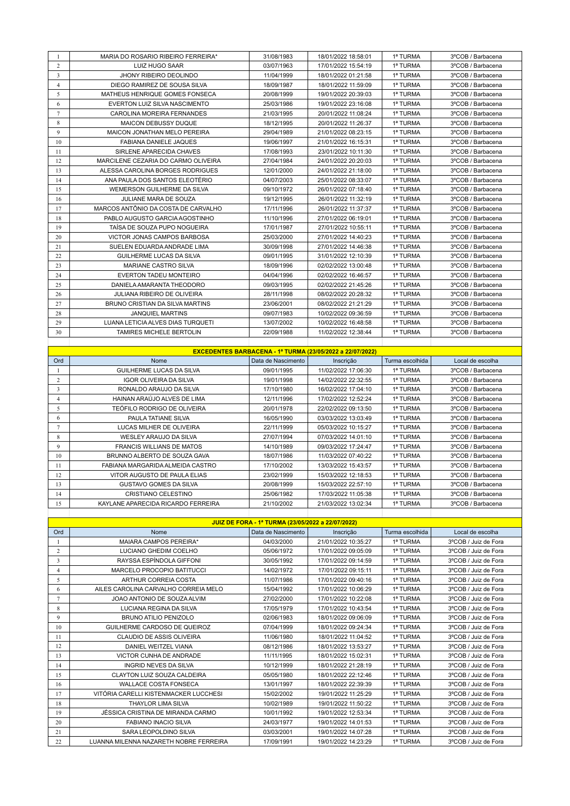| 1              | MARIA DO ROSARIO RIBEIRO FERREIRA*  | 31/08/1983 | 18/01/2022 18:58:01 | 1ª TURMA | 3°COB / Barbacena |
|----------------|-------------------------------------|------------|---------------------|----------|-------------------|
| 2              | LUIZ HUGO SAAR                      | 03/07/1963 | 17/01/2022 15:54:19 | 1ª TURMA | 3°COB / Barbacena |
| $\overline{3}$ | <b>JHONY RIBEIRO DEOLINDO</b>       | 11/04/1999 | 18/01/2022 01:21:58 | 1ª TURMA | 3°COB / Barbacena |
| $\overline{4}$ | DIEGO RAMIREZ DE SOUSA SILVA        | 18/09/1987 | 18/01/2022 11:59:09 | 1ª TURMA | 3°COB / Barbacena |
| 5              | MATHEUS HENRIQUE GOMES FONSECA      | 20/08/1999 | 19/01/2022 20:39:03 | 1ª TURMA | 3°COB / Barbacena |
| 6              | EVERTON LUIZ SILVA NASCIMENTO       | 25/03/1986 | 19/01/2022 23:16:08 | 1ª TURMA | 3°COB / Barbacena |
| $\tau$         | CAROLINA MOREIRA FERNANDES          | 21/03/1995 | 20/01/2022 11:08:24 | 1ª TURMA | 3°COB / Barbacena |
| 8              | MAICON DEBUSSY DUQUE                | 18/12/1995 | 20/01/2022 11:26:37 | 1ª TURMA | 3°COB / Barbacena |
| 9              | MAICON JONATHAN MELO PEREIRA        | 29/04/1989 | 21/01/2022 08:23:15 | 1ª TURMA | 3°COB / Barbacena |
| 10             | <b>FABIANA DANIELE JAQUES</b>       | 19/06/1997 | 21/01/2022 16:15:31 | 1ª TURMA | 3°COB / Barbacena |
| 11             | SIRLENE APARECIDA CHAVES            | 17/08/1993 | 23/01/2022 10:11:30 | 1ª TURMA | 3°COB / Barbacena |
| 12             | MARCILENE CEZARIA DO CARMO OLIVEIRA | 27/04/1984 | 24/01/2022 20:20:03 | 1ª TURMA | 3°COB / Barbacena |
| 13             | ALESSA CAROLINA BORGES RODRIGUES    | 12/01/2000 | 24/01/2022 21:18:00 | 1ª TURMA | 3°COB / Barbacena |
| 14             | ANA PAULA DOS SANTOS ELEOTÉRIO      | 04/07/2003 | 25/01/2022 08:33:07 | 1ª TURMA | 3°COB / Barbacena |
| 15             | WEMERSON GUILHERME DA SILVA         | 09/10/1972 | 26/01/2022 07:18:40 | 1ª TURMA | 3°COB / Barbacena |
| 16             | <b>JULIANE MARA DE SOUZA</b>        | 19/12/1995 | 26/01/2022 11:32:19 | 1ª TURMA | 3°COB / Barbacena |
| 17             | MARCOS ANTÔNIO DA COSTA DE CARVALHO | 17/11/1996 | 26/01/2022 11:37:37 | 1ª TURMA | 3°COB / Barbacena |
| 18             | PABLO AUGUSTO GARCIA AGOSTINHO      | 11/10/1996 | 27/01/2022 06:19:01 | 1ª TURMA | 3°COB / Barbacena |
| 19             | TAÍSA DE SOUZA PUPO NOGUEIRA        | 17/01/1987 | 27/01/2022 10:55:11 | 1ª TURMA | 3°COB / Barbacena |
| 20             | VICTOR JONAS CAMPOS BARBOSA         | 25/03/2000 | 27/01/2022 14:40:23 | 1ª TURMA | 3°COB / Barbacena |
| 21             | SUELEN EDUARDA ANDRADE LIMA         | 30/09/1998 | 27/01/2022 14:46:38 | 1ª TURMA | 3°COB / Barbacena |
| 22             | GUILHERME LUCAS DA SILVA            | 09/01/1995 | 31/01/2022 12:10:39 | 1ª TURMA | 3°COB / Barbacena |
| 23             | <b>MARIANE CASTRO SILVA</b>         | 18/09/1996 | 02/02/2022 13:00:48 | 1ª TURMA | 3°COB / Barbacena |
| 24             | EVERTON TADEU MONTEIRO              | 04/04/1996 | 02/02/2022 16:46:57 | 1ª TURMA | 3°COB / Barbacena |
| 25             | DANIELA AMARANTA THEODORO           | 09/03/1995 | 02/02/2022 21:45:26 | 1ª TURMA | 3°COB / Barbacena |
| 26             | JULIANA RIBEIRO DE OLIVEIRA         | 28/11/1998 | 08/02/2022 20:28:32 | 1ª TURMA | 3°COB / Barbacena |
| 27             | BRUNO CRISTIAN DA SILVA MARTINS     | 23/06/2001 | 08/02/2022 21:21:29 | 1ª TURMA | 3°COB / Barbacena |
| 28             | <b>JANQUIEL MARTINS</b>             | 09/07/1983 | 10/02/2022 09:36:59 | 1ª TURMA | 3°COB / Barbacena |
| 29             | LUANA LETICIA ALVES DIAS TURQUETI   | 13/07/2002 | 10/02/2022 16:48:58 | 1ª TURMA | 3°COB / Barbacena |
| 30             | <b>TAMIRES MICHELE BERTOLIN</b>     | 22/09/1988 | 11/02/2022 12:38:44 | 1ª TURMA | 3°COB / Barbacena |
|                |                                     |            |                     |          |                   |

|                | <b>EXCEDENTES BARBACENA - 1ª TURMA (23/05/2022 a 22/07/2022)</b> |                    |                     |                 |                   |  |  |  |  |
|----------------|------------------------------------------------------------------|--------------------|---------------------|-----------------|-------------------|--|--|--|--|
| Ord            | Nome                                                             | Data de Nascimento | Inscrição           | Turma escolhida | Local de escolha  |  |  |  |  |
|                | GUILHERME LUCAS DA SILVA                                         | 09/01/1995         | 11/02/2022 17:06:30 | 1ª TURMA        | 3°COB / Barbacena |  |  |  |  |
| $\overline{2}$ | <b>IGOR OLIVEIRA DA SILVA</b>                                    | 19/01/1998         | 14/02/2022 22:32:55 | 1ª TURMA        | 3°COB / Barbacena |  |  |  |  |
| 3              | RONALDO ARAUJO DA SILVA                                          | 17/10/1980         | 16/02/2022 17:04:10 | 1ª TURMA        | 3°COB / Barbacena |  |  |  |  |
| 4              | HAINAN ARAÚJO ALVES DE LIMA                                      | 12/11/1996         | 17/02/2022 12:52:24 | 1ª TURMA        | 3°COB / Barbacena |  |  |  |  |
| 5              | TEÓFILO RODRIGO DE OLIVEIRA                                      | 20/01/1978         | 22/02/2022 09:13:50 | 1ª TURMA        | 3°COB / Barbacena |  |  |  |  |
| 6              | PAULA TATIANE SILVA                                              | 16/05/1990         | 03/03/2022 13:03:49 | 1ª TURMA        | 3°COB / Barbacena |  |  |  |  |
| 7              | LUCAS MILHER DE OLIVEIRA                                         | 22/11/1999         | 05/03/2022 10:15:27 | 1ª TURMA        | 3°COB / Barbacena |  |  |  |  |
| 8              | WESLEY ARAUJO DA SILVA                                           | 27/07/1994         | 07/03/2022 14:01:10 | 1ª TURMA        | 3°COB / Barbacena |  |  |  |  |
| 9              | <b>FRANCIS WILLIANS DE MATOS</b>                                 | 14/10/1989         | 09/03/2022 17:24:47 | 1ª TURMA        | 3°COB / Barbacena |  |  |  |  |
| 10             | BRUNNO ALBERTO DE SOUZA GAVA                                     | 18/07/1986         | 11/03/2022 07:40:22 | 1ª TURMA        | 3°COB / Barbacena |  |  |  |  |
| 11             | FABIANA MARGARIDA ALMEIDA CASTRO                                 | 17/10/2002         | 13/03/2022 15:43:57 | 1ª TURMA        | 3°COB / Barbacena |  |  |  |  |
| 12             | VITOR AUGUSTO DE PAULA ELIAS                                     | 23/02/1999         | 15/03/2022 12:18:53 | 1ª TURMA        | 3°COB / Barbacena |  |  |  |  |
| 13             | <b>GUSTAVO GOMES DA SILVA</b>                                    | 20/08/1999         | 15/03/2022 22:57:10 | 1ª TURMA        | 3°COB / Barbacena |  |  |  |  |
| 14             | CRISTIANO CELESTINO                                              | 25/06/1982         | 17/03/2022 11:05:38 | 1ª TURMA        | 3°COB / Barbacena |  |  |  |  |
| 15             | KAYLANE APARECIDA RICARDO FERREIRA                               | 21/10/2002         | 21/03/2022 13:02:34 | 1ª TURMA        | 3°COB / Barbacena |  |  |  |  |

|                | JUIZ DE FORA - 1ª TURMA (23/05/2022 a 22/07/2022) |                    |                     |                 |                      |  |  |  |
|----------------|---------------------------------------------------|--------------------|---------------------|-----------------|----------------------|--|--|--|
| Ord            | Nome                                              | Data de Nascimento | Inscrição           | Turma escolhida | Local de escolha     |  |  |  |
|                | MAIARA CAMPOS PEREIRA*                            | 04/03/2000         | 21/01/2022 10:35:27 | 1ª TURMA        | 3°COB / Juiz de Fora |  |  |  |
| 2              | LUCIANO GHEDIM COELHO                             | 05/06/1972         | 17/01/2022 09:05:09 | 1ª TURMA        | 3°COB / Juiz de Fora |  |  |  |
| 3              | RAYSSA ESPÍNDOLA GIFFONI                          | 30/05/1992         | 17/01/2022 09:14:59 | 1ª TURMA        | 3°COB / Juiz de Fora |  |  |  |
| $\overline{4}$ | MARCELO PROCOPIO BATITUCCI                        | 14/02/1972         | 17/01/2022 09:15:11 | 1ª TURMA        | 3°COB / Juiz de Fora |  |  |  |
| 5              | ARTHUR CORREIA COSTA                              | 11/07/1986         | 17/01/2022 09:40:16 | 1ª TURMA        | 3°COB / Juiz de Fora |  |  |  |
| 6              | AILES CAROLINA CARVALHO CORREIA MELO              | 15/04/1992         | 17/01/2022 10:06:29 | 1ª TURMA        | 3°COB / Juiz de Fora |  |  |  |
| $\overline{7}$ | JOAO ANTONIO DE SOUZA ALVIM                       | 27/02/2000         | 17/01/2022 10:22:08 | 1ª TURMA        | 3°COB / Juiz de Fora |  |  |  |
| 8              | LUCIANA REGINA DA SILVA                           | 17/05/1979         | 17/01/2022 10:43:54 | 1ª TURMA        | 3°COB / Juiz de Fora |  |  |  |
| 9              | <b>BRUNO ATILIO PENIZOLO</b>                      | 02/06/1983         | 18/01/2022 09:06:09 | 1ª TURMA        | 3°COB / Juiz de Fora |  |  |  |
| 10             | GUILHERME CARDOSO DE QUEIROZ                      | 07/04/1999         | 18/01/2022 09:24:34 | 1ª TURMA        | 3°COB / Juiz de Fora |  |  |  |
| 11             | CLAUDIO DE ASSIS OLIVEIRA                         | 11/06/1980         | 18/01/2022 11:04:52 | 1ª TURMA        | 3°COB / Juiz de Fora |  |  |  |
| 12             | DANIEL WEITZEL VIANA                              | 08/12/1986         | 18/01/2022 13:53:27 | 1ª TURMA        | 3°COB / Juiz de Fora |  |  |  |
| 13             | VICTOR CUNHA DE ANDRADE                           | 11/11/1995         | 18/01/2022 15:02:31 | 1ª TURMA        | 3°COB / Juiz de Fora |  |  |  |
| 14             | <b>INGRID NEVES DA SILVA</b>                      | 10/12/1999         | 18/01/2022 21:28:19 | 1ª TURMA        | 3°COB / Juiz de Fora |  |  |  |
| 15             | CLAYTON LUIZ SOUZA CALDEIRA                       | 05/05/1980         | 18/01/2022 22:12:46 | 1ª TURMA        | 3°COB / Juiz de Fora |  |  |  |
| 16             | WALLACE COSTA FONSECA                             | 13/01/1997         | 18/01/2022 22:39:39 | 1ª TURMA        | 3°COB / Juiz de Fora |  |  |  |
| 17             | VITÓRIA CARELLI KISTENMACKER LUCCHESI             | 15/02/2002         | 19/01/2022 11:25:29 | 1ª TURMA        | 3°COB / Juiz de Fora |  |  |  |
| 18             | <b>THAYLOR LIMA SILVA</b>                         | 10/02/1989         | 19/01/2022 11:50:22 | 1ª TURMA        | 3°COB / Juiz de Fora |  |  |  |
| 19             | JÉSSICA CRISTINA DE MIRANDA CARMO                 | 10/01/1992         | 19/01/2022 12:53:34 | 1ª TURMA        | 3°COB / Juiz de Fora |  |  |  |
| 20             | <b>FABIANO INACIO SILVA</b>                       | 24/03/1977         | 19/01/2022 14:01:53 | 1ª TURMA        | 3°COB / Juiz de Fora |  |  |  |
| 21             | SARA LEOPOLDINO SILVA                             | 03/03/2001         | 19/01/2022 14:07:28 | 1ª TURMA        | 3°COB / Juiz de Fora |  |  |  |
| 22             | LUANNA MILENNA NAZARETH NOBRE FERREIRA            | 17/09/1991         | 19/01/2022 14:23:29 | 1ª TURMA        | 3°COB / Juiz de Fora |  |  |  |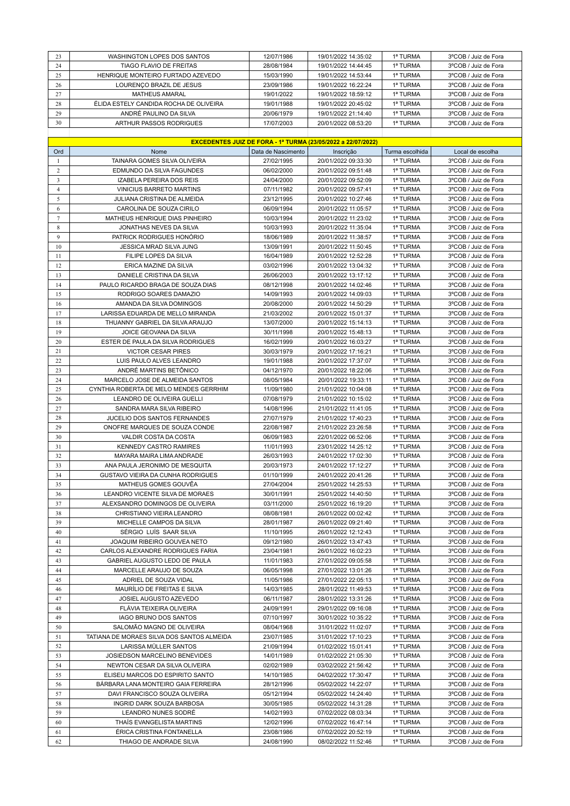| 23 | WASHINGTON LOPES DOS SANTOS            | 12/07/1986 | 19/01/2022 14:35:02 | 1ª TURMA | 3°COB / Juiz de Fora |
|----|----------------------------------------|------------|---------------------|----------|----------------------|
| 24 | TIAGO FLAVIO DE FREITAS                | 28/08/1984 | 19/01/2022 14:44:45 | 1ª TURMA | 3°COB / Juiz de Fora |
| 25 | HENRIQUE MONTEIRO FURTADO AZEVEDO      | 15/03/1990 | 19/01/2022 14:53:44 | 1ª TURMA | 3°COB / Juiz de Fora |
| 26 | LOURENCO BRAZIL DE JESUS               | 23/09/1986 | 19/01/2022 16:22:24 | 1ª TURMA | 3°COB / Juiz de Fora |
| 27 | <b>MATHEUS AMARAL</b>                  | 19/01/2022 | 19/01/2022 18:59:12 | 1ª TURMA | 3°COB / Juiz de Fora |
| 28 | ÉLIDA ESTELY CANDIDA ROCHA DE OLIVEIRA | 19/01/1988 | 19/01/2022 20:45:02 | 1ª TURMA | 3°COB / Juiz de Fora |
| 29 | ANDRÉ PAULINO DA SILVA                 | 20/06/1979 | 19/01/2022 21:14:40 | 1ª TURMA | 3°COB / Juiz de Fora |
| 30 | ARTHUR PASSOS RODRIGUES                | 17/07/2003 | 20/01/2022 08:53:20 | 1ª TURMA | 3°COB / Juiz de Fora |
|    |                                        |            |                     |          |                      |

|          | <b>EXCEDENTES JUIZ DE FORA - 1ª TURMA (23/05/2022 a 22/07/2022)</b> |                          |                                            |                      |                                              |  |  |
|----------|---------------------------------------------------------------------|--------------------------|--------------------------------------------|----------------------|----------------------------------------------|--|--|
| Ord      | Nome                                                                | Data de Nascimento       | Inscricão                                  | Turma escolhida      | Local de escolha                             |  |  |
| 1        | TAINARA GOMES SILVA OLIVEIRA                                        | 27/02/1995               | 20/01/2022 09:33:30                        | 1ª TURMA             | 3°COB / Juiz de Fora                         |  |  |
| 2        | EDMUNDO DA SILVA FAGUNDES                                           | 06/02/2000               | 20/01/2022 09:51:48                        | 1ª TURMA             | 3°COB / Juiz de Fora                         |  |  |
| 3        | IZABELA PEREIRA DOS REIS                                            | 24/04/2000               | 20/01/2022 09:52:09                        | 1ª TURMA             | 3°COB / Juiz de Fora                         |  |  |
| 4        | <b>VINICIUS BARRETO MARTINS</b>                                     | 07/11/1982               | 20/01/2022 09:57:41                        | 1ª TURMA             | 3°COB / Juiz de Fora                         |  |  |
| 5        | <b>JULIANA CRISTINA DE ALMEIDA</b>                                  | 23/12/1995               | 20/01/2022 10:27:46                        | 1ª TURMA             | 3°COB / Juiz de Fora                         |  |  |
| 6        | CAROLINA DE SOUZA CIRILO                                            | 06/09/1994               | 20/01/2022 11:05:57                        | 1ª TURMA             | 3°COB / Juiz de Fora                         |  |  |
| 7        | MATHEUS HENRIQUE DIAS PINHEIRO                                      | 10/03/1994               | 20/01/2022 11:23:02                        | 1ª TURMA             | 3°COB / Juiz de Fora                         |  |  |
| 8        | JONATHAS NEVES DA SILVA                                             | 10/03/1993               | 20/01/2022 11:35:04                        | 1ª TURMA             | 3°COB / Juiz de Fora                         |  |  |
| 9        | PATRICK RODRIGUES HONÓRIO                                           | 18/06/1989               | 20/01/2022 11:38:57                        | 1ª TURMA             | 3°COB / Juiz de Fora                         |  |  |
| 10       | JESSICA MRAD SILVA JUNG                                             | 13/09/1991               | 20/01/2022 11:50:45                        | 1ª TURMA             | 3°COB / Juiz de Fora                         |  |  |
| 11       | FILIPE LOPES DA SILVA                                               | 16/04/1989               | 20/01/2022 12:52:28                        | 1ª TURMA             | 3°COB / Juiz de Fora                         |  |  |
| 12       | ERICA MAZINE DA SILVA                                               | 03/02/1996               | 20/01/2022 13:04:32                        | 1ª TURMA             | 3°COB / Juiz de Fora                         |  |  |
| 13       | DANIELE CRISTINA DA SILVA                                           | 26/06/2003               | 20/01/2022 13:17:12                        | 1ª TURMA             | 3°COB / Juiz de Fora                         |  |  |
| 14       | PAULO RICARDO BRAGA DE SOUZA DIAS                                   | 08/12/1998               | 20/01/2022 14:02:46                        | 1ª TURMA             | 3°COB / Juiz de Fora                         |  |  |
| 15       | RODRIGO SOARES DAMAZIO                                              | 14/09/1993               | 20/01/2022 14:09:03                        | 1ª TURMA             | 3°COB / Juiz de Fora                         |  |  |
| 16       | AMANDA DA SILVA DOMINGOS                                            | 20/08/2000               | 20/01/2022 14:50:29                        | 1ª TURMA             | 3°COB / Juiz de Fora                         |  |  |
| 17       | LARISSA EDUARDA DE MELLO MIRANDA                                    | 21/03/2002               | 20/01/2022 15:01:37                        | 1ª TURMA             | 3°COB / Juiz de Fora                         |  |  |
| 18       | THUANNY GABRIEL DA SILVA ARAUJO                                     | 13/07/2000               | 20/01/2022 15:14:13                        | 1ª TURMA             | 3°COB / Juiz de Fora                         |  |  |
| 19       | JOICE GEOVANA DA SILVA                                              | 30/11/1998               | 20/01/2022 15:48:13                        | 1ª TURMA             | 3°COB / Juiz de Fora                         |  |  |
| 20       | ESTER DE PAULA DA SILVA RODRIGUES                                   | 16/02/1999               | 20/01/2022 16:03:27                        | 1ª TURMA             | 3°COB / Juiz de Fora                         |  |  |
| 21       | <b>VICTOR CESAR PIRES</b>                                           | 30/03/1979               | 20/01/2022 17:16:21                        | 1ª TURMA             | 3°COB / Juiz de Fora                         |  |  |
| 22       | LUIS PAULO ALVES LEANDRO                                            | 19/01/1988               | 20/01/2022 17:37:07                        | 1ª TURMA             | 3°COB / Juiz de Fora                         |  |  |
| 23       | ANDRÉ MARTINS BETÔNICO                                              | 04/12/1970               | 20/01/2022 18:22:06                        | 1ª TURMA             | 3°COB / Juiz de Fora                         |  |  |
| 24       | MARCELO JOSE DE ALMEIDA SANTOS                                      | 08/05/1984               | 20/01/2022 19:33:11                        | 1ª TURMA             | 3°COB / Juiz de Fora                         |  |  |
| 25       | CYNTHIA ROBERTA DE MELO MENDES GERRHIM                              | 11/09/1980               | 21/01/2022 10:04:08                        | 1ª TURMA             | 3°COB / Juiz de Fora                         |  |  |
| 26       | LEANDRO DE OLIVEIRA GUELLI                                          | 07/08/1979               | 21/01/2022 10:15:02                        | 1ª TURMA             | 3°COB / Juiz de Fora                         |  |  |
| 27       | SANDRA MARA SILVA RIBEIRO                                           | 14/08/1996               | 21/01/2022 11:41:05                        | 1ª TURMA             | 3°COB / Juiz de Fora                         |  |  |
| 28       | JUCELIO DOS SANTOS FERNANDES                                        | 27/07/1979               | 21/01/2022 17:40:23                        | 1ª TURMA             | 3°COB / Juiz de Fora                         |  |  |
| 29       | ONOFRE MARQUES DE SOUZA CONDE                                       | 22/08/1987               | 21/01/2022 23:26:58                        | 1ª TURMA             | 3°COB / Juiz de Fora                         |  |  |
| 30       | VALDIR COSTA DA COSTA                                               | 06/09/1983               | 22/01/2022 06:52:06                        | 1ª TURMA             | 3°COB / Juiz de Fora                         |  |  |
| 31       | <b>KENNEDY CASTRO RAMIRES</b>                                       | 11/01/1993               | 23/01/2022 14:25:12                        | 1ª TURMA             | 3°COB / Juiz de Fora                         |  |  |
| 32       | MAYARA MAIRA LIMA ANDRADE                                           | 26/03/1993               | 24/01/2022 17:02:30                        | 1ª TURMA             | 3°COB / Juiz de Fora                         |  |  |
| 33       | ANA PAULA JERONIMO DE MESQUITA                                      | 20/03/1973               | 24/01/2022 17:12:27                        | 1ª TURMA             | 3°COB / Juiz de Fora                         |  |  |
| 34       | GUSTAVO VIEIRA DA CUNHA RODRIGUES                                   | 01/10/1999               | 24/01/2022 20:41:26                        | 1ª TURMA             | 3°COB / Juiz de Fora                         |  |  |
| 35       | MATHEUS GOMES GOUVEA                                                | 27/04/2004               | 25/01/2022 14:25:53                        | 1ª TURMA             | 3°COB / Juiz de Fora                         |  |  |
| 36       | LEANDRO VICENTE SILVA DE MORAES                                     | 30/01/1991               | 25/01/2022 14:40:50                        | 1ª TURMA             | 3°COB / Juiz de Fora                         |  |  |
| 37       | ALEXSANDRO DOMINGOS DE OLIVEIRA                                     | 03/11/2000               | 25/01/2022 16:19:20                        | 1ª TURMA             | 3°COB / Juiz de Fora                         |  |  |
| 38       | CHRISTIANO VIEIRA LEANDRO                                           | 08/08/1981               | 26/01/2022 00:02:42                        | 1ª TURMA             | 3°COB / Juiz de Fora                         |  |  |
| 39       | MICHELLE CAMPOS DA SILVA                                            | 28/01/1987               | 26/01/2022 09:21:40                        | 1ª TURMA             | 3°COB / Juiz de Fora                         |  |  |
| 40       | SÉRGIO LUÍS SAAR SILVA                                              | 11/10/1995               | 26/01/2022 12:12:43                        | 1ª TURMA             | 3°COB / Juiz de Fora                         |  |  |
| 41       | JOAQUIM RIBEIRO GOUVEA NETO                                         | 09/12/1980               | 26/01/2022 13:47:43                        | 1ª TURMA             | 3°COB / Juiz de Fora                         |  |  |
| 42       | CARLOS ALEXANDRE RODRIGUES FARIA                                    | 23/04/1981               | 26/01/2022 16:02:23                        | 1ª TURMA             | 3°COB / Juiz de Fora                         |  |  |
| 43       | <b>GABRIEL AUGUSTO LEDO DE PAULA</b>                                | 11/01/1983               | 27/01/2022 09:05:58                        | 1ª TURMA             | 3°COB / Juiz de Fora                         |  |  |
| 44       | MARCELLE ARAUJO DE SOUZA                                            | 06/05/1998               | 27/01/2022 13:01:26                        | 1ª TURMA             | 3°COB / Juiz de Fora                         |  |  |
| 45       | ADRIEL DE SOUZA VIDAL                                               | 11/05/1986               | 27/01/2022 22:05:13                        | 1ª TURMA             | 3°COB / Juiz de Fora                         |  |  |
| 46       | MAURILIO DE FREITAS E SILVA                                         | 14/03/1985               | 28/01/2022 11:49:53                        | 1ª TURMA             | 3°COB / Juiz de Fora                         |  |  |
| 47       | JOSIEL AUGUSTO AZEVEDO                                              | 06/11/1987               | 28/01/2022 13:31:26                        | 1ª TURMA             | 3°COB / Juiz de Fora                         |  |  |
| 48       | FLAVIA TEIXEIRA OLIVEIRA                                            | 24/09/1991               | 29/01/2022 09:16:08                        | 1ª TURMA             | 3°COB / Juiz de Fora                         |  |  |
| 49       | <b>IAGO BRUNO DOS SANTOS</b>                                        | 07/10/1997               | 30/01/2022 10:35:22                        | 1ª TURMA             | 3°COB / Juiz de Fora                         |  |  |
| 50       | SALOMÃO MAGNO DE OLIVEIRA                                           | 08/04/1968               | 31/01/2022 11:02:07                        | 1ª TURMA             | 3°COB / Juiz de Fora                         |  |  |
| 51       | TATIANA DE MORAES SILVA DOS SANTOS ALMEIDA                          | 23/07/1985               | 31/01/2022 17:10:23                        | 1ª TURMA             | 3°COB / Juiz de Fora                         |  |  |
| 52       | LARISSA MÜLLER SANTOS                                               | 21/09/1994               | 01/02/2022 15:01:41                        | 1ª TURMA             | 3°COB / Juiz de Fora                         |  |  |
| 53       | JOSIEDSON MARCELINO BENEVIDES                                       | 14/01/1989               | 01/02/2022 21:05:30                        | 1ª TURMA             | 3°COB / Juiz de Fora                         |  |  |
| 54       | NEWTON CESAR DA SILVA OLIVEIRA                                      | 02/02/1989               | 03/02/2022 21:56:42                        | 1ª TURMA             | 3°COB / Juiz de Fora                         |  |  |
| 55       | ELISEU MARCOS DO ESPIRITO SANTO                                     | 14/10/1985               | 04/02/2022 17:30:47                        | 1ª TURMA             | 3°COB / Juiz de Fora                         |  |  |
| 56       | BÁRBARA LANA MONTEIRO GAIA FERREIRA                                 | 28/12/1996               | 05/02/2022 14:22:07                        | 1ª TURMA             | 3°COB / Juiz de Fora                         |  |  |
| 57       | DAVI FRANCISCO SOUZA OLIVEIRA                                       | 05/12/1994               | 05/02/2022 14:24:40                        | 1ª TURMA             | 3°COB / Juiz de Fora                         |  |  |
| 58       | INGRID DARK SOUZA BARBOSA                                           | 30/05/1985               | 05/02/2022 14:31:28                        | 1ª TURMA             | 3°COB / Juiz de Fora                         |  |  |
| 59       | LEANDRO NUNES SODRÉ                                                 | 14/02/1993               | 07/02/2022 08:03:34                        | 1ª TURMA             | 3°COB / Juiz de Fora                         |  |  |
| 60       | THAIS EVANGELISTA MARTINS<br>ÉRICA CRISTINA FONTANELLA              | 12/02/1996               | 07/02/2022 16:47:14                        | 1ª TURMA             | 3°COB / Juiz de Fora                         |  |  |
| 61<br>62 | THIAGO DE ANDRADE SILVA                                             | 23/08/1986<br>24/08/1990 | 07/02/2022 20:52:19<br>08/02/2022 11:52:46 | 1ª TURMA<br>1ª TURMA | 3°COB / Juiz de Fora<br>3°COB / Juiz de Fora |  |  |
|          |                                                                     |                          |                                            |                      |                                              |  |  |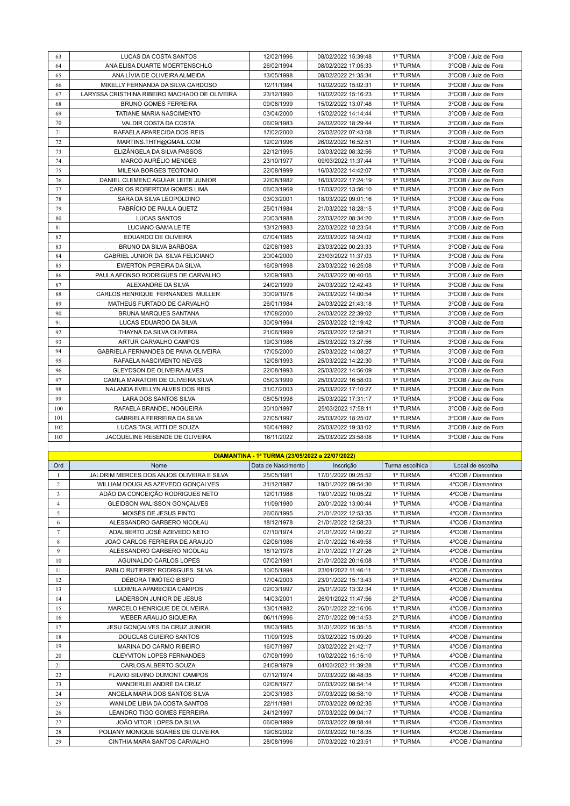| 63  | LUCAS DA COSTA SANTOS                         | 12/02/1996 | 08/02/2022 15:39:48 | 1ª TURMA | 3°COB / Juiz de Fora |
|-----|-----------------------------------------------|------------|---------------------|----------|----------------------|
| 64  | ANA ELISA DUARTE MOERTENSCHLG                 | 26/02/1994 | 08/02/2022 17:05:33 | 1ª TURMA | 3°COB / Juiz de Fora |
| 65  | ANA LÍVIA DE OLIVEIRA ALMEIDA                 | 13/05/1998 | 08/02/2022 21:35:34 | 1ª TURMA | 3°COB / Juiz de Fora |
| 66  | MIKELLY FERNANDA DA SILVA CARDOSO             | 12/11/1984 | 10/02/2022 15:02:31 | 1ª TURMA | 3°COB / Juiz de Fora |
| 67  | LARYSSA CRISTHINA RIBEIRO MACHADO DE OLIVEIRA | 23/12/1990 | 10/02/2022 15:16:23 | 1ª TURMA | 3°COB / Juiz de Fora |
| 68  | <b>BRUNO GOMES FERREIRA</b>                   | 09/08/1999 | 15/02/2022 13:07:48 | 1ª TURMA | 3°COB / Juiz de Fora |
| 69  | <b>TATIANE MARIA NASCIMENTO</b>               | 03/04/2000 | 15/02/2022 14:14:44 | 1ª TURMA | 3°COB / Juiz de Fora |
| 70  | VALDIR COSTA DA COSTA                         | 06/09/1983 | 24/02/2022 18:29:44 | 1ª TURMA | 3°COB / Juiz de Fora |
| 71  | RAFAELA APARECIDA DOS REIS                    | 17/02/2000 | 25/02/2022 07:43:08 | 1ª TURMA | 3°COB / Juiz de Fora |
| 72  | MARTINS.THTH@GMAIL.COM                        | 12/02/1996 | 26/02/2022 16:52:51 | 1ª TURMA | 3°COB / Juiz de Fora |
| 73  | ELIZĂNGELA DA SILVA PASSOS                    | 22/12/1995 | 03/03/2022 08:32:56 | 1ª TURMA | 3°COB / Juiz de Fora |
| 74  | MARCO AURÉLIO MENDES                          | 23/10/1977 | 09/03/2022 11:37:44 | 1ª TURMA | 3°COB / Juiz de Fora |
| 75  | MILENA BORGES TEOTONIO                        | 22/08/1999 | 16/03/2022 14:42:07 | 1ª TURMA | 3°COB / Juiz de Fora |
| 76  | DANIEL CLEMENC AGUIAR LEITE JUNIOR            | 22/08/1982 | 16/03/2022 17:24:19 | 1ª TURMA | 3°COB / Juiz de Fora |
| 77  | <b>CARLOS ROBERTOM GOMES LIMA</b>             | 06/03/1969 | 17/03/2022 13:56:10 | 1ª TURMA | 3°COB / Juiz de Fora |
| 78  | SARA DA SILVA LEOPOLDINO                      | 03/03/2001 | 18/03/2022 09:01:16 | 1ª TURMA | 3°COB / Juiz de Fora |
| 79  | FABRÍCIO DE PAULA QUETZ                       | 25/01/1984 | 21/03/2022 18:28:15 | 1ª TURMA | 3°COB / Juiz de Fora |
| 80  | <b>LUCAS SANTOS</b>                           | 20/03/1988 | 22/03/2022 08:34:20 | 1ª TURMA | 3°COB / Juiz de Fora |
| 81  | LUCIANO GAMA LEITE                            | 13/12/1983 | 22/03/2022 18:23:54 | 1ª TURMA | 3°COB / Juiz de Fora |
| 82  | EDUARDO DE OLIVEIRA                           | 07/04/1985 | 22/03/2022 18:24:02 | 1ª TURMA | 3°COB / Juiz de Fora |
| 83  | BRUNO DA SILVA BARBOSA                        | 02/06/1983 | 23/03/2022 00:23:33 | 1ª TURMA | 3°COB / Juiz de Fora |
| 84  | GABRIEL JUNIOR DA SILVA FELICIANO             | 20/04/2000 | 23/03/2022 11:37:03 | 1ª TURMA | 3°COB / Juiz de Fora |
| 85  | <b>EWERTON PEREIRA DA SILVA</b>               | 16/09/1998 | 23/03/2022 16:25:08 | 1ª TURMA | 3°COB / Juiz de Fora |
| 86  | PAULA AFONSO RODRIGUES DE CARVALHO            | 12/09/1983 | 24/03/2022 00:40:05 | 1ª TURMA | 3°COB / Juiz de Fora |
| 87  | ALEXANDRE DA SILVA                            | 24/02/1999 | 24/03/2022 12:42:43 | 1ª TURMA | 3°COB / Juiz de Fora |
| 88  | CARLOS HENRIQUE FERNANDES MULLER              | 30/09/1978 | 24/03/2022 14:00:54 | 1ª TURMA | 3°COB / Juiz de Fora |
| 89  | MATHEUS FURTADO DE CARVALHO                   | 26/01/1984 | 24/03/2022 21:43:18 | 1ª TURMA | 3°COB / Juiz de Fora |
| 90  | <b>BRUNA MARQUES SANTANA</b>                  | 17/08/2000 | 24/03/2022 22:39:02 | 1ª TURMA | 3°COB / Juiz de Fora |
| 91  | LUCAS EDUARDO DA SILVA                        | 30/09/1994 | 25/03/2022 12:19:42 | 1ª TURMA | 3°COB / Juiz de Fora |
| 92  | THAYNÁ DA SILVA OLIVEIRA                      | 21/06/1999 | 25/03/2022 12:58:21 | 1ª TURMA | 3°COB / Juiz de Fora |
| 93  | ARTUR CARVALHO CAMPOS                         | 19/03/1986 | 25/03/2022 13:27:56 | 1ª TURMA | 3°COB / Juiz de Fora |
| 94  | GABRIELA FERNANDES DE PAIVA OLIVEIRA          | 17/05/2000 | 25/03/2022 14:08:27 | 1ª TURMA | 3°COB / Juiz de Fora |
| 95  | RAFAELA NASCIMENTO NEVES                      | 12/08/1993 | 25/03/2022 14:22:30 | 1ª TURMA | 3°COB / Juiz de Fora |
| 96  | <b>GLEYDSON DE OLIVEIRA ALVES</b>             | 22/08/1993 | 25/03/2022 14:56:09 | 1ª TURMA | 3°COB / Juiz de Fora |
| 97  | CAMILA MARATORI DE OLIVEIRA SILVA             | 05/03/1999 | 25/03/2022 16:58:03 | 1ª TURMA | 3°COB / Juiz de Fora |
| 98  | NALANDA EVELLYN ALVES DOS REIS                | 31/07/2003 | 25/03/2022 17:10:27 | 1ª TURMA | 3°COB / Juiz de Fora |
| 99  | LARA DOS SANTOS SILVA                         | 08/05/1998 | 25/03/2022 17:31:17 | 1ª TURMA | 3°COB / Juiz de Fora |
| 100 | RAFAELA BRANDEL NOGUEIRA                      | 30/10/1997 | 25/03/2022 17:58:11 | 1ª TURMA | 3°COB / Juiz de Fora |
| 101 | GABRIELA FERREIRA DA SILVA                    | 27/05/1997 | 25/03/2022 18:25:07 | 1ª TURMA | 3°COB / Juiz de Fora |
| 102 | LUCAS TAGLIATTI DE SOUZA                      | 16/04/1992 | 25/03/2022 19:33:02 | 1ª TURMA | 3°COB / Juiz de Fora |
| 103 | JACQUELINE RESENDE DE OLIVEIRA                | 16/11/2022 | 25/03/2022 23:58:08 | 1ª TURMA | 3°COB / Juiz de Fora |

|                | DIAMANTINA - 1ª TURMA (23/05/2022 a 22/07/2022) |                    |                     |                 |                    |  |  |
|----------------|-------------------------------------------------|--------------------|---------------------|-----------------|--------------------|--|--|
| Ord            | Nome                                            | Data de Nascimento | Inscrição           | Turma escolhida | Local de escolha   |  |  |
| $\mathbf{1}$   | JALDRIM MERCES DOS ANJOS OLIVEIRA E SILVA       | 25/05/1981         | 17/01/2022 09:25:52 | 1ª TURMA        | 4°COB / Diamantina |  |  |
| $\overline{c}$ | WILLIAM DOUGLAS AZEVEDO GONÇALVES               | 31/12/1987         | 19/01/2022 09:54:30 | 1ª TURMA        | 4°COB / Diamantina |  |  |
| 3              | ADÃO DA CONCEIÇÃO RODRIGUES NETO                | 12/01/1988         | 19/01/2022 10:05:22 | 1ª TURMA        | 4°COB / Diamantina |  |  |
| $\overline{4}$ | GLEIDSON WALISSON GONCALVES                     | 11/09/1980         | 20/01/2022 13:00:44 | 1ª TURMA        | 4°COB / Diamantina |  |  |
| 5              | MOISÉS DE JESUS PINTO                           | 26/06/1995         | 21/01/2022 12:53:35 | 1ª TURMA        | 4°COB / Diamantina |  |  |
| 6              | ALESSANDRO GARBERO NICOLAU                      | 18/12/1978         | 21/01/2022 12:58:23 | 1ª TURMA        | 4°COB / Diamantina |  |  |
| 7              | ADALBERTO JOSÉ AZEVEDO NETO                     | 07/10/1974         | 21/01/2022 14:00:22 | 2ª TURMA        | 4°COB / Diamantina |  |  |
| 8              | JOAO CARLOS FERREIRA DE ARAUJO                  | 02/06/1986         | 21/01/2022 16:49:58 | 1ª TURMA        | 4°COB / Diamantina |  |  |
| 9              | ALESSANDRO GARBERO NICOLAU                      | 18/12/1978         | 21/01/2022 17:27:26 | 2ª TURMA        | 4°COB / Diamantina |  |  |
| 10             | AGUINALDO CARLOS LOPES                          | 07/02/1981         | 21/01/2022 20:16:08 | 1ª TURMA        | 4°COB / Diamantina |  |  |
| 11             | PABLO RUTIERRY RODRIGUES SILVA                  | 10/05/1994         | 23/01/2022 11:46:11 | 2ª TURMA        | 4°COB / Diamantina |  |  |
| 12             | DÉBORA TIMÓTEO BISPO                            | 17/04/2003         | 23/01/2022 15:13:43 | 1ª TURMA        | 4°COB / Diamantina |  |  |
| 13             | LUDIMILA APARECIDA CAMPOS                       | 02/03/1997         | 25/01/2022 13:32:34 | 1ª TURMA        | 4°COB / Diamantina |  |  |
| 14             | LADERSON JUNIOR DE JESUS                        | 14/03/2001         | 26/01/2022 11:47:56 | 2ª TURMA        | 4°COB / Diamantina |  |  |
| 15             | MARCELO HENRIQUE DE OLIVEIRA                    | 13/01/1982         | 26/01/2022 22:16:06 | 1ª TURMA        | 4°COB / Diamantina |  |  |
| 16             | <b>WEBER ARAUJO SIQUEIRA</b>                    | 06/11/1996         | 27/01/2022 09:14:53 | 2ª TURMA        | 4°COB / Diamantina |  |  |
| 17             | JESU GONCALVES DA CRUZ JUNIOR                   | 18/03/1985         | 31/01/2022 16:35:15 | 1ª TURMA        | 4°COB / Diamantina |  |  |
| 18             | <b>DOUGLAS GUIEIRO SANTOS</b>                   | 11/09/1995         | 03/02/2022 15:09:20 | 1ª TURMA        | 4°COB / Diamantina |  |  |
| 19             | MARINA DO CARMO RIBEIRO                         | 16/07/1997         | 03/02/2022 21:42:17 | 1ª TURMA        | 4°COB / Diamantina |  |  |
| 20             | <b>CLEYVITON LOPES FERNANDES</b>                | 07/09/1990         | 10/02/2022 15:15:10 | 1ª TURMA        | 4°COB / Diamantina |  |  |
| 21             | CARLOS ALBERTO SOUZA                            | 24/09/1979         | 04/03/2022 11:39:28 | 1ª TURMA        | 4°COB / Diamantina |  |  |
| 22             | FLAVIO SILVINO DUMONT CAMPOS                    | 07/12/1974         | 07/03/2022 08:48:35 | 1ª TURMA        | 4°COB / Diamantina |  |  |
| 23             | WANDERLEI ANDRÉ DA CRUZ                         | 02/08/1977         | 07/03/2022 08:54:14 | 1ª TURMA        | 4°COB / Diamantina |  |  |
| 24             | ANGELA MARIA DOS SANTOS SILVA                   | 20/03/1983         | 07/03/2022 08:58:10 | 1ª TURMA        | 4°COB / Diamantina |  |  |
| 25             | WANILDE LIBIA DA COSTA SANTOS                   | 22/11/1981         | 07/03/2022 09:02:35 | 1ª TURMA        | 4°COB / Diamantina |  |  |
| 26             | <b>LEANDRO TIGO GOMES FERREIRA</b>              | 24/12/1997         | 07/03/2022 09:04:17 | 1ª TURMA        | 4°COB / Diamantina |  |  |
| 27             | JOÃO VITOR LOPES DA SILVA                       | 06/09/1999         | 07/03/2022 09:08:44 | 1ª TURMA        | 4°COB / Diamantina |  |  |
| 28             | POLIANY MONIQUE SOARES DE OLIVEIRA              | 19/06/2002         | 07/03/2022 10:18:35 | 1ª TURMA        | 4°COB / Diamantina |  |  |
| 29             | CINTHIA MARA SANTOS CARVALHO                    | 28/08/1996         | 07/03/2022 10:23:51 | 1ª TURMA        | 4°COB / Diamantina |  |  |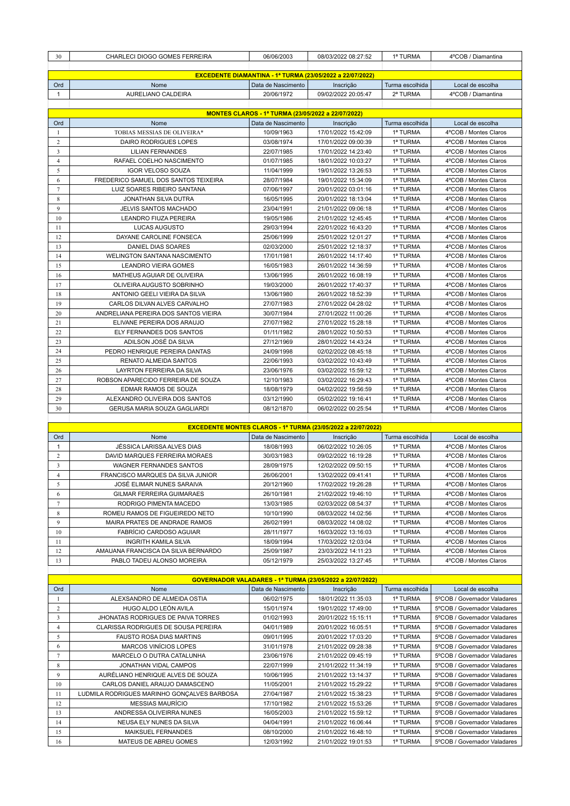| 30              | CHARLECI DIOGO GOMES FERREIRA                                    | 06/06/2003                                         | 08/03/2022 08:27:52 | 1ª TURMA        | 4°COB / Diamantina    |  |  |  |  |  |
|-----------------|------------------------------------------------------------------|----------------------------------------------------|---------------------|-----------------|-----------------------|--|--|--|--|--|
|                 |                                                                  |                                                    |                     |                 |                       |  |  |  |  |  |
|                 | <b>EXCEDENTE DIAMANTINA - 1ª TURMA (23/05/2022 a 22/07/2022)</b> |                                                    |                     |                 |                       |  |  |  |  |  |
| Ord             | Nome                                                             | Data de Nascimento                                 | Inscrição           | Turma escolhida | Local de escolha      |  |  |  |  |  |
| $\mathbf{1}$    | AURELIANO CALDEIRA                                               | 20/06/1972                                         | 09/02/2022 20:05:47 | 2ª TURMA        | 4°COB / Diamantina    |  |  |  |  |  |
|                 |                                                                  |                                                    |                     |                 |                       |  |  |  |  |  |
|                 |                                                                  | MONTES CLAROS - 1ª TURMA (23/05/2022 a 22/07/2022) |                     |                 |                       |  |  |  |  |  |
| Ord             | Nome                                                             | Data de Nascimento                                 | Inscrição           | Turma escolhida | Local de escolha      |  |  |  |  |  |
| 1               | TOBIAS MESSIAS DE OLIVEIRA*                                      | 10/09/1963                                         | 17/01/2022 15:42:09 | 1ª TURMA        | 4°COB / Montes Claros |  |  |  |  |  |
| $\overline{c}$  | <b>DAIRO RODRIGUES LOPES</b>                                     | 03/08/1974                                         | 17/01/2022 09:00:39 | 1ª TURMA        | 4°COB / Montes Claros |  |  |  |  |  |
| $\overline{3}$  | <b>LILIAN FERNANDES</b>                                          | 22/07/1985                                         | 17/01/2022 14:23:40 | 1ª TURMA        | 4°COB / Montes Claros |  |  |  |  |  |
| $\overline{4}$  | RAFAEL COELHO NASCIMENTO                                         | 01/07/1985                                         | 18/01/2022 10:03:27 | 1ª TURMA        | 4°COB / Montes Claros |  |  |  |  |  |
| 5               | <b>IGOR VELOSO SOUZA</b>                                         | 11/04/1999                                         | 19/01/2022 13:26:53 | 1ª TURMA        | 4°COB / Montes Claros |  |  |  |  |  |
| 6               | FREDERICO SAMUEL DOS SANTOS TEIXEIRA                             | 28/07/1984                                         | 19/01/2022 15:34:09 | 1ª TURMA        | 4°COB / Montes Claros |  |  |  |  |  |
| $7\overline{ }$ | LUIZ SOARES RIBEIRO SANTANA                                      | 07/06/1997                                         | 20/01/2022 03:01:16 | 1ª TURMA        | 4°COB / Montes Claros |  |  |  |  |  |
| 8               | JONATHAN SILVA DUTRA                                             | 16/05/1995                                         | 20/01/2022 18:13:04 | 1ª TURMA        | 4°COB / Montes Claros |  |  |  |  |  |
| $\overline{9}$  | <b>JELVIS SANTOS MACHADO</b>                                     | 23/04/1991                                         | 21/01/2022 09:06:18 | 1ª TURMA        | 4°COB / Montes Claros |  |  |  |  |  |
| 10              | LEANDRO FIUZA PEREIRA                                            | 19/05/1986                                         | 21/01/2022 12:45:45 | 1ª TURMA        | 4°COB / Montes Claros |  |  |  |  |  |
| 11              | LUCAS AUGUSTO                                                    | 29/03/1994                                         | 22/01/2022 16:43:20 | 1ª TURMA        | 4°COB / Montes Claros |  |  |  |  |  |
| 12              | DAYANE CAROLINE FONSECA                                          | 25/06/1999                                         | 25/01/2022 12:01:27 | 1ª TURMA        | 4°COB / Montes Claros |  |  |  |  |  |
| 13              | DANIEL DIAS SOARES                                               | 02/03/2000                                         | 25/01/2022 12:18:37 | 1ª TURMA        | 4°COB / Montes Claros |  |  |  |  |  |
| 14              | WELINGTON SANTANA NASCIMENTO                                     | 17/01/1981                                         | 26/01/2022 14:17:40 | 1ª TURMA        | 4°COB / Montes Claros |  |  |  |  |  |
| 15              | <b>LEANDRO VIEIRA GOMES</b>                                      | 16/05/1983                                         | 26/01/2022 14:36:59 | 1ª TURMA        | 4°COB / Montes Claros |  |  |  |  |  |
| 16              | MATHEUS AGUIAR DE OLIVEIRA                                       | 13/06/1995                                         | 26/01/2022 16:08:19 | 1ª TURMA        | 4°COB / Montes Claros |  |  |  |  |  |
| 17              | OLIVEIRA AUGUSTO SOBRINHO                                        | 19/03/2000                                         | 26/01/2022 17:40:37 | 1ª TURMA        | 4°COB / Montes Claros |  |  |  |  |  |
| 18              | ANTONIO GEELI VIEIRA DA SILVA                                    | 13/06/1980                                         | 26/01/2022 18:52:39 | 1ª TURMA        | 4°COB / Montes Claros |  |  |  |  |  |
| 19              | CARLOS DILVAN ALVES CARVALHO                                     | 27/07/1983                                         | 27/01/2022 04:28:02 | 1ª TURMA        | 4°COB / Montes Claros |  |  |  |  |  |
| 20              | ANDRELIANA PEREIRA DOS SANTOS VIEIRA                             | 30/07/1984                                         | 27/01/2022 11:00:26 | 1ª TURMA        | 4°COB / Montes Claros |  |  |  |  |  |
| 21              | ELIVANE PEREIRA DOS ARAUJO                                       | 27/07/1982                                         | 27/01/2022 15:28:18 | 1ª TURMA        | 4°COB / Montes Claros |  |  |  |  |  |
| 22              | ELY FERNANDES DOS SANTOS                                         | 01/11/1982                                         | 28/01/2022 10:50:53 | 1ª TURMA        | 4°COB / Montes Claros |  |  |  |  |  |
| 23              | ADILSON JOSÉ DA SILVA                                            | 27/12/1969                                         | 28/01/2022 14:43:24 | 1ª TURMA        | 4°COB / Montes Claros |  |  |  |  |  |
| 24              | PEDRO HENRIQUE PEREIRA DANTAS                                    | 24/09/1998                                         | 02/02/2022 08:45:18 | 1ª TURMA        | 4°COB / Montes Claros |  |  |  |  |  |
| 25              | <b>RENATO ALMEIDA SANTOS</b>                                     | 22/06/1993                                         | 03/02/2022 10:43:49 | 1ª TURMA        | 4°COB / Montes Claros |  |  |  |  |  |
| 26              | LAYRTON FERREIRA DA SILVA                                        | 23/06/1976                                         | 03/02/2022 15:59:12 | 1ª TURMA        | 4°COB / Montes Claros |  |  |  |  |  |
| 27              | ROBSON APARECIDO FERREIRA DE SOUZA                               | 12/10/1983                                         | 03/02/2022 16:29:43 | 1ª TURMA        | 4°COB / Montes Claros |  |  |  |  |  |
| 28              | EDMAR RAMOS DE SOUZA                                             | 18/08/1979                                         | 04/02/2022 19:56:59 | 1ª TURMA        | 4°COB / Montes Claros |  |  |  |  |  |
| 29              | ALEXANDRO OLIVEIRA DOS SANTOS                                    | 03/12/1990                                         | 05/02/2022 19:16:41 | 1ª TURMA        | 4°COB / Montes Claros |  |  |  |  |  |
| 30              | GERUSA MARIA SOUZA GAGLIARDI                                     | 08/12/1870                                         | 06/02/2022 00:25:54 | 1ª TURMA        | 4°COB / Montes Claros |  |  |  |  |  |
|                 |                                                                  |                                                    |                     |                 |                       |  |  |  |  |  |
|                 | EXCEDENTE MONTES CLAROS - 1ª TURMA (23/05/2022 a 22/07/2022)     |                                                    |                     |                 |                       |  |  |  |  |  |
| Ord             | Nome                                                             | Data de Nascimento                                 | Inscrição           | Turma escolhida | Local de escolha      |  |  |  |  |  |
| $\mathbf{1}$    | JÉSSICA LARISSA ALVES DIAS                                       | 18/08/1993                                         | 06/02/2022 10:26:05 | 1ª TURMA        | 4°COB / Montes Claros |  |  |  |  |  |
| 2               | DAVID MARQUES FERREIRA MORAES                                    | 30/03/1983                                         | 09/02/2022 16:19:28 | 1ª TURMA        | 4°COB / Montes Claros |  |  |  |  |  |
| $\overline{3}$  | <b>WAGNER FERNANDES SANTOS</b>                                   | 28/09/1975                                         | 12/02/2022 09:50:15 | 1ª TURMA        | 4°COB / Montes Claros |  |  |  |  |  |
| $\overline{4}$  | FRANCISCO MARQUES DA SILVA JUNIOR                                | 26/06/2001                                         | 13/02/2022 09:41:41 | 1ª TURMA        | 4°COB / Montes Claros |  |  |  |  |  |
| 5               | JOSÉ ELIMAR NUNES SARAIVA                                        | 20/12/1960                                         | 17/02/2022 19:26:28 | 1ª TURMA        | 4°COB / Montes Claros |  |  |  |  |  |

|    | FRANCISCO MARQUES DA SILVA JUNIOR   | 26/06/2001 | 13/02/2022 09:41:41 | 1ª TURMA | 4°COB / Montes Claros |
|----|-------------------------------------|------------|---------------------|----------|-----------------------|
|    | JOSÉ ELIMAR NUNES SARAIVA           | 20/12/1960 | 17/02/2022 19:26:28 | 1ª TURMA | 4°COB / Montes Claros |
|    | GILMAR FERREIRA GUIMARAES           | 26/10/1981 | 21/02/2022 19:46:10 | 1ª TURMA | 4°COB / Montes Claros |
|    | RODRIGO PIMENTA MACEDO              | 13/03/1985 | 02/03/2022 08:54:37 | 1ª TURMA | 4°COB / Montes Claros |
|    | ROMEU RAMOS DE FIGUEIREDO NETO      | 10/10/1990 | 08/03/2022 14:02:56 | 1ª TURMA | 4°COB / Montes Claros |
|    | MAIRA PRATES DE ANDRADE RAMOS       | 26/02/1991 | 08/03/2022 14:08:02 | 1ª TURMA | 4°COB / Montes Claros |
| 10 | FABRÍCIO CARDOSO AGUIAR             | 28/11/1977 | 16/03/2022 13:16:03 | 1ª TURMA | 4°COB / Montes Claros |
|    | INGRITH KAMILA SILVA                | 18/09/1994 | 17/03/2022 12:03:04 | 1ª TURMA | 4°COB / Montes Claros |
|    | AMAUANA FRANCISCA DA SILVA BERNARDO | 25/09/1987 | 23/03/2022 14:11:23 | 1ª TURMA | 4°COB / Montes Claros |
|    | PABLO TADEU ALONSO MOREIRA          | 05/12/1979 | 25/03/2022 13:27:45 | 1ª TURMA | 4°COB / Montes Claros |

| GOVERNADOR VALADARES - 1ª TURMA (23/05/2022 a 22/07/2022) |                                             |                    |                     |                 |                              |  |  |  |
|-----------------------------------------------------------|---------------------------------------------|--------------------|---------------------|-----------------|------------------------------|--|--|--|
| Ord                                                       | Nome                                        | Data de Nascimento | Inscrição           | Turma escolhida | Local de escolha             |  |  |  |
|                                                           | ALEXSANDRO DE ALMEIDA OSTIA                 | 06/02/1975         | 18/01/2022 11:35:03 | 1ª TURMA        | 5°COB / Governador Valadares |  |  |  |
| $\overline{2}$                                            | HUGO ALDO LEÓN AVILA                        | 15/01/1974         | 19/01/2022 17:49:00 | 1ª TURMA        | 5°COB / Governador Valadares |  |  |  |
| 3                                                         | JHONATAS RODRIGUES DE PAIVA TORRES          | 01/02/1993         | 20/01/2022 15:15:11 | 1ª TURMA        | 5°COB / Governador Valadares |  |  |  |
| $\overline{4}$                                            | <b>CLARISSA RODRIGUES DE SOUSA PEREIRA</b>  | 04/01/1989         | 20/01/2022 16:05:51 | 1ª TURMA        | 5°COB / Governador Valadares |  |  |  |
| 5                                                         | <b>FAUSTO ROSA DIAS MARTINS</b>             | 09/01/1995         | 20/01/2022 17:03:20 | 1ª TURMA        | 5°COB / Governador Valadares |  |  |  |
| 6                                                         | <b>MARCOS VINÍCIOS LOPES</b>                | 31/01/1978         | 21/01/2022 09:28:38 | 1ª TURMA        | 5°COB / Governador Valadares |  |  |  |
| 7                                                         | MARCELO O DUTRA CATALUNHA                   | 23/06/1976         | 21/01/2022 09:45:19 | 1ª TURMA        | 5°COB / Governador Valadares |  |  |  |
| 8                                                         | JONATHAN VIDAL CAMPOS                       | 22/07/1999         | 21/01/2022 11:34:19 | 1ª TURMA        | 5°COB / Governador Valadares |  |  |  |
| 9                                                         | AURÉLIANO HENRIQUE ALVES DE SOUZA           | 10/06/1995         | 21/01/2022 13:14:37 | 1ª TURMA        | 5°COB / Governador Valadares |  |  |  |
| 10                                                        | CARLOS DANIEL ARAUJO DAMASCENO              | 11/05/2001         | 21/01/2022 15:29:22 | 1ª TURMA        | 5°COB / Governador Valadares |  |  |  |
| 11                                                        | LUDMILA RODRIGUES MARINHO GONÇALVES BARBOSA | 27/04/1987         | 21/01/2022 15:38:23 | 1ª TURMA        | 5°COB / Governador Valadares |  |  |  |
| 12                                                        | <b>MESSIAS MAURÍCIO</b>                     | 17/10/1982         | 21/01/2022 15:53:26 | 1ª TURMA        | 5°COB / Governador Valadares |  |  |  |
| 13                                                        | ANDRESSA OLIVEIRRA NUNES                    | 16/05/2003         | 21/01/2022 15:59:12 | 1ª TURMA        | 5°COB / Governador Valadares |  |  |  |
| 14                                                        | NEUSA ELY NUNES DA SILVA                    | 04/04/1991         | 21/01/2022 16:06:44 | 1ª TURMA        | 5°COB / Governador Valadares |  |  |  |
| 15                                                        | <b>MAIKSUEL FERNANDES</b>                   | 08/10/2000         | 21/01/2022 16:48:10 | 1ª TURMA        | 5°COB / Governador Valadares |  |  |  |
| 16                                                        | MATEUS DE ABREU GOMES                       | 12/03/1992         | 21/01/2022 19:01:53 | 1ª TURMA        | 5°COB / Governador Valadares |  |  |  |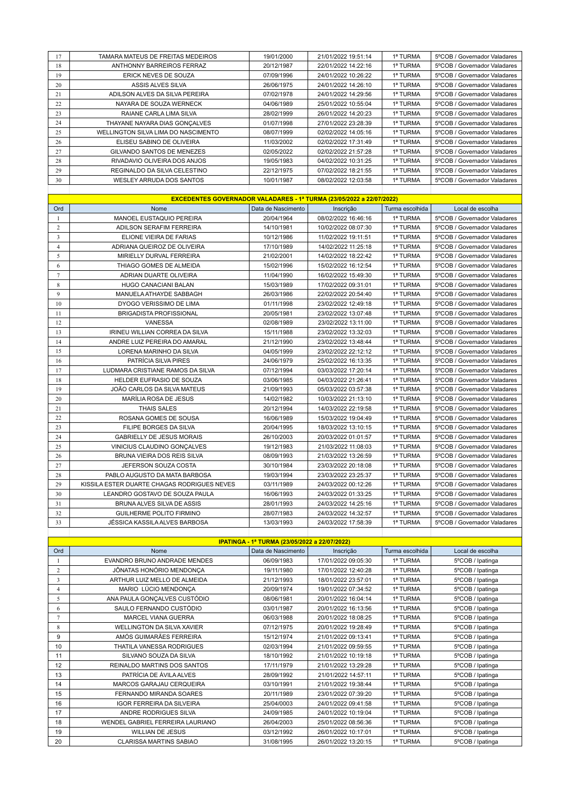| 17 | TAMARA MATEUS DE FREITAS MEDEIROS   | 19/01/2000 | 21/01/2022 19:51:14 | 1ª TURMA | 5°COB / Governador Valadares |
|----|-------------------------------------|------------|---------------------|----------|------------------------------|
| 18 | ANTHONNY BARREIROS FERRAZ           | 20/12/1987 | 22/01/2022 14:22:16 | 1ª TURMA | 5°COB / Governador Valadares |
| 19 | ERICK NEVES DE SOUZA                | 07/09/1996 | 24/01/2022 10:26:22 | 1ª TURMA | 5°COB / Governador Valadares |
| 20 | ASSIS ALVES SILVA                   | 26/06/1975 | 24/01/2022 14:26:10 | 1ª TURMA | 5°COB / Governador Valadares |
| 21 | ADILSON ALVES DA SILVA PEREIRA      | 07/02/1978 | 24/01/2022 14:29:56 | 1ª TURMA | 5°COB / Governador Valadares |
| 22 | NAYARA DE SOUZA WERNECK             | 04/06/1989 | 25/01/2022 10:55:04 | 1ª TURMA | 5°COB / Governador Valadares |
| 23 | RAIANE CARLA LIMA SILVA             | 28/02/1999 | 26/01/2022 14:20:23 | 1ª TURMA | 5°COB / Governador Valadares |
| 24 | THAYANE NAYARA DIAS GONCALVES       | 01/07/1998 | 27/01/2022 23:28:39 | 1ª TURMA | 5°COB / Governador Valadares |
| 25 | WELLINGTON SILVA LIMA DO NASCIMENTO | 08/07/1999 | 02/02/2022 14:05:16 | 1ª TURMA | 5°COB / Governador Valadares |
| 26 | ELISEU SABINO DE OLIVEIRA           | 11/03/2002 | 02/02/2022 17:31:49 | 1ª TURMA | 5°COB / Governador Valadares |
| 27 | GILVANDO SANTOS DE MENEZES          | 02/05/2022 | 02/02/2022 21:57:28 | 1ª TURMA | 5°COB / Governador Valadares |
| 28 | RIVADAVIO OLIVEIRA DOS ANJOS        | 19/05/1983 | 04/02/2022 10:31:25 | 1ª TURMA | 5°COB / Governador Valadares |
| 29 | REGINALDO DA SILVA CELESTINO        | 22/12/1975 | 07/02/2022 18:21:55 | 1ª TURMA | 5°COB / Governador Valadares |
| 30 | <b>WESLEY ARRUDA DOS SANTOS</b>     | 10/01/1987 | 08/02/2022 12:03:58 | 1ª TURMA | 5°COB / Governador Valadares |

|                         | <b>EXCEDENTES GOVERNADOR VALADARES - 1ª TURMA (23/05/2022 a 22/07/2022)</b> |                    |                     |                 |                              |  |  |
|-------------------------|-----------------------------------------------------------------------------|--------------------|---------------------|-----------------|------------------------------|--|--|
| Ord                     | Nome                                                                        | Data de Nascimento | Inscrição           | Turma escolhida | Local de escolha             |  |  |
| -1                      | MANOEL EUSTAQUIO PEREIRA                                                    | 20/04/1964         | 08/02/2022 16:46:16 | 1ª TURMA        | 5°COB / Governador Valadares |  |  |
| $\overline{2}$          | ADILSON SERAFIM FERREIRA                                                    | 14/10/1981         | 10/02/2022 08:07:30 | 1ª TURMA        | 5°COB / Governador Valadares |  |  |
| $\overline{\mathbf{3}}$ | ELIONE VIEIRA DE FARIAS                                                     | 10/12/1986         | 11/02/2022 19:11:51 | 1ª TURMA        | 5°COB / Governador Valadares |  |  |
| $\overline{4}$          | ADRIANA QUEIROZ DE OLIVEIRA                                                 | 17/10/1989         | 14/02/2022 11:25:18 | 1ª TURMA        | 5°COB / Governador Valadares |  |  |
| 5                       | MIRIELLY DURVAL FERREIRA                                                    | 21/02/2001         | 14/02/2022 18:22:42 | 1ª TURMA        | 5°COB / Governador Valadares |  |  |
| 6                       | THIAGO GOMES DE ALMEIDA                                                     | 15/02/1996         | 15/02/2022 16:12:54 | 1ª TURMA        | 5°COB / Governador Valadares |  |  |
| 7                       | ADRIAN DUARTE OLIVEIRA                                                      | 11/04/1990         | 16/02/2022 15:49:30 | 1ª TURMA        | 5°COB / Governador Valadares |  |  |
| 8                       | <b>HUGO CANACIANI BALAN</b>                                                 | 15/03/1989         | 17/02/2022 09:31:01 | 1ª TURMA        | 5°COB / Governador Valadares |  |  |
| 9                       | MANUELA ATHAYDE SABBAGH                                                     | 26/03/1986         | 22/02/2022 20:54:40 | 1ª TURMA        | 5°COB / Governador Valadares |  |  |
| 10                      | DYOGO VERISSIMO DE LIMA                                                     | 01/11/1998         | 23/02/2022 12:49:18 | 1ª TURMA        | 5°COB / Governador Valadares |  |  |
| 11                      | <b>BRIGADISTA PROFISSIONAL</b>                                              | 20/05/1981         | 23/02/2022 13:07:48 | 1ª TURMA        | 5°COB / Governador Valadares |  |  |
| 12                      | <b>VANESSA</b>                                                              | 02/08/1989         | 23/02/2022 13:11:00 | 1ª TURMA        | 5°COB / Governador Valadares |  |  |
| 13                      | <b>IRINEU WILLIAN CORREA DA SILVA</b>                                       | 15/11/1988         | 23/02/2022 13:32:03 | 1ª TURMA        | 5°COB / Governador Valadares |  |  |
| 14                      | ANDRE LUIZ PEREIRA DO AMARAL                                                | 21/12/1990         | 23/02/2022 13:48:44 | 1ª TURMA        | 5°COB / Governador Valadares |  |  |
| 15                      | LORENA MARINHO DA SILVA                                                     | 04/05/1999         | 23/02/2022 22:12:12 | 1ª TURMA        | 5°COB / Governador Valadares |  |  |
| 16                      | PATRÍCIA SILVA PIRES                                                        | 24/06/1979         | 25/02/2022 16:13:35 | 1ª TURMA        | 5°COB / Governador Valadares |  |  |
| 17                      | LUDMARA CRISTIANE RAMOS DA SILVA                                            | 07/12/1994         | 03/03/2022 17:20:14 | 1ª TURMA        | 5°COB / Governador Valadares |  |  |
| 18                      | HELDER EUFRASIO DE SOUZA                                                    | 03/06/1985         | 04/03/2022 21:26:41 | 1ª TURMA        | 5°COB / Governador Valadares |  |  |
| 19                      | JOÃO CARLOS DA SILVA MATEUS                                                 | 21/09/1993         | 05/03/2022 03:57:38 | 1ª TURMA        | 5°COB / Governador Valadares |  |  |
| 20                      | MARÍLIA ROSA DE JESUS                                                       | 14/02/1982         | 10/03/2022 21:13:10 | 1ª TURMA        | 5°COB / Governador Valadares |  |  |
| 21                      | <b>THAIS SALES</b>                                                          | 20/12/1994         | 14/03/2022 22:19:58 | 1ª TURMA        | 5°COB / Governador Valadares |  |  |
| 22                      | ROSANA GOMES DE SOUSA                                                       | 16/06/1989         | 15/03/2022 19:04:49 | 1ª TURMA        | 5°COB / Governador Valadares |  |  |
| 23                      | <b>FILIPE BORGES DA SILVA</b>                                               | 20/04/1995         | 18/03/2022 13:10:15 | 1ª TURMA        | 5°COB / Governador Valadares |  |  |
| 24                      | <b>GABRIELLY DE JESUS MORAIS</b>                                            | 26/10/2003         | 20/03/2022 01:01:57 | 1ª TURMA        | 5°COB / Governador Valadares |  |  |
| 25                      | VINICIUS CLAUDINO GONÇALVES                                                 | 19/12/1983         | 21/03/2022 11:08:03 | 1ª TURMA        | 5°COB / Governador Valadares |  |  |
| 26                      | BRUNA VIEIRA DOS REIS SILVA                                                 | 08/09/1993         | 21/03/2022 13:26:59 | 1ª TURMA        | 5°COB / Governador Valadares |  |  |
| 27                      | JEFERSON SOUZA COSTA                                                        | 30/10/1984         | 23/03/2022 20:18:08 | 1ª TURMA        | 5°COB / Governador Valadares |  |  |
| 28                      | PABLO AUGUSTO DA MATA BARBOSA                                               | 19/03/1994         | 23/03/2022 23:25:37 | 1ª TURMA        | 5°COB / Governador Valadares |  |  |
| 29                      | KISSILA ESTER DUARTE CHAGAS RODRIGUES NEVES                                 | 03/11/1989         | 24/03/2022 00:12:26 | 1ª TURMA        | 5°COB / Governador Valadares |  |  |
| 30                      | LEANDRO GOSTAVO DE SOUZA PAULA                                              | 16/06/1993         | 24/03/2022 01:33:25 | 1ª TURMA        | 5°COB / Governador Valadares |  |  |
| 31                      | BRUNA ALVES SILVA DE ASSIS                                                  | 28/01/1993         | 24/03/2022 14:25:16 | 1ª TURMA        | 5°COB / Governador Valadares |  |  |
| 32                      | <b>GUILHERME POLITO FIRMINO</b>                                             | 28/07/1983         | 24/03/2022 14:32:57 | 1ª TURMA        | 5°COB / Governador Valadares |  |  |
| 33                      | JÉSSICA KASSILA ALVES BARBOSA                                               | 13/03/1993         | 24/03/2022 17:58:39 | 1ª TURMA        | 5°COB / Governador Valadares |  |  |

|                | IPATINGA - 1ª TURMA (23/05/2022 a 22/07/2022) |                    |                     |                 |                  |  |  |  |
|----------------|-----------------------------------------------|--------------------|---------------------|-----------------|------------------|--|--|--|
| Ord            | Nome                                          | Data de Nascimento | Inscrição           | Turma escolhida | Local de escolha |  |  |  |
|                | EVANDRO BRUNO ANDRADE MENDES                  | 06/09/1983         | 17/01/2022 09:05:30 | 1ª TURMA        | 5°COB / Ipatinga |  |  |  |
| 2              | JÔNATAS HONÓRIO MENDONÇA                      | 19/11/1980         | 17/01/2022 12:40:28 | 1ª TURMA        | 5°COB / Ipatinga |  |  |  |
| 3              | ARTHUR LUIZ MELLO DE ALMEIDA                  | 21/12/1993         | 18/01/2022 23:57:01 | 1ª TURMA        | 5°COB / Ipatinga |  |  |  |
| $\overline{4}$ | MARIO LÚCIO MENDONÇA                          | 20/09/1974         | 19/01/2022 07:34:52 | 1ª TURMA        | 5°COB / Ipatinga |  |  |  |
| 5              | ANA PAULA GONCALVES CUSTÓDIO                  | 08/06/1981         | 20/01/2022 16:04:14 | 1ª TURMA        | 5°COB / Ipatinga |  |  |  |
| 6              | SAULO FERNANDO CUSTÓDIO                       | 03/01/1987         | 20/01/2022 16:13:56 | 1ª TURMA        | 5°COB / Ipatinga |  |  |  |
| $\overline{7}$ | <b>MARCEL VIANA GUERRA</b>                    | 06/03/1988         | 20/01/2022 18:08:25 | 1ª TURMA        | 5°COB / Ipatinga |  |  |  |
| 8              | <b>WELLINGTON DA SILVA XAVIER</b>             | 07/12/1975         | 20/01/2022 19:28:49 | 1ª TURMA        | 5°COB / Ipatinga |  |  |  |
| 9              | AMÓS GUIMARÃES FERREIRA                       | 15/12/1974         | 21/01/2022 09:13:41 | 1ª TURMA        | 5°COB / Ipatinga |  |  |  |
| 10             | THATILA VANESSA RODRIGUES                     | 02/03/1994         | 21/01/2022 09:59:55 | 1ª TURMA        | 5°COB / Ipatinga |  |  |  |
| 11             | SILVANO SOUZA DA SILVA                        | 18/10/1992         | 21/01/2022 10:19:18 | 1ª TURMA        | 5°COB / Ipatinga |  |  |  |
| 12             | REINALDO MARTINS DOS SANTOS                   | 17/11/1979         | 21/01/2022 13:29:28 | 1ª TURMA        | 5°COB / Ipatinga |  |  |  |
| 13             | PATRÍCIA DE ÁVILA ALVES                       | 28/09/1992         | 21/01/2022 14:57:11 | 1ª TURMA        | 5°COB / Ipatinga |  |  |  |
| 14             | MARCOS GARAJAU CERQUEIRA                      | 03/10/1991         | 21/01/2022 19:38:44 | 1ª TURMA        | 5°COB / Ipatinga |  |  |  |
| 15             | FERNANDO MIRANDA SOARES                       | 20/11/1989         | 23/01/2022 07:39:20 | 1ª TURMA        | 5°COB / Ipatinga |  |  |  |
| 16             | <b>IGOR FERREIRA DA SILVEIRA</b>              | 25/04/0003         | 24/01/2022 09:41:58 | 1ª TURMA        | 5°COB / Ipatinga |  |  |  |
| 17             | ANDRE RODRIGUES SILVA                         | 24/09/1985         | 24/01/2022 10:19:04 | 1ª TURMA        | 5°COB / Ipatinga |  |  |  |
| 18             | WENDEL GABRIEL FERREIRA LAURIANO              | 26/04/2003         | 25/01/2022 08:56:36 | 1ª TURMA        | 5°COB / Ipatinga |  |  |  |
| 19             | <b>WILLIAN DE JESUS</b>                       | 03/12/1992         | 26/01/2022 10:17:01 | 1ª TURMA        | 5°COB / Ipatinga |  |  |  |
| 20             | <b>CLARISSA MARTINS SABIAO</b>                | 31/08/1995         | 26/01/2022 13:20:15 | 1ª TURMA        | 5°COB / Ipatinga |  |  |  |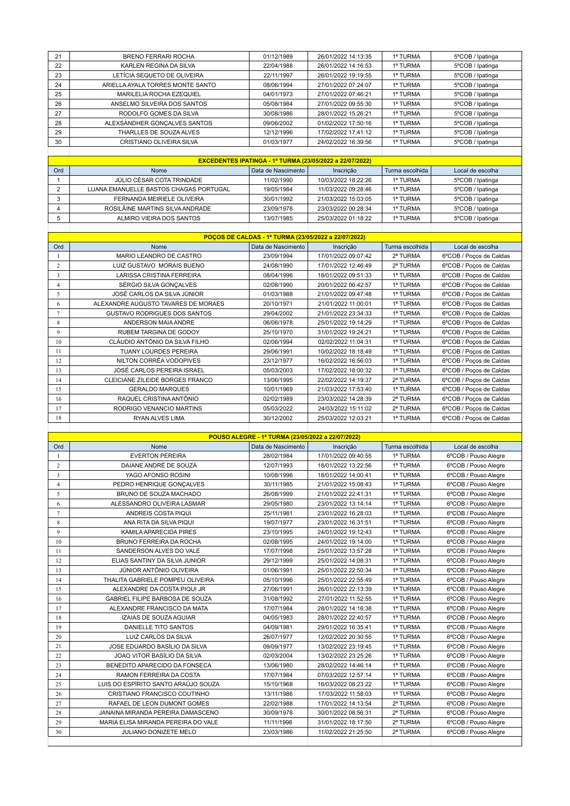| 21 | <b>BRENO FERRARI ROCHA</b>       | 01/12/1989 | 26/01/2022 14:13:35 | 1ª TURMA | 5°COB / Ipatinga |
|----|----------------------------------|------------|---------------------|----------|------------------|
| 22 | KARLEN REGINA DA SILVA           | 22/04/1988 | 26/01/2022 14:16:53 | 1ª TURMA | 5°COB / Ipatinga |
| 23 | LETÍCIA SEQUETO DE OLIVEIRA      | 22/11/1997 | 26/01/2022 19:19:55 | 1ª TURMA | 5°COB / Ipatinga |
| 24 | ARIELLA AYALA TORRES MONTE SANTO | 08/06/1994 | 27/01/2022 07:24:07 | 1ª TURMA | 5°COB / Ipatinga |
| 25 | MARILELIA ROCHA EZEQUIEL         | 04/01/1973 | 27/01/2022 07:46:21 | 1ª TURMA | 5°COB / Ipatinga |
| 26 | ANSELMO SILVEIRA DOS SANTOS      | 05/08/1984 | 27/01/2022 09:55:30 | 1ª TURMA | 5°COB / Ipatinga |
| 27 | RODOLFO GOMES DA SILVA           | 30/08/1986 | 28/01/2022 15:26:21 | 1ª TURMA | 5°COB / Ipatinga |
| 28 | ALEXSANDHER GONCALVES SANTOS     | 09/06/2002 | 01/02/2022 17:50:16 | 1ª TURMA | 5°COB / Ipatinga |
| 29 | THARLLES DE SOUZA ALVES          | 12/12/1996 | 17/02/2022 17:41:12 | 1ª TURMA | 5°COB / Ipatinga |
| 30 | CRISTIANO OLIVEIRA SILVA         | 01/03/1977 | 24/02/2022 16:39:56 | 1ª TURMA | 5°COB / Ipatinga |
|    |                                  |            |                     |          |                  |

|     | <b>EXCEDENTES IPATINGA - 1ª TURMA (23/05/2022 a 22/07/2022)</b> |                    |                     |                 |                  |  |  |  |  |
|-----|-----------------------------------------------------------------|--------------------|---------------------|-----------------|------------------|--|--|--|--|
| Ord | <b>Nome</b>                                                     | Data de Nascimento | Inscricão           | Turma escolhida | Local de escolha |  |  |  |  |
|     | JÚLIO CÉSAR COTA TRINDADE                                       | 11/02/1990         | 10/03/2022 18:22:26 | 1ª TURMA        | 5°COB / Ipatinga |  |  |  |  |
|     | LUANA EMANUELLE BASTOS CHAGAS PORTUGAL                          | 19/05/1984         | 11/03/2022 09:28:46 | 1ª TURMA        | 5°COB / Ipatinga |  |  |  |  |
|     | FERNANDA MEIRIELE OLIVEIRA                                      | 30/01/1992         | 21/03/2022 15:03:05 | 1ª TURMA        | 5°COB / Ipatinga |  |  |  |  |
|     | ROSILÂINE MARTINS SILVA ANDRADE                                 | 23/09/1978         | 23/03/2022 00:28:34 | 1ª TURMA        | 5°COB / Ipatinga |  |  |  |  |
|     | ALMIRO VIEIRA DOS SANTOS                                        | 13/07/1985         | 25/03/2022 01:18:22 | 1ª TURMA        | 5°COB / Ipatinga |  |  |  |  |

| POCOS DE CALDAS - 1ª TURMA (23/05/2022 a 22/07/2022) |                                     |                    |                     |                 |                         |  |
|------------------------------------------------------|-------------------------------------|--------------------|---------------------|-----------------|-------------------------|--|
| Ord                                                  | Nome                                | Data de Nascimento | Inscrição           | Turma escolhida | Local de escolha        |  |
|                                                      | MARIO LEANDRO DE CASTRO             | 23/09/1994         | 17/01/2022 09:07:42 | 2ª TURMA        | 6°COB / Poços de Caldas |  |
| $\overline{c}$                                       | LUIZ GUSTAVO MORAIS BUENO           | 24/08/1990         | 17/01/2022 12:46:49 | 2ª TURMA        | 6°COB / Pocos de Caldas |  |
| 3                                                    | <b>LARISSA CRISTINA FERREIRA</b>    | 08/04/1996         | 18/01/2022 09:51:33 | 1ª TURMA        | 6°COB / Poços de Caldas |  |
| $\overline{4}$                                       | SÉRGIO SILVA GONÇALVES              | 02/08/1990         | 20/01/2022 00:42:57 | 1ª TURMA        | 6°COB / Pocos de Caldas |  |
| 5                                                    | JOSÉ CARLOS DA SILVA JÚNIOR         | 01/03/1988         | 21/01/2022 09:47:48 | 1ª TURMA        | 6°COB / Poços de Caldas |  |
| 6                                                    | ALEXANDRE AUGUSTO TAVARES DE MORAES | 20/10/1971         | 21/01/2022 11:00:01 | 1ª TURMA        | 6°COB / Pocos de Caldas |  |
| $\tau$                                               | <b>GUSTAVO RODRIGUES DOS SANTOS</b> | 29/04/2002         | 21/01/2022 23:34:33 | 1ª TURMA        | 6°COB / Pocos de Caldas |  |
| 8                                                    | ANDERSON MAIA ANDRE                 | 06/06/1978         | 25/01/2022 19:14:29 | 1ª TURMA        | 6°COB / Pocos de Caldas |  |
| 9                                                    | <b>RUBEM TARGINA DE GODOY</b>       | 25/10/1970         | 31/01/2022 19:24:21 | 1ª TURMA        | 6°COB / Pocos de Caldas |  |
| 10                                                   | CLÁUDIO ANTÔNIO DA SILVA FILHO      | 02/06/1994         | 02/02/2022 11:04:31 | 1ª TURMA        | 6°COB / Pocos de Caldas |  |
| 11                                                   | <b>TUANY LOURDES PEREIRA</b>        | 29/06/1991         | 10/02/2022 18:18:49 | 1ª TURMA        | 6°COB / Poços de Caldas |  |
| 12                                                   | NILTON CORRÊA VODOPIVES             | 23/12/1977         | 16/02/2022 16:56:03 | 1ª TURMA        | 6°COB / Pocos de Caldas |  |
| 13                                                   | JOSÉ CARLOS PEREIRA ISRAEL          | 05/03/2003         | 17/02/2022 18:00:32 | 1ª TURMA        | 6°COB / Poços de Caldas |  |
| 14                                                   | CLEICIANE ZILEIDE BORGES FRANCO     | 13/06/1995         | 22/02/2022 14:19:37 | 2ª TURMA        | 6°COB / Pocos de Caldas |  |
| 15                                                   | <b>GERALDO MARQUES</b>              | 10/01/1969         | 21/03/2022 17:53:40 | 1ª TURMA        | 6°COB / Poços de Caldas |  |
| 16                                                   | RAQUEL CRISTINA ANTÔNIO             | 02/02/1989         | 23/03/2022 14:28:39 | 2ª TURMA        | 6°COB / Pocos de Caldas |  |
| 17                                                   | RODRIGO VENANCIO MARTINS            | 05/03/2022         | 24/03/2022 15:11:02 | 2ª TURMA        | 6°COB / Pocos de Caldas |  |
| 18                                                   | <b>RYAN ALVES LIMA</b>              | 30/12/2002         | 25/03/2022 12:03:21 | 1ª TURMA        | 6°COB / Poços de Caldas |  |

|                | POUSO ALEGRE - 1ª TURMA (23/05/2022 a 22/07/2022) |                    |                     |                 |                      |  |  |  |
|----------------|---------------------------------------------------|--------------------|---------------------|-----------------|----------------------|--|--|--|
| Ord            | Nome                                              | Data de Nascimento | Inscrição           | Turma escolhida | Local de escolha     |  |  |  |
| $\mathbf{1}$   | <b>EVERTON PEREIRA</b>                            | 28/02/1984         | 17/01/2022 09:40:55 | 1ª TURMA        | 6°COB / Pouso Alegre |  |  |  |
| $\overline{c}$ | DAIANE ANDRÉ DE SOUZA                             | 12/07/1993         | 18/01/2022 13:22:56 | 1ª TURMA        | 6°COB / Pouso Alegre |  |  |  |
| 3              | YAGO AFONSO ROSINI                                | 10/08/1996         | 18/01/2022 14:00:41 | 1ª TURMA        | 6°COB / Pouso Alegre |  |  |  |
| $\overline{4}$ | PEDRO HENRIQUE GONCALVES                          | 30/11/1985         | 21/01/2022 15:08:43 | 1ª TURMA        | 6°COB / Pouso Alegre |  |  |  |
| 5              | BRUNO DE SOUZA MACHADO                            | 26/08/1999         | 21/01/2022 22:41:31 | 1ª TURMA        | 6°COB / Pouso Alegre |  |  |  |
| 6              | ALESSANDRO OLIVEIRA LASMAR                        | 29/05/1980         | 23/01/2022 13:14:14 | 1ª TURMA        | 6°COB / Pouso Alegre |  |  |  |
| $\overline{7}$ | ANDREIS COSTA PIQUI                               | 25/11/1981         | 23/01/2022 16:28:03 | 1ª TURMA        | 6°COB / Pouso Alegre |  |  |  |
| 8              | ANA RITA DA SILVA PIQUI                           | 19/07/1977         | 23/01/2022 16:31:51 | 1ª TURMA        | 6°COB / Pouso Alegre |  |  |  |
| $\overline{9}$ | KAMILA APARECIDA PIRES                            | 23/10/1995         | 24/01/2022 19:12:43 | 1ª TURMA        | 6°COB / Pouso Alegre |  |  |  |
| 10             | <b>BRUNO FERREIRA DA ROCHA</b>                    | 02/08/1995         | 24/01/2022 19:14:00 | 1ª TURMA        | 6°COB / Pouso Alegre |  |  |  |
| 11             | SANDERSON ALVES DO VALE                           | 17/07/1998         | 25/01/2022 13:57:28 | 1ª TURMA        | 6°COB / Pouso Alegre |  |  |  |
| 12             | ELIAS SANTINY DA SILVA JUNIOR                     | 29/12/1999         | 25/01/2022 14:08:31 | 1ª TURMA        | 6°COB / Pouso Alegre |  |  |  |
| 13             | JÚNIOR ANTÔNIO OLIVEIRA                           | 01/06/1991         | 25/01/2022 22:50:34 | 1ª TURMA        | 6°COB / Pouso Alegre |  |  |  |
| 14             | THALITA GABRIELE POMPEU OLIVEIRA                  | 05/10/1996         | 25/01/2022 22:55:49 | 1ª TURMA        | 6°COB / Pouso Alegre |  |  |  |
| 15             | ALEXANDRE DA COSTA PIQUI JR                       | 27/06/1991         | 26/01/2022 22:13:39 | 1ª TURMA        | 6°COB / Pouso Alegre |  |  |  |
| 16             | <b>GABRIEL FILIPE BARBOSA DE SOUZA</b>            | 31/08/1992         | 27/01/2022 11:52:55 | 1ª TURMA        | 6°COB / Pouso Alegre |  |  |  |
| 17             | ALEXANDRE FRANCISCO DA MATA                       | 17/07/1984         | 28/01/2022 14:16:38 | 1ª TURMA        | 6°COB / Pouso Alegre |  |  |  |
| 18             | IZAIAS DE SOUZA AGUIAR                            | 04/05/1983         | 28/01/2022 22:40:57 | 1ª TURMA        | 6°COB / Pouso Alegre |  |  |  |
| 19             | DANIELLE TITO SANTOS                              | 04/09/1981         | 29/01/2022 16:35:41 | 1ª TURMA        | 6°COB / Pouso Alegre |  |  |  |
| 20             | <b>LUIZ CARLOS DA SILVA</b>                       | 26/07/1977         | 12/02/2022 20:30:55 | 1ª TURMA        | 6°COB / Pouso Alegre |  |  |  |
| 21             | JOSE EDUARDO BASÍLIO DA SILVA                     | 09/09/1977         | 13/02/2022 23:19:45 | 1ª TURMA        | 6°COB / Pouso Alegre |  |  |  |
| 22             | JOAO VITOR BASÍLIO DA SILVA                       | 02/03/2004         | 13/02/2022 23:25:26 | 1ª TURMA        | 6°COB / Pouso Alegre |  |  |  |
| 23             | BENEDITO APARECIDO DA FONSECA                     | 13/06/1980         | 28/02/2022 14:46:14 | 1ª TURMA        | 6°COB / Pouso Alegre |  |  |  |
| 24             | RAMON FERREIRA DA COSTA                           | 17/07/1984         | 07/03/2022 12:57:14 | 1ª TURMA        | 6°COB / Pouso Alegre |  |  |  |
| 25             | LUIS DO ESPÍRITO SANTO ARAÚJO SOUZA               | 15/10/1968         | 16/03/2022 08:23:22 | 1ª TURMA        | 6°COB / Pouso Alegre |  |  |  |
| 26             | CRISTIANO FRANCISCO COUTINHO                      | 13/11/1986         | 17/03/2022 11:58:03 | 1ª TURMA        | 6°COB / Pouso Alegre |  |  |  |
| 27             | RAFAEL DE LEON DUMONT GOMES                       | 22/02/1988         | 17/01/2022 14:13:54 | 2ª TURMA        | 6°COB / Pouso Alegre |  |  |  |
| 28             | JANAINA MIRANDA PEREIRA DAMASCENO                 | 30/09/1978         | 30/01/2022 08:56:31 | 2ª TURMA        | 6°COB / Pouso Alegre |  |  |  |
| 29             | MARIA ELISA MIRANDA PEREIRA DO VALE               | 11/11/1998         | 31/01/2022 18:17:50 | 2ª TURMA        | 6°COB / Pouso Alegre |  |  |  |
| 30             | <b>JULIANO DONIZETE MELO</b>                      | 23/03/1986         | 11/02/2022 21:25:50 | 2ª TURMA        | 6°COB / Pouso Alegre |  |  |  |
|                |                                                   |                    |                     |                 |                      |  |  |  |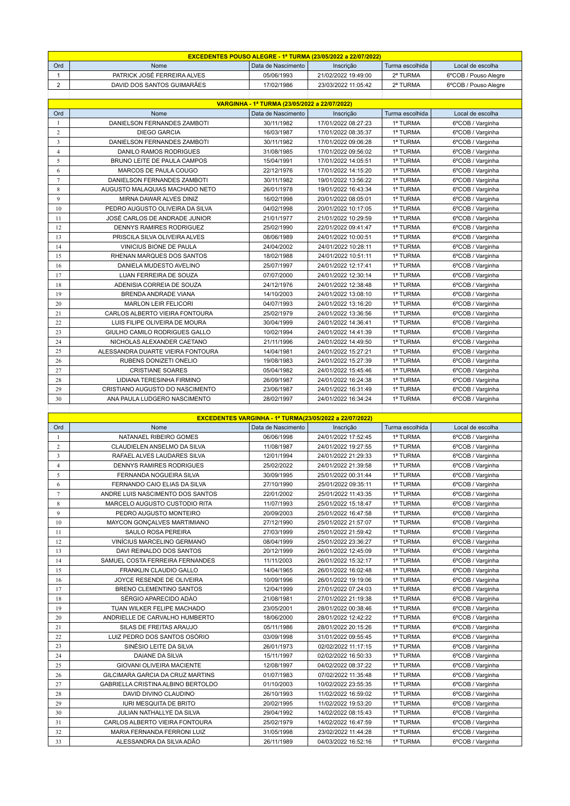|      | <b>EXCEDENTES POUSO ALEGRE - 1ª TURMA (23/05/2022 a 22/07/2022)</b> |                    |                     |                 |                      |  |  |  |
|------|---------------------------------------------------------------------|--------------------|---------------------|-----------------|----------------------|--|--|--|
| Ord  | <b>Nome</b>                                                         | Data de Nascimento | Inscricão           | Turma escolhida | Local de escolha     |  |  |  |
|      | PATRICK JOSÉ FERREIRA ALVES                                         | 05/06/1993         | 21/02/2022 19:49:00 | 2ª TURMA        | 6°COB / Pouso Alegre |  |  |  |
|      | DAVID DOS SANTOS GUIMARÃES                                          | 17/02/1986         | 23/03/2022 11:05:42 | 2ª TURMA        | 6°COB / Pouso Alegre |  |  |  |
|      |                                                                     |                    |                     |                 |                      |  |  |  |
|      | VARGINHA - 1ª TURMA (23/05/2022 a 22/07/2022)                       |                    |                     |                 |                      |  |  |  |
| $ -$ |                                                                     |                    |                     | .               |                      |  |  |  |

| Ord            | Nome                              | Data de Nascimento | Inscrição           | Turma escolhida | Local de escolha |
|----------------|-----------------------------------|--------------------|---------------------|-----------------|------------------|
| 1              | DANIELSON FERNANDES ZAMBOTI       | 30/11/1982         | 17/01/2022 08:27:23 | 1ª TURMA        | 6°COB / Varginha |
| 2              | <b>DIEGO GARCIA</b>               | 16/03/1987         | 17/01/2022 08:35:37 | 1ª TURMA        | 6°COB / Varginha |
| 3              | DANIELSON FERNANDES ZAMBOTI       | 30/11/1982         | 17/01/2022 09:06:28 | 1ª TURMA        | 6°COB / Varginha |
| $\overline{4}$ | <b>DANILO RAMOS RODRIGUES</b>     | 31/08/1985         | 17/01/2022 09:56:02 | 1ª TURMA        | 6°COB / Varginha |
| 5              | BRUNO LEITE DE PAULA CAMPOS       | 15/04/1991         | 17/01/2022 14:05:51 | 1ª TURMA        | 6°COB / Varginha |
| 6              | MARCOS DE PAULA COUGO             | 22/12/1976         | 17/01/2022 14:15:20 | 1ª TURMA        | 6°COB / Varginha |
| $\overline{7}$ | DANIELSON FERNANDES ZAMBOTI       | 30/11/1982         | 19/01/2022 13:56:22 | 1ª TURMA        | 6°COB / Varginha |
| 8              | AUGUSTO MALAQUIAS MACHADO NETO    | 26/01/1978         | 19/01/2022 16:43:34 | 1ª TURMA        | 6°COB / Varginha |
| 9              | MIRNA DAWAR ALVES DINIZ           | 16/02/1998         | 20/01/2022 08:05:01 | 1ª TURMA        | 6°COB / Varginha |
| 10             | PEDRO AUGUSTO OLIVEIRA DA SILVA   | 04/02/1998         | 20/01/2022 10:17:05 | 1ª TURMA        | 6°COB / Varginha |
| 11             | JOSÉ CARLOS DE ANDRADE JUNIOR     | 21/01/1977         | 21/01/2022 10:29:59 | 1ª TURMA        | 6°COB / Varginha |
| 12             | <b>DENNYS RAMIRES RODRIGUEZ</b>   | 25/02/1990         | 22/01/2022 09:41:47 | 1ª TURMA        | 6°COB / Varginha |
| 13             | PRISCILA SILVA OLIVEIRA ALVES     | 08/06/1989         | 24/01/2022 10:00:51 | 1ª TURMA        | 6°COB / Varginha |
| 14             | <b>VINICIUS BIONE DE PAULA</b>    | 24/04/2002         | 24/01/2022 10:28:11 | 1ª TURMA        | 6°COB / Varginha |
| 15             | RHENAN MARQUES DOS SANTOS         | 18/02/1988         | 24/01/2022 10:51:11 | 1ª TURMA        | 6°COB / Varginha |
| 16             | DANIELA MUDESTO AVELINO           | 25/07/1997         | 24/01/2022 12:17:41 | 1ª TURMA        | 6°COB / Varginha |
| 17             | <b>LUAN FERREIRA DE SOUZA</b>     | 07/07/2000         | 24/01/2022 12:30:14 | 1ª TURMA        | 6°COB / Varginha |
| 18             | ADENISIA CORREIA DE SOUZA         | 24/12/1976         | 24/01/2022 12:38:48 | 1ª TURMA        | 6°COB / Varginha |
| 19             | BRENDA ANDRADE VIANA              | 14/10/2003         | 24/01/2022 13:08:10 | 1ª TURMA        | 6°COB / Varginha |
| 20             | <b>MARLON LEIR FELICORI</b>       | 04/07/1993         | 24/01/2022 13:16:20 | 1ª TURMA        | 6°COB / Varginha |
| 21             | CARLOS ALBERTO VIEIRA FONTOURA    | 25/02/1979         | 24/01/2022 13:36:56 | 1ª TURMA        | 6°COB / Varginha |
| 22             | LUIS FILIPE OLIVEIRA DE MOURA     | 30/04/1999         | 24/01/2022 14:36:41 | 1ª TURMA        | 6°COB / Varginha |
| 23             | GIULHO CAMILO RODRIGUES GALLO     | 10/02/1994         | 24/01/2022 14:41:39 | 1ª TURMA        | 6°COB / Varginha |
| 24             | NICHOLAS ALEXANDER CAETANO        | 21/11/1996         | 24/01/2022 14:49:50 | 1ª TURMA        | 6°COB / Varginha |
| 25             | ALESSANDRA DUARTE VIEIRA FONTOURA | 14/04/1981         | 24/01/2022 15:27:21 | 1ª TURMA        | 6°COB / Varginha |
| 26             | RUBENS DONIZETI ONELIO            | 19/08/1983         | 24/01/2022 15:27:39 | 1ª TURMA        | 6°COB / Varginha |
| 27             | <b>CRISTIANE SOARES</b>           | 05/04/1982         | 24/01/2022 15:45:46 | 1ª TURMA        | 6°COB / Varginha |
| 28             | LIDIANA TERESINHA FIRMINO         | 26/09/1987         | 24/01/2022 16:24:38 | 1ª TURMA        | 6°COB / Varginha |
| 29             | CRISTIANO AUGUSTO DO NASCIMENTO   | 23/06/1987         | 24/01/2022 16:31:49 | 1ª TURMA        | 6°COB / Varginha |
| 30             | ANA PAULA LUDGERO NASCIMENTO      | 28/02/1997         | 24/01/2022 16:34:24 | 1ª TURMA        | 6°COB / Varginha |
|                |                                   |                    |                     |                 |                  |

|  | <b>EXCEDENTES VARGINHA - 1ª TURMA(23/05/2022 a 22/07/2022)</b> |  |
|--|----------------------------------------------------------------|--|
|  |                                                                |  |
|  |                                                                |  |

|                | <b>EXCEDENTES VARGINHA - 1ª TURMA(23/05/2022 a 22/07/2022)</b> |                    |                     |                 |                  |  |  |
|----------------|----------------------------------------------------------------|--------------------|---------------------|-----------------|------------------|--|--|
| Ord            | Nome                                                           | Data de Nascimento | Inscrição           | Turma escolhida | Local de escolha |  |  |
| $\mathbf{1}$   | NATANAEL RIBEIRO GOMES                                         | 06/06/1998         | 24/01/2022 17:52:45 | 1ª TURMA        | 6°COB / Varginha |  |  |
| $\overline{c}$ | CLAUDIELEN ANSELMO DA SILVA                                    | 11/08/1987         | 24/01/2022 19:27:55 | 1ª TURMA        | 6°COB / Varginha |  |  |
| 3              | RAFAEL ALVES LAUDARES SILVA                                    | 12/01/1994         | 24/01/2022 21:29:33 | 1ª TURMA        | 6°COB / Varginha |  |  |
| $\overline{4}$ | <b>DENNYS RAMIRES RODRIGUES</b>                                | 25/02/2022         | 24/01/2022 21:39:58 | 1ª TURMA        | 6°COB / Varginha |  |  |
| 5              | FERNANDA NOGUEIRA SILVA                                        | 30/09/1995         | 25/01/2022 00:31:44 | 1ª TURMA        | 6°COB / Varginha |  |  |
| 6              | FERNANDO CAIO ELIAS DA SILVA                                   | 27/10/1990         | 25/01/2022 09:35:11 | 1ª TURMA        | 6°COB / Varginha |  |  |
| 7              | ANDRE LUIS NASCIMENTO DOS SANTOS                               | 22/01/2002         | 25/01/2022 11:43:35 | 1ª TURMA        | 6°COB / Varginha |  |  |
| 8              | MARCELO AUGUSTO CUSTODIO RITA                                  | 11/07/1993         | 25/01/2022 15:18:47 | 1ª TURMA        | 6°COB / Varginha |  |  |
| $\mathbf{Q}$   | PEDRO AUGUSTO MONTEIRO                                         | 20/09/2003         | 25/01/2022 16:47:58 | 1ª TURMA        | 6°COB / Varginha |  |  |
| 10             | <b>MAYCON GONCALVES MARTIMIANO</b>                             | 27/12/1990         | 25/01/2022 21:57:07 | 1ª TURMA        | 6°COB / Varginha |  |  |
| 11             | <b>SAULO ROSA PEREIRA</b>                                      | 27/03/1999         | 25/01/2022 21:59:42 | 1ª TURMA        | 6°COB / Varginha |  |  |
| 12             | VINÍCIUS MARCELINO GERMANO                                     | 08/04/1999         | 25/01/2022 23:36:27 | 1ª TURMA        | 6°COB / Varginha |  |  |
| 13             | DAVI REINALDO DOS SANTOS                                       | 20/12/1999         | 26/01/2022 12:45:09 | 1ª TURMA        | 6°COB / Varginha |  |  |
| 14             | SAMUEL COSTA FERREIRA FERNANDES                                | 11/11/2003         | 26/01/2022 15:32:17 | 1ª TURMA        | 6°COB / Varginha |  |  |
| 15             | <b>FRANKLIN CLAUDIO GALLO</b>                                  | 14/04/1965         | 26/01/2022 16:02:48 | 1ª TURMA        | 6°COB / Varginha |  |  |
| 16             | JOYCE RESENDE DE OLIVEIRA                                      | 10/09/1996         | 26/01/2022 19:19:06 | 1ª TURMA        | 6°COB / Varginha |  |  |
| 17             | <b>BRENO CLEMENTINO SANTOS</b>                                 | 12/04/1999         | 27/01/2022 07:24:03 | 1ª TURMA        | 6°COB / Varginha |  |  |
| 18             | SÉRGIO APARECIDO ADÀO                                          | 21/08/1981         | 27/01/2022 21:19:38 | 1ª TURMA        | 6°COB / Varginha |  |  |
| 19             | TUAN WILKER FELIPE MACHADO                                     | 23/05/2001         | 28/01/2022 00:38:46 | 1ª TURMA        | 6°COB / Varginha |  |  |
| 20             | ANDRIELLE DE CARVALHO HUMBERTO                                 | 18/06/2000         | 28/01/2022 12:42:22 | 1ª TURMA        | 6°COB / Varginha |  |  |
| 21             | SILAS DE FREITAS ARAUJO                                        | 05/11/1986         | 28/01/2022 20:15:26 | 1ª TURMA        | 6°COB / Varginha |  |  |
| 22             | LUIZ PEDRO DOS SANTOS OSÓRIO                                   | 03/09/1998         | 31/01/2022 09:55:45 | 1ª TURMA        | 6°COB / Varginha |  |  |
| 23             | SINÉSIO LEITE DA SILVA                                         | 26/01/1973         | 02/02/2022 11:17:15 | 1ª TURMA        | 6°COB / Varginha |  |  |
| 24             | <b>DAIANE DA SILVA</b>                                         | 15/11/1997         | 02/02/2022 16:50:33 | 1ª TURMA        | 6°COB / Varginha |  |  |
| 25             | GIOVANI OLIVEIRA MACIENTE                                      | 12/08/1997         | 04/02/2022 08:37:22 | 1ª TURMA        | 6°COB / Varginha |  |  |
| 26             | GILCIMARA GARCIA DA CRUZ MARTINS                               | 01/07/1983         | 07/02/2022 11:35:48 | 1ª TURMA        | 6°COB / Varginha |  |  |
| 27             | GABRIELLA CRISTINA ALBINO BERTOLDO                             | 01/10/2003         | 10/02/2022 23:55:35 | 1ª TURMA        | 6°COB / Varginha |  |  |
| 28             | DAVID DIVINO CLAUDINO                                          | 26/10/1993         | 11/02/2022 16:59:02 | 1ª TURMA        | 6°COB / Varginha |  |  |
| 29             | <b>IURI MESQUITA DE BRITO</b>                                  | 20/02/1995         | 11/02/2022 19:53:20 | 1ª TURMA        | 6°COB / Varginha |  |  |
| 30             | JULIAN NATHALLYE DA SILVA                                      | 29/04/1992         | 14/02/2022 08:15:43 | 1ª TURMA        | 6°COB / Varginha |  |  |
| 31             | CARLOS ALBERTO VIEIRA FONTOURA                                 | 25/02/1979         | 14/02/2022 16:47:59 | 1ª TURMA        | 6°COB / Varginha |  |  |
| 32             | MARIA FERNANDA FERRONI LUIZ                                    | 31/05/1998         | 23/02/2022 11:44:28 | 1ª TURMA        | 6°COB / Varginha |  |  |
| 33             | ALESSANDRA DA SILVA ADÃO                                       | 26/11/1989         | 04/03/2022 16:52:16 | 1ª TURMA        | 6°COB / Varginha |  |  |